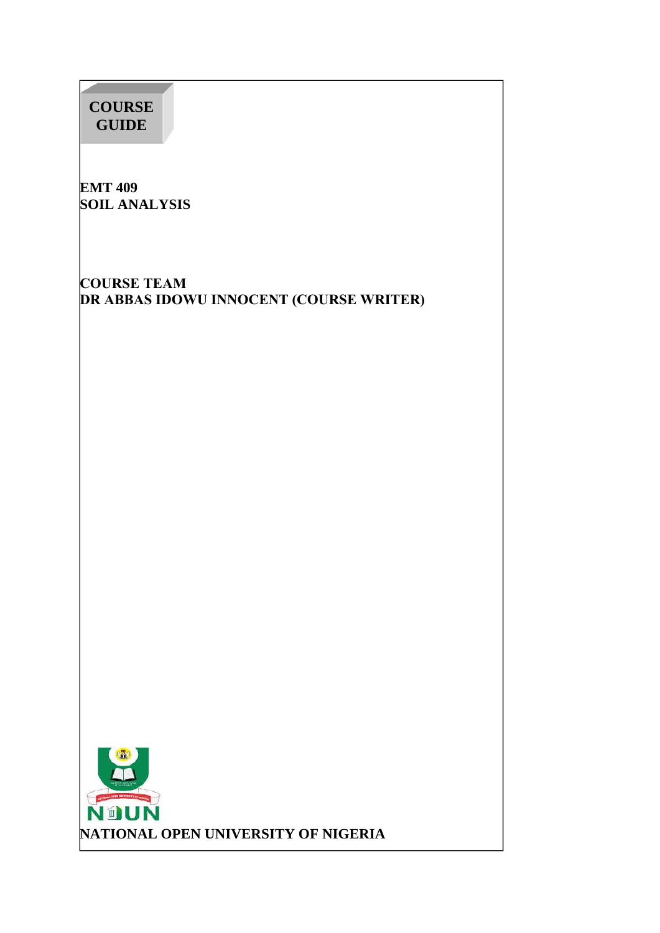# **COURSE GUIDE**

**EMT 409 SOIL ANALYSIS**

**COURSE TEAM DR ABBAS IDOWU INNOCENT (COURSE WRITER)**

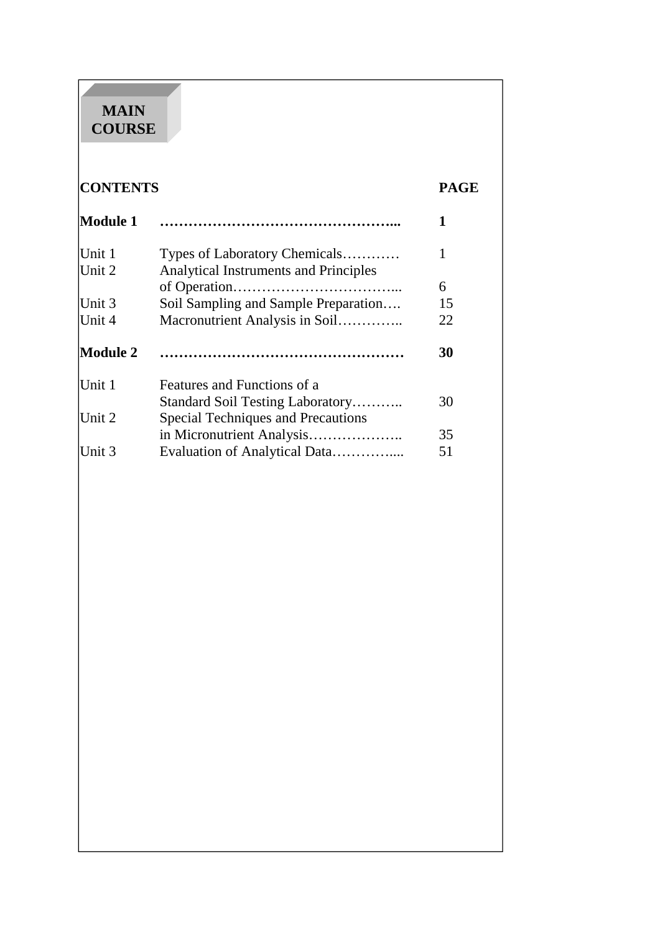# **MAIN COURSE**

# **CONTENTS PAGE**

| Module 1 |                                              |    |  |
|----------|----------------------------------------------|----|--|
| Unit 1   | Types of Laboratory Chemicals                |    |  |
| Unit 2   | <b>Analytical Instruments and Principles</b> |    |  |
|          |                                              | 6  |  |
| Unit 3   | Soil Sampling and Sample Preparation         | 15 |  |
| Unit 4   | Macronutrient Analysis in Soil               | 22 |  |
| Module 2 |                                              | 30 |  |
| Unit 1   | Features and Functions of a                  |    |  |
|          | Standard Soil Testing Laboratory             | 30 |  |
|          |                                              |    |  |
|          |                                              |    |  |
| Unit 2   | Special Techniques and Precautions           | 35 |  |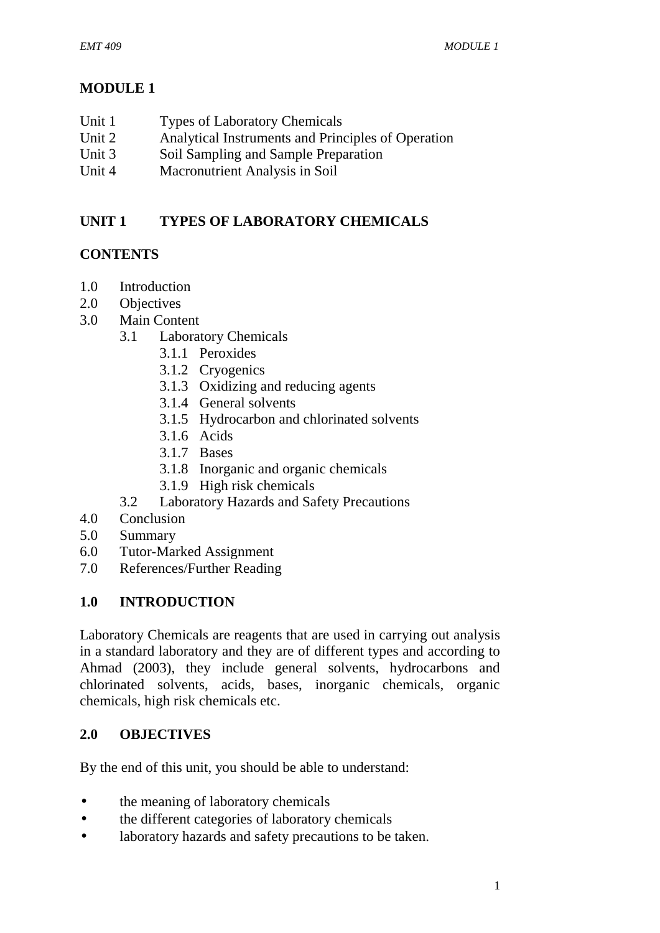# **MODULE 1**

- Unit 1 Types of Laboratory Chemicals
- Unit 2 Analytical Instruments and Principles of Operation
- Unit 3 Soil Sampling and Sample Preparation<br>
Unit 4 Macronutrient Analysis in Soil
- **Macronutrient Analysis in Soil**

# **UNIT 1 TYPES OF LABORATORY CHEMICALS**

## **CONTENTS**

- 1.0 Introduction
- 2.0 Objectives
- 3.0 Main Content
	- 3.1 Laboratory Chemicals
		- 3.1.1 Peroxides
		- 3.1.2 Cryogenics
		- 3.1.3 Oxidizing and reducing agents
		- 3.1.4 General solvents
		- 3.1.5 Hydrocarbon and chlorinated solvents
		- 3.1.6 Acids
		- 3.1.7 Bases
		- 3.1.8 Inorganic and organic chemicals
		- 3.1.9 High risk chemicals
	- 3.2 Laboratory Hazards and Safety Precautions
- 4.0 Conclusion
- 5.0 Summary
- 6.0 Tutor-Marked Assignment
- 7.0 References/Further Reading

## **1.0 INTRODUCTION**

Laboratory Chemicals are reagents that are used in carrying out analysis in a standard laboratory and they are of different types and according to Ahmad (2003), they include general solvents, hydrocarbons and chlorinated solvents, acids, bases, inorganic chemicals, organic chemicals, high risk chemicals etc.

## **2.0 OBJECTIVES**

By the end of this unit, you should be able to understand:

- the meaning of laboratory chemicals
- the different categories of laboratory chemicals
- laboratory hazards and safety precautions to be taken.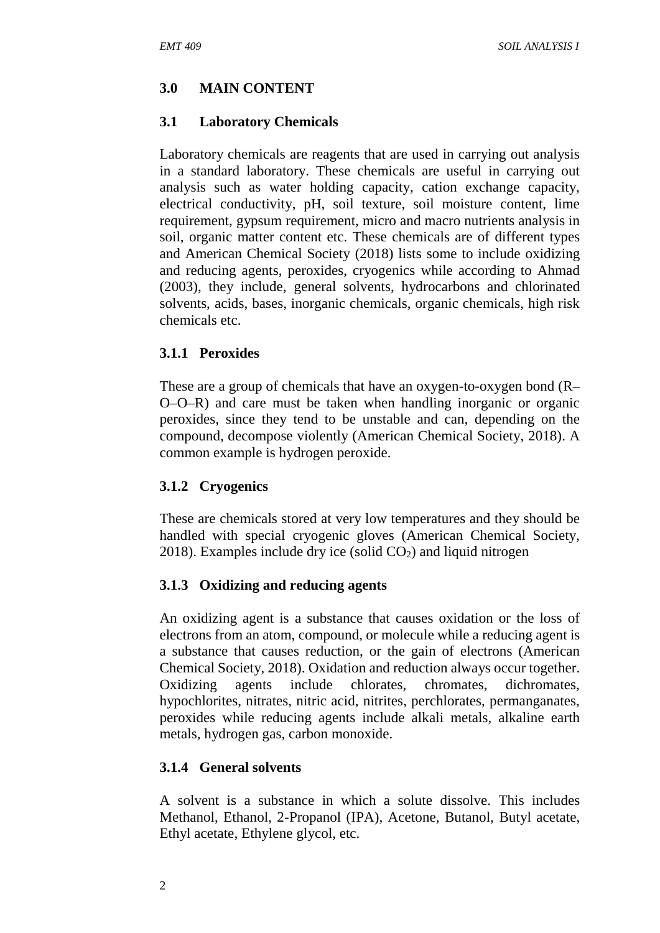## **3.0 MAIN CONTENT**

#### **3.1 Laboratory Chemicals**

Laboratory chemicals are reagents that are used in carrying out analysis in a standard laboratory. These chemicals are useful in carrying out analysis such as water holding capacity, cation exchange capacity, electrical conductivity, pH, soil texture, soil moisture content, lime requirement, gypsum requirement, micro and macro nutrients analysis in soil, organic matter content etc. These chemicals are of different types and American Chemical Society (2018) lists some to include oxidizing and reducing agents, peroxides, cryogenics while according to Ahmad (2003), they include, general solvents, hydrocarbons and chlorinated solvents, acids, bases, inorganic chemicals, organic chemicals, high risk chemicals etc.

## **3.1.1 Peroxides**

These are a group of chemicals that have an oxygen-to-oxygen bond (R– O–O–R) and care must be taken when handling inorganic or organic peroxides, since they tend to be unstable and can, depending on the compound, decompose violently (American Chemical Society, 2018). A common example is hydrogen peroxide.

#### **3.1.2 Cryogenics**

These are chemicals stored at very low temperatures and they should be handled with special cryogenic gloves (American Chemical Society, 2018). Examples include dry ice (solid  $CO<sub>2</sub>$ ) and liquid nitrogen

## **3.1.3 Oxidizing and reducing agents**

An oxidizing agent is a substance that causes oxidation or the loss of electrons from an atom, compound, or molecule while a reducing agent is a substance that causes reduction, or the gain of electrons (American Chemical Society, 2018). Oxidation and reduction always occur together. Oxidizing agents include chlorates, chromates, dichromates, hypochlorites, nitrates, nitric acid, nitrites, perchlorates, permanganates, peroxides while reducing agents include alkali metals, alkaline earth metals, hydrogen gas, carbon monoxide.

#### **3.1.4 General solvents**

A solvent is a substance in which a solute dissolve. This includes Methanol, Ethanol, 2-Propanol (IPA), Acetone, Butanol, Butyl acetate, Ethyl acetate, Ethylene glycol, etc.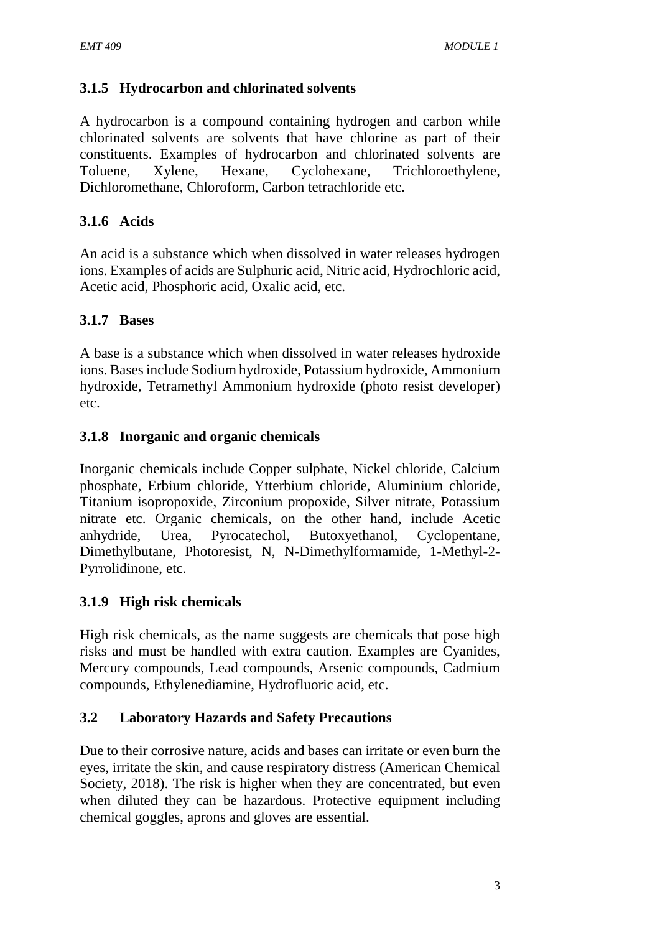## **3.1.5 Hydrocarbon and chlorinated solvents**

A hydrocarbon is a compound containing hydrogen and carbon while chlorinated solvents are solvents that have chlorine as part of their constituents. Examples of hydrocarbon and chlorinated solvents are Toluene, Xylene, Hexane, Cyclohexane, Trichloroethylene, Dichloromethane, Chloroform, Carbon tetrachloride etc.

## **3.1.6 Acids**

An acid is a substance which when dissolved in water releases hydrogen ions. Examples of acids are Sulphuric acid, Nitric acid, Hydrochloric acid, Acetic acid, Phosphoric acid, Oxalic acid, etc.

## **3.1.7 Bases**

A base is a substance which when dissolved in water releases hydroxide ions. Bases include Sodium hydroxide, Potassium hydroxide, Ammonium hydroxide, Tetramethyl Ammonium hydroxide (photo resist developer) etc.

## **3.1.8 Inorganic and organic chemicals**

Inorganic chemicals include Copper sulphate, Nickel chloride, Calcium phosphate, Erbium chloride, Ytterbium chloride, Aluminium chloride, Titanium isopropoxide, Zirconium propoxide, Silver nitrate, Potassium nitrate etc. Organic chemicals, on the other hand, include Acetic anhydride, Urea, Pyrocatechol, Butoxyethanol, Cyclopentane, Dimethylbutane, Photoresist, N, N-Dimethylformamide, 1-Methyl-2- Pyrrolidinone, etc.

## **3.1.9 High risk chemicals**

High risk chemicals, as the name suggests are chemicals that pose high risks and must be handled with extra caution. Examples are Cyanides, Mercury compounds, Lead compounds, Arsenic compounds, Cadmium compounds, Ethylenediamine, Hydrofluoric acid, etc.

#### **3.2 Laboratory Hazards and Safety Precautions**

Due to their corrosive nature, acids and bases can irritate or even burn the eyes, irritate the skin, and cause respiratory distress (American Chemical Society, 2018). The risk is higher when they are concentrated, but even when diluted they can be hazardous. Protective equipment including chemical goggles, aprons and gloves are essential.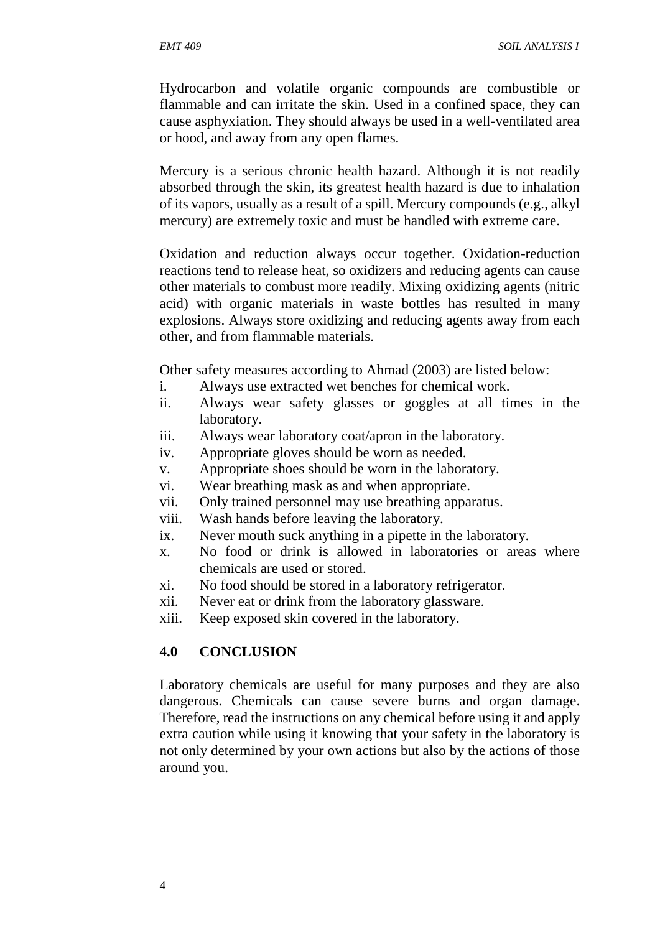Hydrocarbon and volatile organic compounds are combustible or flammable and can irritate the skin. Used in a confined space, they can cause asphyxiation. They should always be used in a well-ventilated area or hood, and away from any open flames.

Mercury is a serious chronic health hazard. Although it is not readily absorbed through the skin, its greatest health hazard is due to inhalation of its vapors, usually as a result of a spill. Mercury compounds (e.g., alkyl mercury) are extremely toxic and must be handled with extreme care.

Oxidation and reduction always occur together. Oxidation-reduction reactions tend to release heat, so oxidizers and reducing agents can cause other materials to combust more readily. Mixing oxidizing agents (nitric acid) with organic materials in waste bottles has resulted in many explosions. Always store oxidizing and reducing agents away from each other, and from flammable materials.

Other safety measures according to Ahmad (2003) are listed below:

- i. Always use extracted wet benches for chemical work.
- ii. Always wear safety glasses or goggles at all times in the laboratory.
- iii. Always wear laboratory coat/apron in the laboratory.
- iv. Appropriate gloves should be worn as needed.
- v. Appropriate shoes should be worn in the laboratory.
- vi. Wear breathing mask as and when appropriate.
- vii. Only trained personnel may use breathing apparatus.
- viii. Wash hands before leaving the laboratory.
- ix. Never mouth suck anything in a pipette in the laboratory.
- x. No food or drink is allowed in laboratories or areas where chemicals are used or stored.
- xi. No food should be stored in a laboratory refrigerator.
- xii. Never eat or drink from the laboratory glassware.
- xiii. Keep exposed skin covered in the laboratory.

#### **4.0 CONCLUSION**

Laboratory chemicals are useful for many purposes and they are also dangerous. Chemicals can cause severe burns and organ damage. Therefore, read the instructions on any chemical before using it and apply extra caution while using it knowing that your safety in the laboratory is not only determined by your own actions but also by the actions of those around you.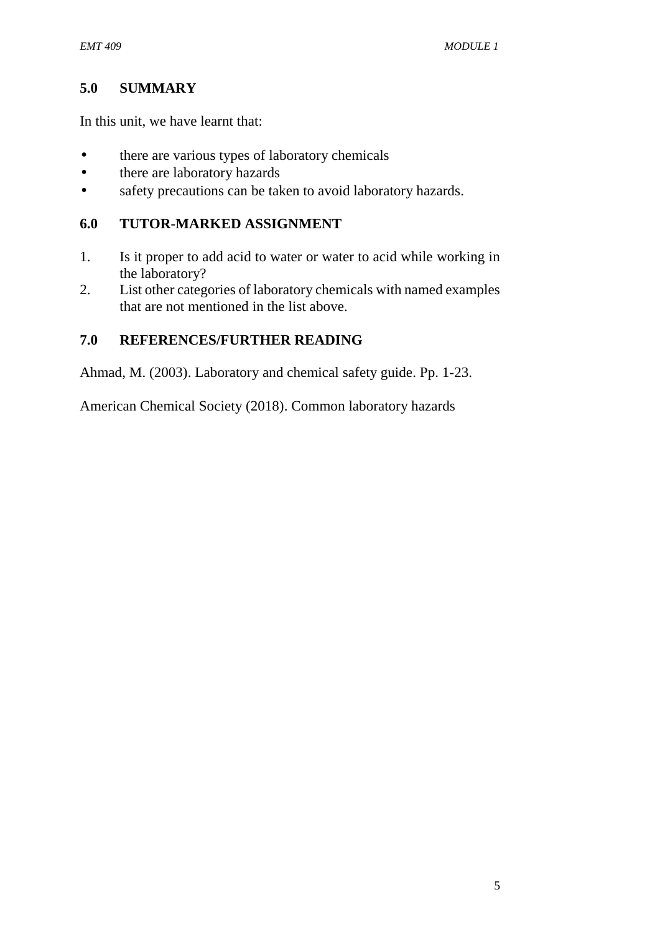#### **5.0 SUMMARY**

In this unit, we have learnt that:

- there are various types of laboratory chemicals
- there are laboratory hazards
- safety precautions can be taken to avoid laboratory hazards.

#### **6.0 TUTOR-MARKED ASSIGNMENT**

- 1. Is it proper to add acid to water or water to acid while working in the laboratory?
- 2. List other categories of laboratory chemicals with named examples that are not mentioned in the list above.

#### **7.0 REFERENCES/FURTHER READING**

Ahmad, M. (2003). Laboratory and chemical safety guide. Pp. 1-23.

American Chemical Society (2018). Common laboratory hazards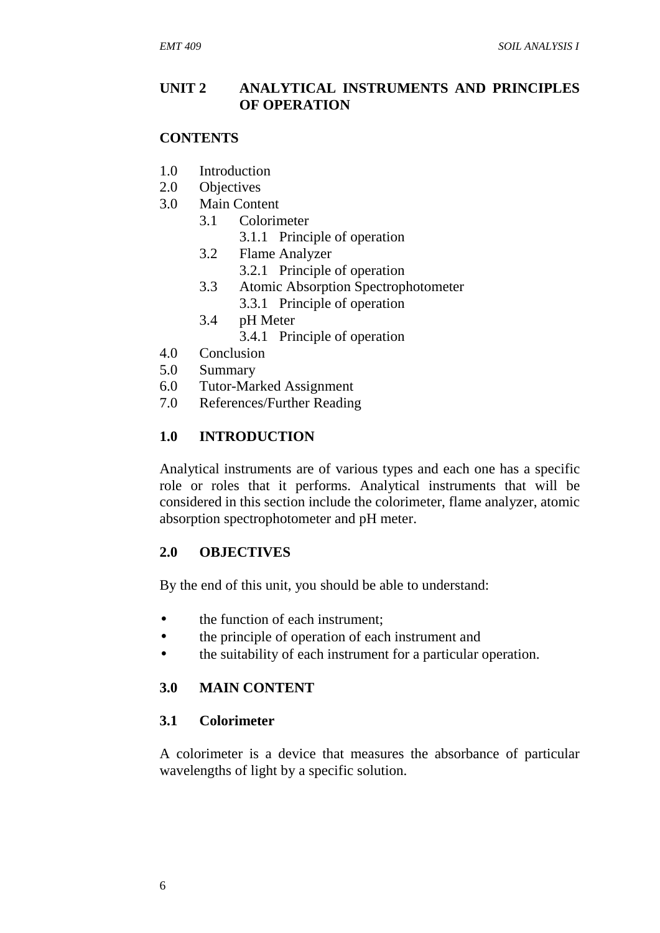#### **UNIT 2 ANALYTICAL INSTRUMENTS AND PRINCIPLES OF OPERATION**

#### **CONTENTS**

- 1.0 Introduction
- 2.0 Objectives
- 3.0 Main Content
	- 3.1 Colorimeter
		- 3.1.1 Principle of operation
	- 3.2 Flame Analyzer
		- 3.2.1 Principle of operation
	- 3.3 Atomic Absorption Spectrophotometer
		- 3.3.1 Principle of operation
	- 3.4 pH Meter
		- 3.4.1 Principle of operation
- 4.0 Conclusion
- 5.0 Summary
- 6.0 Tutor-Marked Assignment
- 7.0 References/Further Reading

#### **1.0 INTRODUCTION**

Analytical instruments are of various types and each one has a specific role or roles that it performs. Analytical instruments that will be considered in this section include the colorimeter, flame analyzer, atomic absorption spectrophotometer and pH meter.

#### **2.0 OBJECTIVES**

By the end of this unit, you should be able to understand:

- the function of each instrument:
- the principle of operation of each instrument and
- the suitability of each instrument for a particular operation.

#### **3.0 MAIN CONTENT**

#### **3.1 Colorimeter**

A colorimeter is a device that measures the absorbance of particular wavelengths of light by a specific solution.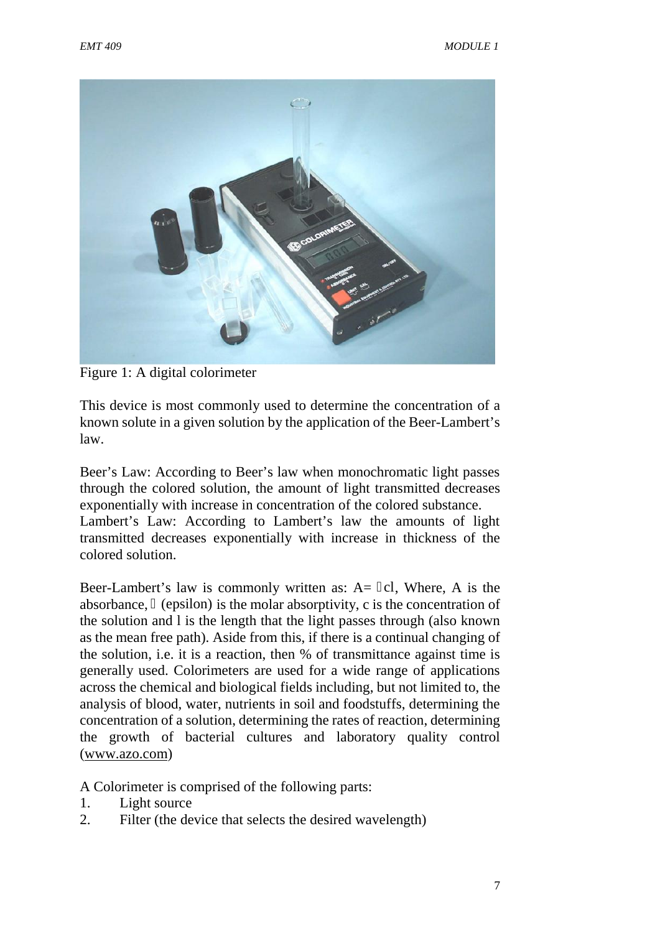

Figure 1: A digital colorimeter

This device is most commonly used to determine the concentration of a known solute in a given solution by the application of the Beer-Lambert's law.

Beer's Law: According to Beer's law when monochromatic light passes through the colored solution, the amount of light transmitted decreases exponentially with increase in concentration of the colored substance. Lambert's Law: According to Lambert's law the amounts of light transmitted decreases exponentially with increase in thickness of the colored solution.

Beer-Lambert's law is commonly written as:  $A = cl$ , Where, A is the absorbance,  $(epsilon)$  is the molar absorptivity, c is the concentration of the solution and l is the length that the light passes through (also known as the mean free path). Aside from this, if there is a continual changing of the solution, i.e. it is a reaction, then % of transmittance against time is generally used. Colorimeters are used for a wide range of applications across the chemical and biological fields including, but not limited to, the analysis of blood, water, nutrients in soil and foodstuffs, determining the concentration of a solution, determining the rates of reaction, determining the growth of bacterial cultures and laboratory quality control (www.azo.com)

A Colorimeter is comprised of the following parts:

- 1. Light source
- 2. Filter (the device that selects the desired wavelength)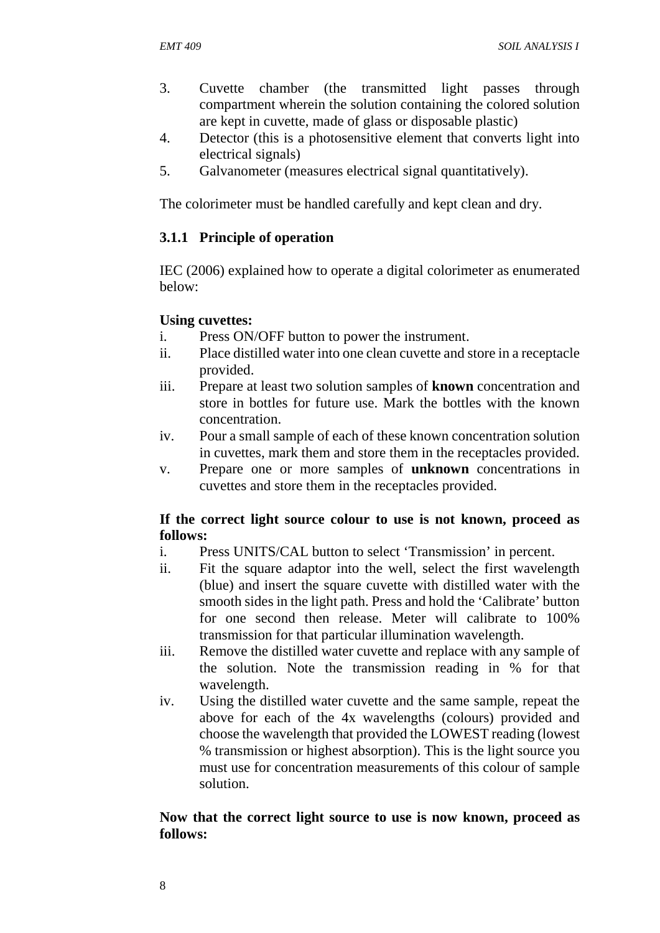- 3. Cuvette chamber (the transmitted light passes through compartment wherein the solution containing the colored solution are kept in cuvette, made of glass or disposable plastic)
- 4. Detector (this is a photosensitive element that converts light into electrical signals)
- 5. Galvanometer (measures electrical signal quantitatively).

The colorimeter must be handled carefully and kept clean and dry.

#### **3.1.1 Principle of operation**

IEC (2006) explained how to operate a digital colorimeter as enumerated below:

#### **Using cuvettes:**

- i. Press ON/OFF button to power the instrument.
- ii. Place distilled water into one clean cuvette and store in a receptacle provided.
- iii. Prepare at least two solution samples of **known** concentration and store in bottles for future use. Mark the bottles with the known concentration.
- iv. Pour a small sample of each of these known concentration solution in cuvettes, mark them and store them in the receptacles provided.
- v. Prepare one or more samples of **unknown** concentrations in cuvettes and store them in the receptacles provided.

#### **If the correct light source colour to use is not known, proceed as follows:**

- i. Press UNITS/CAL button to select 'Transmission' in percent.
- ii. Fit the square adaptor into the well, select the first wavelength (blue) and insert the square cuvette with distilled water with the smooth sides in the light path. Press and hold the 'Calibrate' button for one second then release. Meter will calibrate to 100% transmission for that particular illumination wavelength.
- iii. Remove the distilled water cuvette and replace with any sample of the solution. Note the transmission reading in % for that wavelength.
- iv. Using the distilled water cuvette and the same sample, repeat the above for each of the 4x wavelengths (colours) provided and choose the wavelength that provided the LOWEST reading (lowest % transmission or highest absorption). This is the light source you must use for concentration measurements of this colour of sample solution.

#### **Now that the correct light source to use is now known, proceed as follows:**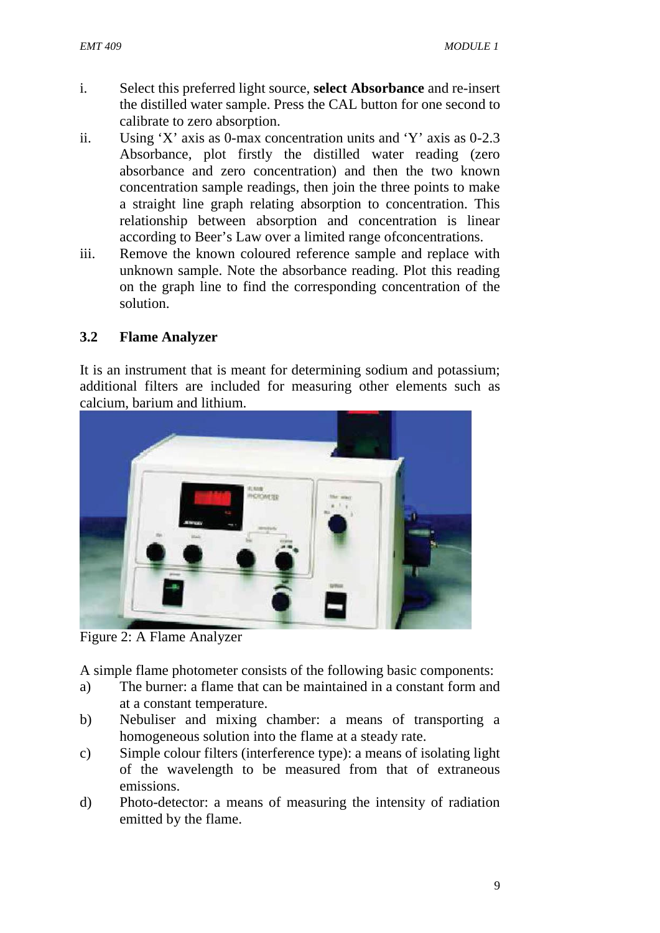- i. Select this preferred light source, **select Absorbance** and re-insert the distilled water sample. Press the CAL button for one second to calibrate to zero absorption.
- ii. Using 'X' axis as 0-max concentration units and 'Y' axis as 0-2.3 Absorbance, plot firstly the distilled water reading (zero absorbance and zero concentration) and then the two known concentration sample readings, then join the three points to make a straight line graph relating absorption to concentration. This relationship between absorption and concentration is linear according to Beer's Law over a limited range ofconcentrations.
- iii. Remove the known coloured reference sample and replace with unknown sample. Note the absorbance reading. Plot this reading on the graph line to find the corresponding concentration of the solution.

## **3.2 Flame Analyzer**

It is an instrument that is meant for determining sodium and potassium; additional filters are included for measuring other elements such as calcium, barium and lithium.



Figure 2: A Flame Analyzer

A simple flame photometer consists of the following basic components:

- a) The burner: a flame that can be maintained in a constant form and at a constant temperature.
- b) Nebuliser and mixing chamber: a means of transporting a homogeneous solution into the flame at a steady rate.
- c) Simple colour filters (interference type): a means of isolating light of the wavelength to be measured from that of extraneous emissions.
- d) Photo-detector: a means of measuring the intensity of radiation emitted by the flame.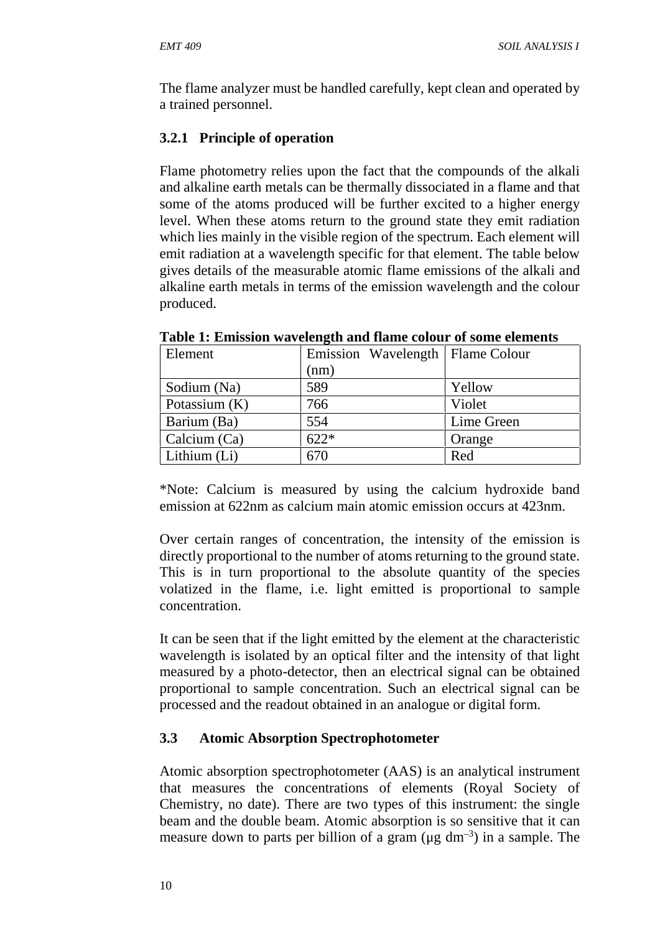The flame analyzer must be handled carefully, kept clean and operated by a trained personnel.

## **3.2.1 Principle of operation**

Flame photometry relies upon the fact that the compounds of the alkali and alkaline earth metals can be thermally dissociated in a flame and that some of the atoms produced will be further excited to a higher energy level. When these atoms return to the ground state they emit radiation which lies mainly in the visible region of the spectrum. Each element will emit radiation at a wavelength specific for that element. The table below gives details of the measurable atomic flame emissions of the alkali and alkaline earth metals in terms of the emission wavelength and the colour produced.

| Element         | Emission Wavelength   Flame Colour |            |
|-----------------|------------------------------------|------------|
|                 | (nm)                               |            |
| Sodium (Na)     | 589                                | Yellow     |
| Potassium $(K)$ | 766                                | Violet     |
| Barium (Ba)     | 554                                | Lime Green |
| Calcium $(Ca)$  | $622*$                             | Orange     |
| Lithium (Li)    | 670                                | Red        |

**Table 1: Emission wavelength and flame colour of some elements**

\*Note: Calcium is measured by using the calcium hydroxide band emission at 622nm as calcium main atomic emission occurs at 423nm.

Over certain ranges of concentration, the intensity of the emission is directly proportional to the number of atoms returning to the ground state. This is in turn proportional to the absolute quantity of the species volatized in the flame, i.e. light emitted is proportional to sample concentration.

It can be seen that if the light emitted by the element at the characteristic wavelength is isolated by an optical filter and the intensity of that light measured by a photo-detector, then an electrical signal can be obtained proportional to sample concentration. Such an electrical signal can be processed and the readout obtained in an analogue or digital form.

#### **3.3 Atomic Absorption Spectrophotometer**

Atomic absorption spectrophotometer (AAS) is an analytical instrument that measures the concentrations of elements (Royal Society of Chemistry, no date). There are two types of this instrument: the single beam and the double beam. Atomic absorption is so sensitive that it can measure down to parts per billion of a gram ( $\mu$ g dm<sup>-3</sup>) in a sample. The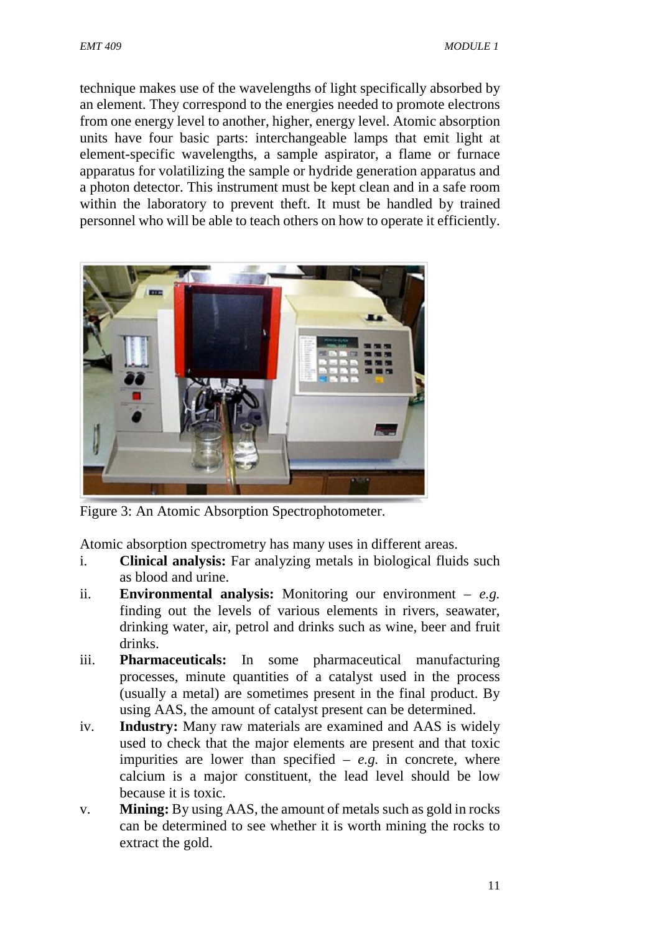technique makes use of the wavelengths of light specifically absorbed by an element. They correspond to the energies needed to promote electrons from one energy level to another, higher, energy level. Atomic absorption units have four basic parts: interchangeable lamps that emit light at element-specific wavelengths, a sample aspirator, a flame or furnace apparatus for volatilizing the sample or hydride generation apparatus and a photon detector. This instrument must be kept clean and in a safe room within the laboratory to prevent theft. It must be handled by trained personnel who will be able to teach others on how to operate it efficiently.



Figure 3: An Atomic Absorption Spectrophotometer.

Atomic absorption spectrometry has many uses in different areas.

- i. **Clinical analysis:** Far analyzing metals in biological fluids such as blood and urine.
- ii. **Environmental analysis:** Monitoring our environment *e.g.* finding out the levels of various elements in rivers, seawater, drinking water, air, petrol and drinks such as wine, beer and fruit drinks.
- iii. **Pharmaceuticals:** In some pharmaceutical manufacturing processes, minute quantities of a catalyst used in the process (usually a metal) are sometimes present in the final product. By using AAS, the amount of catalyst present can be determined.
- iv. **Industry:** Many raw materials are examined and AAS is widely used to check that the major elements are present and that toxic impurities are lower than specified  $-$  *e.g.* in concrete, where calcium is a major constituent, the lead level should be low because it is toxic.
- v. **Mining:** By using AAS, the amount of metals such as gold in rocks can be determined to see whether it is worth mining the rocks to extract the gold.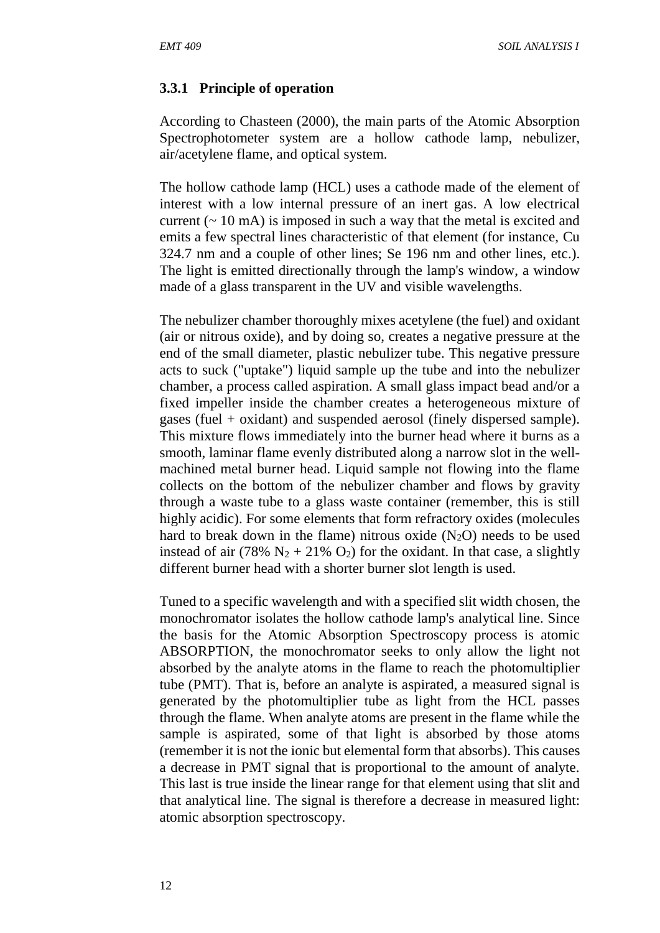#### **3.3.1 Principle of operation**

According to Chasteen (2000), the main parts of the Atomic Absorption Spectrophotometer system are a hollow cathode lamp, nebulizer, air/acetylene flame, and optical system.

The hollow cathode lamp (HCL) uses a cathode made of the element of interest with a low internal pressure of an inert gas. A low electrical current  $({\sim 10 \text{ mA}})$  is imposed in such a way that the metal is excited and emits a few spectral lines characteristic of that element (for instance, Cu 324.7 nm and a couple of other lines; Se 196 nm and other lines, etc.). The light is emitted directionally through the lamp's window, a window made of a glass transparent in the UV and visible wavelengths.

The nebulizer chamber thoroughly mixes acetylene (the fuel) and oxidant (air or nitrous oxide), and by doing so, creates a negative pressure at the end of the small diameter, plastic nebulizer tube. This negative pressure acts to suck ("uptake") liquid sample up the tube and into the nebulizer chamber, a process called aspiration. A small glass impact bead and/or a fixed impeller inside the chamber creates a heterogeneous mixture of gases (fuel + oxidant) and suspended aerosol (finely dispersed sample). This mixture flows immediately into the burner head where it burns as a smooth, laminar flame evenly distributed along a narrow slot in the well machined metal burner head. Liquid sample not flowing into the flame collects on the bottom of the nebulizer chamber and flows by gravity through a waste tube to a glass waste container (remember, this is still highly acidic). For some elements that form refractory oxides (molecules hard to break down in the flame) nitrous oxide  $(N_2O)$  needs to be used instead of air (78%  $N_2 + 21\%$  O<sub>2</sub>) for the oxidant. In that case, a slightly different burner head with a shorter burner slot length is used.

Tuned to a specific wavelength and with a specified slit width chosen, the monochromator isolates the hollow cathode lamp's analytical line. Since the basis for the Atomic Absorption Spectroscopy process is atomic ABSORPTION, the monochromator seeks to only allow the light not absorbed by the analyte atoms in the flame to reach the photomultiplier tube (PMT). That is, before an analyte is aspirated, a measured signal is generated by the photomultiplier tube as light from the HCL passes through the flame. When analyte atoms are present in the flame while the sample is aspirated, some of that light is absorbed by those atoms (remember it is not the ionic but elemental form that absorbs). This causes a decrease in PMT signal that is proportional to the amount of analyte. This last is true inside the linear range for that element using that slit and that analytical line. The signal is therefore a decrease in measured light: atomic absorption spectroscopy.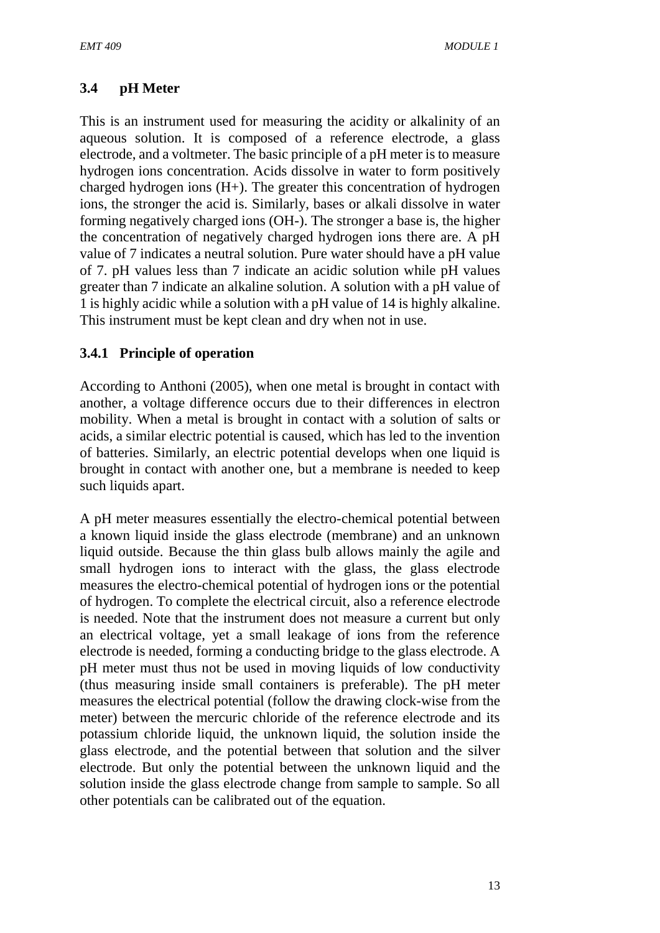# **3.4 pH Meter**

This is an instrument used for measuring the acidity or alkalinity of an aqueous solution. It is composed of a reference electrode, a glass electrode, and a voltmeter. The basic principle of a pH meter is to measure hydrogen ions concentration. Acids dissolve in water to form positively charged hydrogen ions (H+). The greater this concentration of hydrogen ions, the stronger the acid is. Similarly, bases or alkali dissolve in water forming negatively charged ions (OH-). The stronger a base is, the higher the concentration of negatively charged hydrogen ions there are. A pH value of 7 indicates a neutral solution. Pure water should have a pH value of 7. pH values less than 7 indicate an acidic solution while pH values greater than 7 indicate an alkaline solution. A solution with a pH value of 1 is highly acidic while a solution with a pH value of 14 is highly alkaline. This instrument must be kept clean and dry when not in use.

## **3.4.1 Principle of operation**

According to Anthoni (2005), when one metal is brought in contact with another, a voltage difference occurs due to their differences in electron mobility. When a metal is brought in contact with a solution of salts or acids, a similar electric potential is caused, which has led to the invention of batteries. Similarly, an electric potential develops when one liquid is brought in contact with another one, but a membrane is needed to keep such liquids apart.

A pH meter measures essentially the electro-chemical potential between a known liquid inside the glass electrode (membrane) and an unknown liquid outside. Because the thin glass bulb allows mainly the agile and small hydrogen ions to interact with the glass, the glass electrode measures the electro-chemical potential of hydrogen ions or the potential of hydrogen. To complete the electrical circuit, also a reference electrode is needed. Note that the instrument does not measure a current but only an electrical voltage, yet a small leakage of ions from the reference electrode is needed, forming a conducting bridge to the glass electrode. A pH meter must thus not be used in moving liquids of low conductivity (thus measuring inside small containers is preferable). The pH meter measures the electrical potential (follow the drawing clock-wise from the meter) between the mercuric chloride of the reference electrode and its potassium chloride liquid, the unknown liquid, the solution inside the glass electrode, and the potential between that solution and the silver electrode. But only the potential between the unknown liquid and the solution inside the glass electrode change from sample to sample. So all other potentials can be calibrated out of the equation.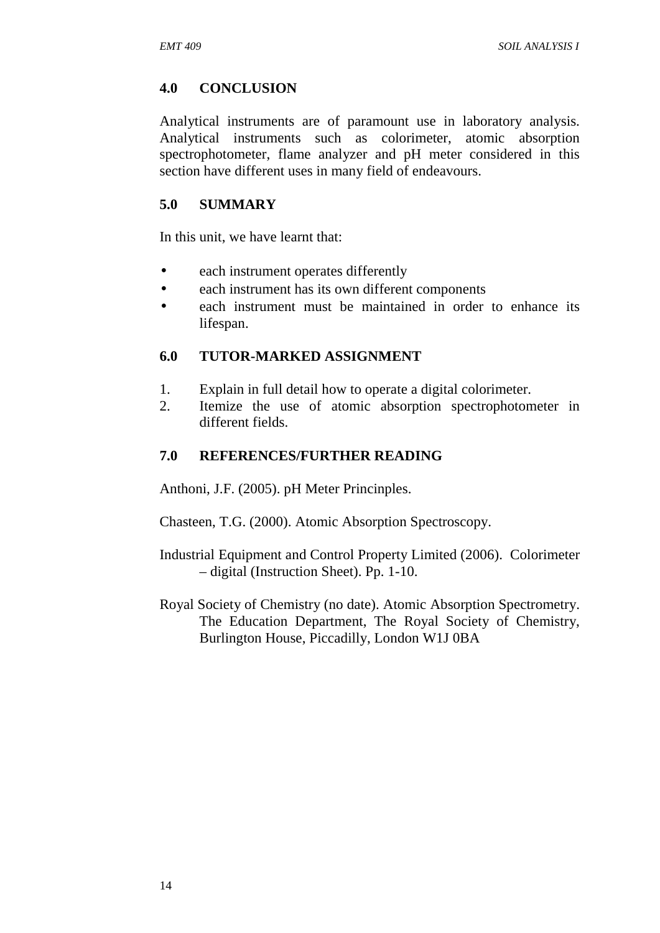## **4.0 CONCLUSION**

Analytical instruments are of paramount use in laboratory analysis. Analytical instruments such as colorimeter, atomic absorption spectrophotometer, flame analyzer and pH meter considered in this section have different uses in many field of endeavours.

## **5.0 SUMMARY**

In this unit, we have learnt that:

- each instrument operates differently
- each instrument has its own different components
- each instrument must be maintained in order to enhance its lifespan.

## **6.0 TUTOR-MARKED ASSIGNMENT**

- 1. Explain in full detail how to operate a digital colorimeter.
- 2. Itemize the use of atomic absorption spectrophotometer in different fields.

#### **7.0 REFERENCES/FURTHER READING**

Anthoni, J.F. (2005). pH Meter Princinples.

Chasteen, T.G. (2000). Atomic Absorption Spectroscopy.

- Industrial Equipment and Control Property Limited (2006). Colorimeter – digital (Instruction Sheet). Pp. 1-10.
- Royal Society of Chemistry (no date). Atomic Absorption Spectrometry. The Education Department, The Royal Society of Chemistry, Burlington House, Piccadilly, London W1J 0BA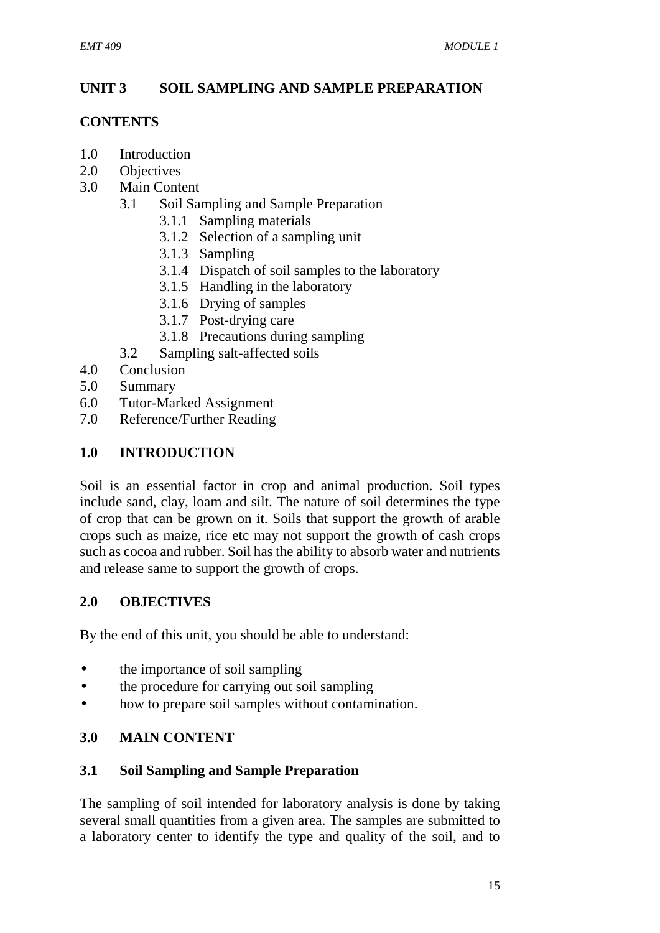## **UNIT 3 SOIL SAMPLING AND SAMPLE PREPARATION**

#### **CONTENTS**

- 1.0 Introduction
- 2.0 Objectives
- 3.0 Main Content
	- 3.1 Soil Sampling and Sample Preparation
		- 3.1.1 Sampling materials
		- 3.1.2 Selection of a sampling unit
		- 3.1.3 Sampling
		- 3.1.4 Dispatch of soil samples to the laboratory
		- 3.1.5 Handling in the laboratory
		- 3.1.6 Drying of samples
		- 3.1.7 Post-drying care
		- 3.1.8 Precautions during sampling
	- 3.2 Sampling salt-affected soils
- 4.0 Conclusion
- 5.0 Summary
- 6.0 Tutor-Marked Assignment
- 7.0 Reference/Further Reading

## **1.0 INTRODUCTION**

Soil is an essential factor in crop and animal production. Soil types include sand, clay, loam and silt. The nature of soil determines the type of crop that can be grown on it. Soils that support the growth of arable crops such as maize, rice etc may not support the growth of cash crops such as cocoa and rubber. Soil has the ability to absorb water and nutrients and release same to support the growth of crops.

#### **2.0 OBJECTIVES**

By the end of this unit, you should be able to understand:

- the importance of soil sampling
- the procedure for carrying out soil sampling
- how to prepare soil samples without contamination.

## **3.0 MAIN CONTENT**

#### **3.1 Soil Sampling and Sample Preparation**

The sampling of soil intended for laboratory analysis is done by taking several small quantities from a given area. The samples are submitted to a laboratory center to identify the type and quality of the soil, and to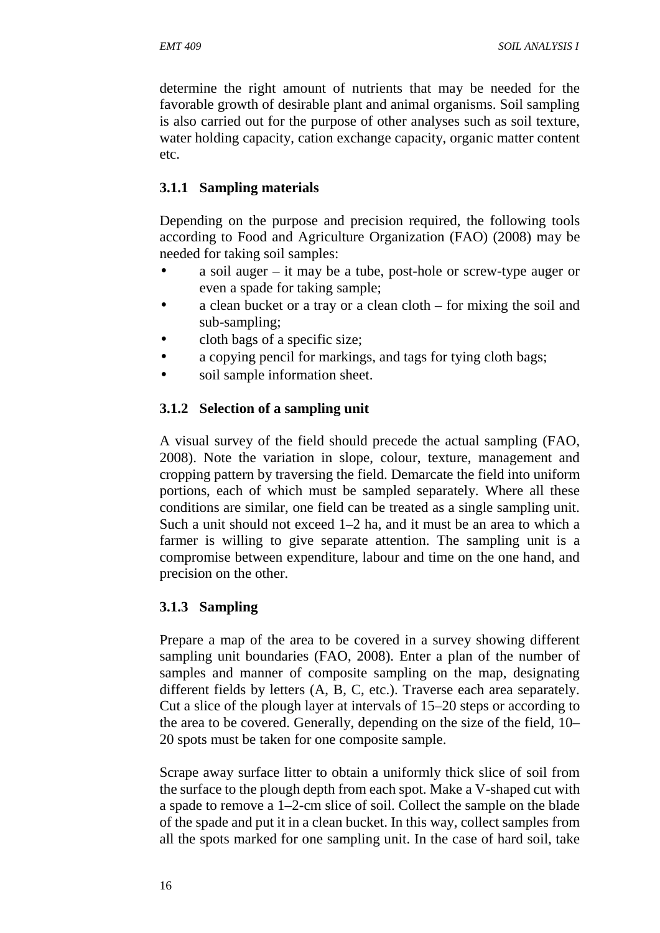determine the right amount of nutrients that may be needed for the favorable growth of desirable plant and animal organisms. Soil sampling is also carried out for the purpose of other analyses such as soil texture, water holding capacity, cation exchange capacity, organic matter content etc.

## **3.1.1 Sampling materials**

Depending on the purpose and precision required, the following tools according to Food and Agriculture Organization (FAO) (2008) may be needed for taking soil samples:

- a soil auger it may be a tube, post-hole or screw-type auger or even a spade for taking sample;
- a clean bucket or a tray or a clean cloth for mixing the soil and sub-sampling;
- cloth bags of a specific size;
- a copying pencil for markings, and tags for tying cloth bags;
- soil sample information sheet.

## **3.1.2 Selection of a sampling unit**

A visual survey of the field should precede the actual sampling (FAO, 2008). Note the variation in slope, colour, texture, management and cropping pattern by traversing the field. Demarcate the field into uniform portions, each of which must be sampled separately. Where all these conditions are similar, one field can be treated as a single sampling unit. Such a unit should not exceed  $1-2$  ha, and it must be an area to which a farmer is willing to give separate attention. The sampling unit is a compromise between expenditure, labour and time on the one hand, and precision on the other.

#### **3.1.3 Sampling**

Prepare a map of the area to be covered in a survey showing different sampling unit boundaries (FAO, 2008). Enter a plan of the number of samples and manner of composite sampling on the map, designating different fields by letters (A, B, C, etc.). Traverse each area separately. Cut a slice of the plough layer at intervals of 15–20 steps or according to the area to be covered. Generally, depending on the size of the field, 10– 20 spots must be taken for one composite sample.

Scrape away surface litter to obtain a uniformly thick slice of soil from the surface to the plough depth from each spot. Make a V-shaped cut with a spade to remove a 1–2-cm slice of soil. Collect the sample on the blade of the spade and put it in a clean bucket. In this way, collect samples from all the spots marked for one sampling unit. In the case of hard soil, take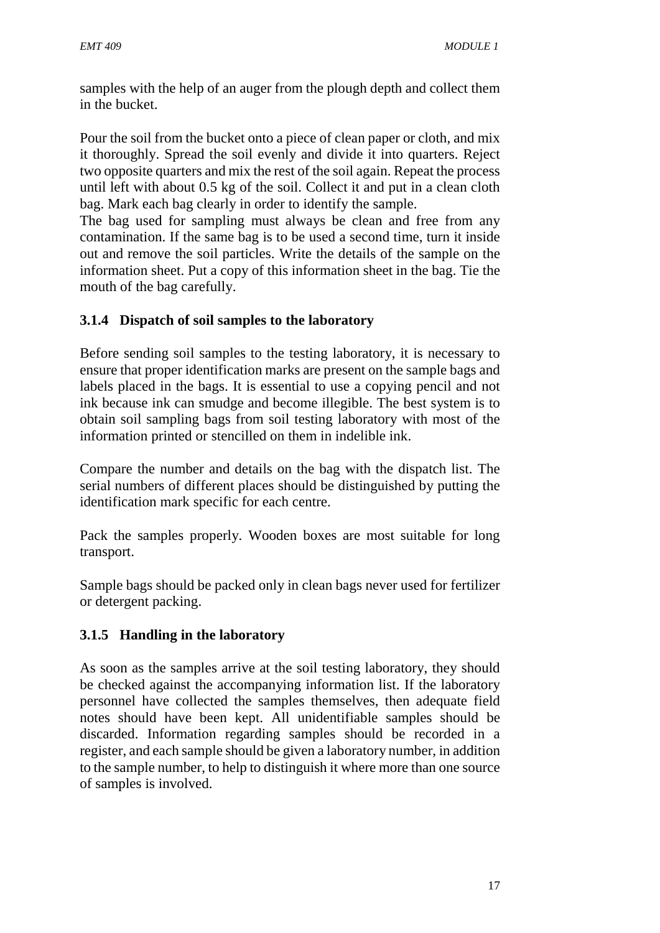samples with the help of an auger from the plough depth and collect them in the bucket.

Pour the soil from the bucket onto a piece of clean paper or cloth, and mix it thoroughly. Spread the soil evenly and divide it into quarters. Reject two opposite quarters and mix the rest of the soil again. Repeat the process until left with about 0.5 kg of the soil. Collect it and put in a clean cloth bag. Mark each bag clearly in order to identify the sample.

The bag used for sampling must always be clean and free from any contamination. If the same bag is to be used a second time, turn it inside out and remove the soil particles. Write the details of the sample on the information sheet. Put a copy of this information sheet in the bag. Tie the mouth of the bag carefully.

## **3.1.4 Dispatch of soil samples to the laboratory**

Before sending soil samples to the testing laboratory, it is necessary to ensure that proper identification marks are present on the sample bags and labels placed in the bags. It is essential to use a copying pencil and not ink because ink can smudge and become illegible. The best system is to obtain soil sampling bags from soil testing laboratory with most of the information printed or stencilled on them in indelible ink.

Compare the number and details on the bag with the dispatch list. The serial numbers of different places should be distinguished by putting the identification mark specific for each centre.

Pack the samples properly. Wooden boxes are most suitable for long transport.

Sample bags should be packed only in clean bags never used for fertilizer or detergent packing.

# **3.1.5 Handling in the laboratory**

As soon as the samples arrive at the soil testing laboratory, they should be checked against the accompanying information list. If the laboratory personnel have collected the samples themselves, then adequate field notes should have been kept. All unidentifiable samples should be discarded. Information regarding samples should be recorded in a register, and each sample should be given a laboratory number, in addition to the sample number, to help to distinguish it where more than one source of samples is involved.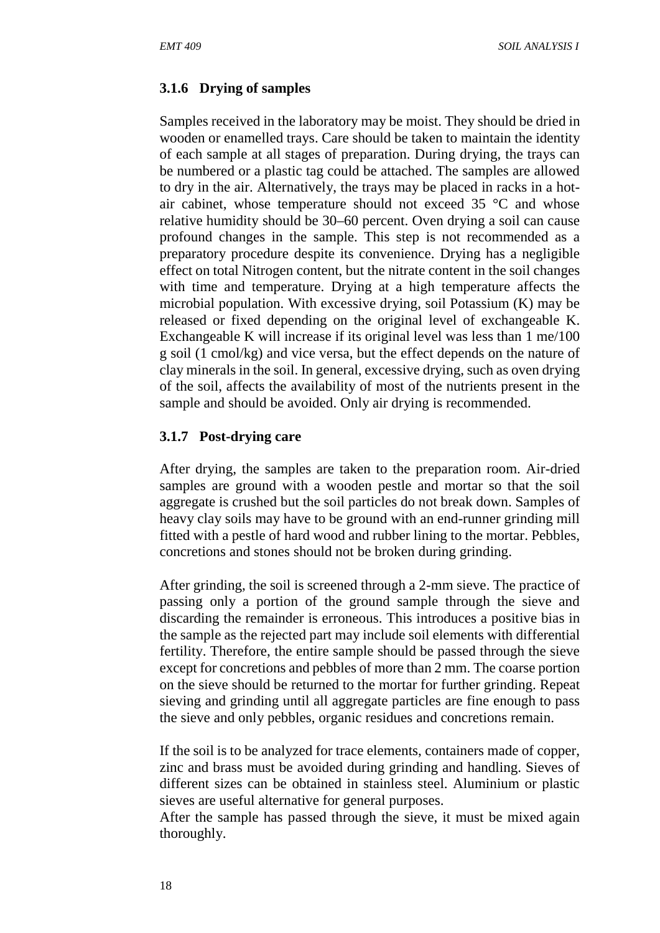#### **3.1.6 Drying of samples**

Samples received in the laboratory may be moist. They should be dried in wooden or enamelled trays. Care should be taken to maintain the identity of each sample at all stages of preparation. During drying, the trays can be numbered or a plastic tag could be attached. The samples are allowed to dry in the air. Alternatively, the trays may be placed in racks in a hot air cabinet, whose temperature should not exceed 35 °C and whose relative humidity should be 30–60 percent. Oven drying a soil can cause profound changes in the sample. This step is not recommended as a preparatory procedure despite its convenience. Drying has a negligible effect on total Nitrogen content, but the nitrate content in the soil changes with time and temperature. Drying at a high temperature affects the microbial population. With excessive drying, soil Potassium (K) may be released or fixed depending on the original level of exchangeable K. Exchangeable K will increase if its original level was less than 1 me/100 g soil (1 cmol/kg) and vice versa, but the effect depends on the nature of clay minerals in the soil. In general, excessive drying, such as oven drying of the soil, affects the availability of most of the nutrients present in the sample and should be avoided. Only air drying is recommended.

#### **3.1.7 Post-drying care**

After drying, the samples are taken to the preparation room. Air-dried samples are ground with a wooden pestle and mortar so that the soil aggregate is crushed but the soil particles do not break down. Samples of heavy clay soils may have to be ground with an end-runner grinding mill fitted with a pestle of hard wood and rubber lining to the mortar. Pebbles, concretions and stones should not be broken during grinding.

After grinding, the soil is screened through a 2-mm sieve. The practice of passing only a portion of the ground sample through the sieve and discarding the remainder is erroneous. This introduces a positive bias in the sample as the rejected part may include soil elements with differential fertility. Therefore, the entire sample should be passed through the sieve except for concretions and pebbles of more than 2 mm. The coarse portion on the sieve should be returned to the mortar for further grinding. Repeat sieving and grinding until all aggregate particles are fine enough to pass the sieve and only pebbles, organic residues and concretions remain.

If the soil is to be analyzed for trace elements, containers made of copper, zinc and brass must be avoided during grinding and handling. Sieves of different sizes can be obtained in stainless steel. Aluminium or plastic sieves are useful alternative for general purposes.

After the sample has passed through the sieve, it must be mixed again thoroughly.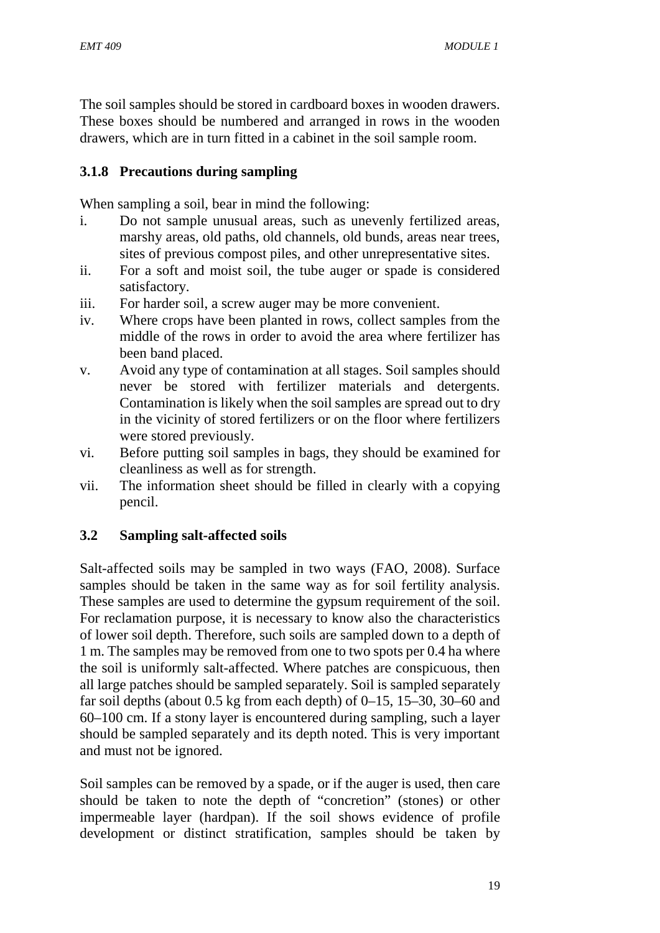The soil samples should be stored in cardboard boxes in wooden drawers. These boxes should be numbered and arranged in rows in the wooden drawers, which are in turn fitted in a cabinet in the soil sample room.

## **3.1.8 Precautions during sampling**

When sampling a soil, bear in mind the following:

- i. Do not sample unusual areas, such as unevenly fertilized areas, marshy areas, old paths, old channels, old bunds, areas near trees, sites of previous compost piles, and other unrepresentative sites.
- ii. For a soft and moist soil, the tube auger or spade is considered satisfactory.
- iii. For harder soil, a screw auger may be more convenient.
- iv. Where crops have been planted in rows, collect samples from the middle of the rows in order to avoid the area where fertilizer has been band placed.
- v. Avoid any type of contamination at all stages. Soil samples should never be stored with fertilizer materials and detergents. Contamination is likely when the soil samples are spread out to dry in the vicinity of stored fertilizers or on the floor where fertilizers were stored previously.
- vi. Before putting soil samples in bags, they should be examined for cleanliness as well as for strength.
- vii. The information sheet should be filled in clearly with a copying pencil.

## **3.2 Sampling salt-affected soils**

Salt-affected soils may be sampled in two ways (FAO, 2008). Surface samples should be taken in the same way as for soil fertility analysis. These samples are used to determine the gypsum requirement of the soil. For reclamation purpose, it is necessary to know also the characteristics of lower soil depth. Therefore, such soils are sampled down to a depth of 1 m. The samples may be removed from one to two spots per 0.4 ha where the soil is uniformly salt-affected. Where patches are conspicuous, then all large patches should be sampled separately. Soil is sampled separately far soil depths (about 0.5 kg from each depth) of 0–15, 15–30, 30–60 and 60–100 cm. If a stony layer is encountered during sampling, such a layer should be sampled separately and its depth noted. This is very important and must not be ignored.

Soil samples can be removed by a spade, or if the auger is used, then care should be taken to note the depth of "concretion" (stones) or other impermeable layer (hardpan). If the soil shows evidence of profile development or distinct stratification, samples should be taken by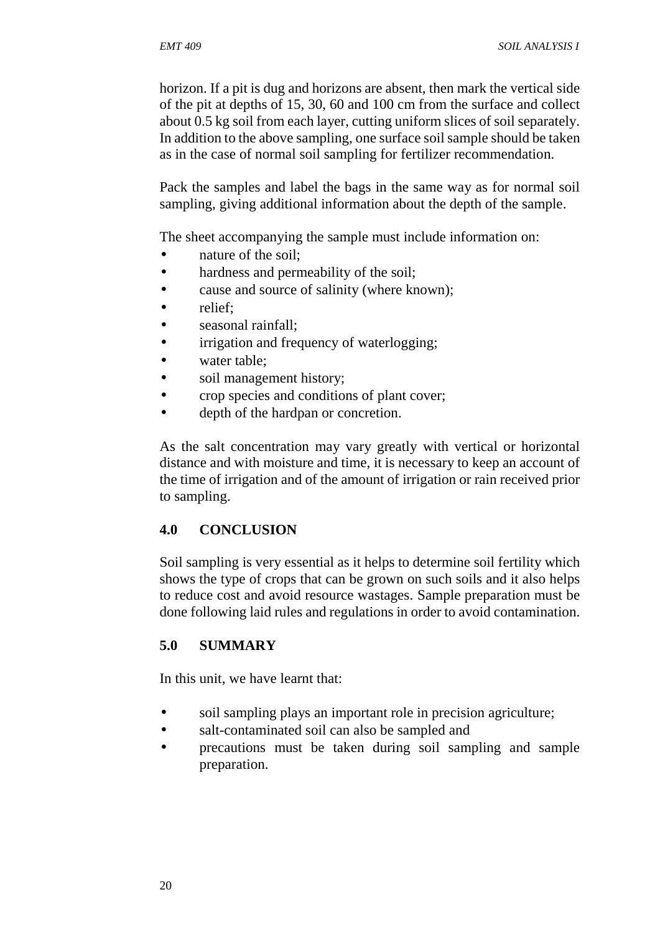horizon. If a pit is dug and horizons are absent, then mark the vertical side of the pit at depths of 15, 30, 60 and 100 cm from the surface and collect about 0.5 kg soil from each layer, cutting uniform slices of soil separately. In addition to the above sampling, one surface soil sample should be taken as in the case of normal soil sampling for fertilizer recommendation.

Pack the samples and label the bags in the same way as for normal soil sampling, giving additional information about the depth of the sample.

The sheet accompanying the sample must include information on:

- nature of the soil;
- hardness and permeability of the soil;
- cause and source of salinity (where known);
- relief;
- seasonal rainfall;
- irrigation and frequency of waterlogging;
- water table;
- soil management history;
- crop species and conditions of plant cover;
- depth of the hardpan or concretion.

As the salt concentration may vary greatly with vertical or horizontal distance and with moisture and time, it is necessary to keep an account of the time of irrigation and of the amount of irrigation or rain received prior to sampling.

#### **4.0 CONCLUSION**

Soil sampling is very essential as it helps to determine soil fertility which shows the type of crops that can be grown on such soils and it also helps to reduce cost and avoid resource wastages. Sample preparation must be done following laid rules and regulations in order to avoid contamination.

## **5.0 SUMMARY**

In this unit, we have learnt that:

- soil sampling plays an important role in precision agriculture;
- salt-contaminated soil can also be sampled and
- precautions must be taken during soil sampling and sample preparation.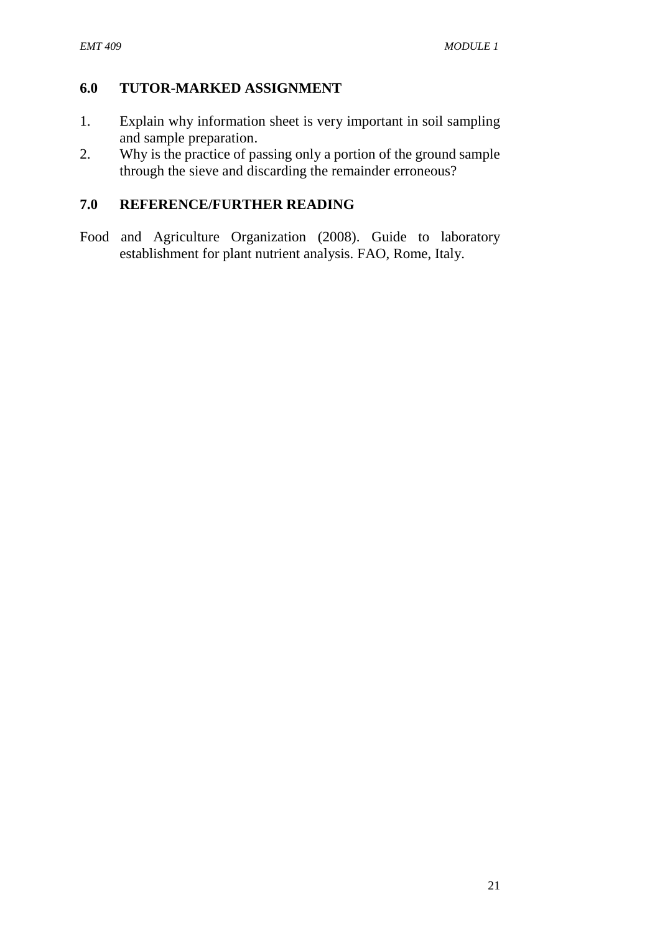## **6.0 TUTOR-MARKED ASSIGNMENT**

- 1. Explain why information sheet is very important in soil sampling and sample preparation.
- 2. Why is the practice of passing only a portion of the ground sample through the sieve and discarding the remainder erroneous?

#### **7.0 REFERENCE/FURTHER READING**

Food and Agriculture Organization (2008). Guide to laboratory establishment for plant nutrient analysis. FAO, Rome, Italy.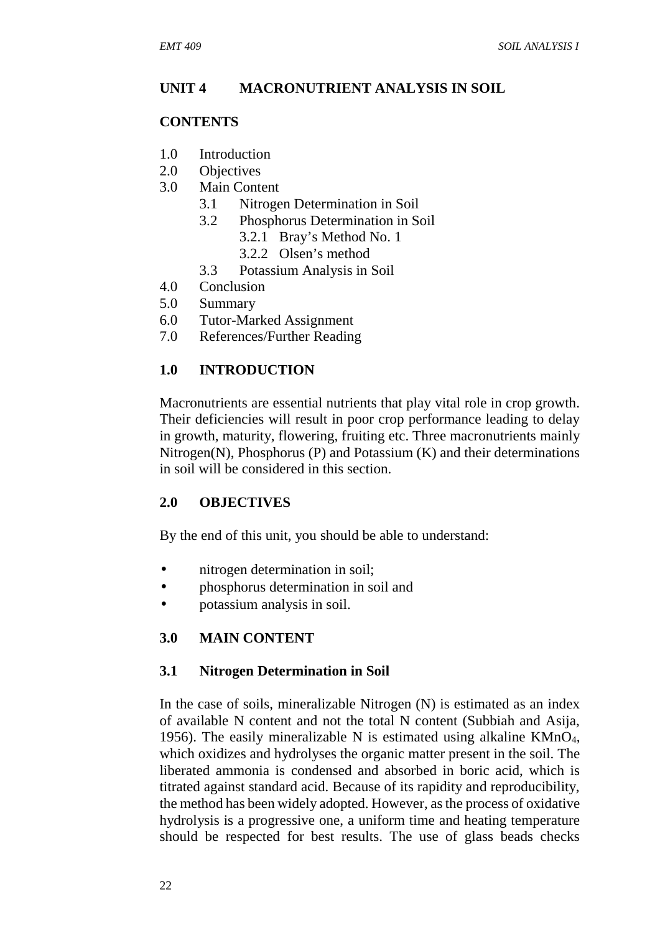## **UNIT 4 MACRONUTRIENT ANALYSIS IN SOIL**

#### **CONTENTS**

- 1.0 Introduction
- 2.0 Objectives
- 3.0 Main Content
	- 3.1 Nitrogen Determination in Soil
	- 3.2 Phosphorus Determination in Soil
		- 3.2.1 Bray's Method No. 1
		- 3.2.2 Olsen's method
	- 3.3 Potassium Analysis in Soil
- 4.0 Conclusion
- 5.0 Summary
- 6.0 Tutor-Marked Assignment
- 7.0 References/Further Reading

## **1.0 INTRODUCTION**

Macronutrients are essential nutrients that play vital role in crop growth. Their deficiencies will result in poor crop performance leading to delay in growth, maturity, flowering, fruiting etc. Three macronutrients mainly Nitrogen(N), Phosphorus (P) and Potassium (K) and their determinations in soilwill be considered in this section.

#### **2.0 OBJECTIVES**

By the end of this unit, you should be able to understand:

- nitrogen determination in soil;
- phosphorus determination in soil and
- potassium analysis in soil.

#### **3.0 MAIN CONTENT**

#### **3.1 Nitrogen Determination in Soil**

In the case of soils, mineralizable Nitrogen  $(N)$  is estimated as an index of available N content and not the total N content (Subbiah and Asija, 1956). The easily mineralizable N is estimated using alkaline  $KMnO<sub>4</sub>$ , which oxidizes and hydrolyses the organic matter present in the soil. The liberated ammonia is condensed and absorbed in boric acid, which is titrated against standard acid. Because of its rapidity and reproducibility, the method has been widely adopted. However, as the process of oxidative hydrolysis is a progressive one, a uniform time and heating temperature should be respected for best results. The use of glass beads checks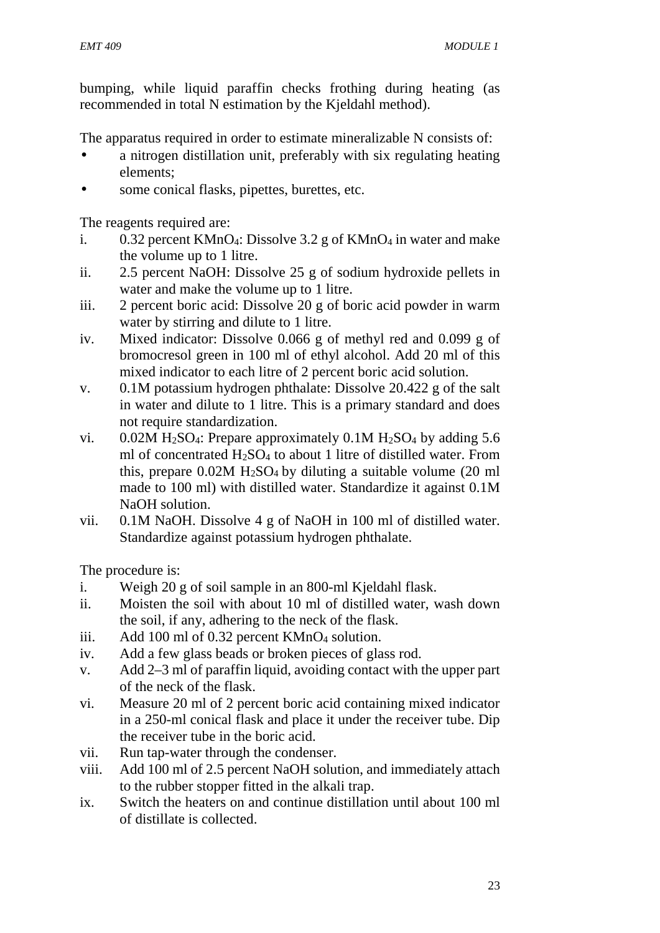bumping, while liquid paraffin checks frothing during heating (as recommended in total N estimation by the Kjeldahl method).

The apparatus required in order to estimate mineralizable N consists of:

- a nitrogen distillation unit, preferably with six regulating heating elements;
- some conical flasks, pipettes, burettes, etc.

The reagents required are:

- i.  $0.32$  percent KMnO<sub>4</sub>: Dissolve 3.2 g of KMnO<sub>4</sub> in water and make the volume up to 1 litre.
- ii. 2.5 percent NaOH: Dissolve 25 g of sodium hydroxide pellets in water and make the volume up to 1 litre.
- iii. 2 percent boric acid: Dissolve 20 g of boric acid powder in warm water by stirring and dilute to 1 litre.
- iv. Mixed indicator: Dissolve 0.066 g of methyl red and 0.099 g of bromocresol green in 100 ml of ethyl alcohol. Add 20 ml of this mixed indicator to each litre of 2 percent boric acid solution.
- v. 0.1M potassium hydrogen phthalate: Dissolve 20.422 g of the salt in water and dilute to 1 litre. This is a primary standard and does not require standardization.
- vi.  $0.02M$  H<sub>2</sub>SO<sub>4</sub>: Prepare approximately  $0.1M$  H<sub>2</sub>SO<sub>4</sub> by adding 5.6 ml of concentrated  $H_2SO_4$  to about 1 litre of distilled water. From this, prepare  $0.02M$  H<sub>2</sub>SO<sub>4</sub> by diluting a suitable volume (20 ml) made to 100 ml) with distilled water. Standardize it against 0.1M NaOH solution.
- vii. 0.1M NaOH. Dissolve 4 g of NaOH in 100 ml of distilled water. Standardize against potassium hydrogen phthalate.

The procedure is:

- i. Weigh 20 g of soil sample in an 800-ml Kjeldahl flask.
- ii. Moisten the soil with about 10 ml of distilled water, wash down the soil, if any, adhering to the neck of the flask.
- iii. Add 100 ml of 0.32 percent KMnO<sub>4</sub> solution.
- iv. Add a few glass beads or broken pieces of glass rod.
- v. Add 2–3 ml of paraffin liquid, avoiding contact with the upper part of the neck of the flask.
- vi. Measure 20 ml of 2 percent boric acid containing mixed indicator in a 250-ml conical flask and place it under the receiver tube. Dip the receiver tube in the boric acid.
- vii. Run tap-water through the condenser.
- viii. Add 100 ml of 2.5 percent NaOH solution, and immediately attach to the rubber stopper fitted in the alkali trap.
- ix. Switch the heaters on and continue distillation until about 100 ml of distillate is collected.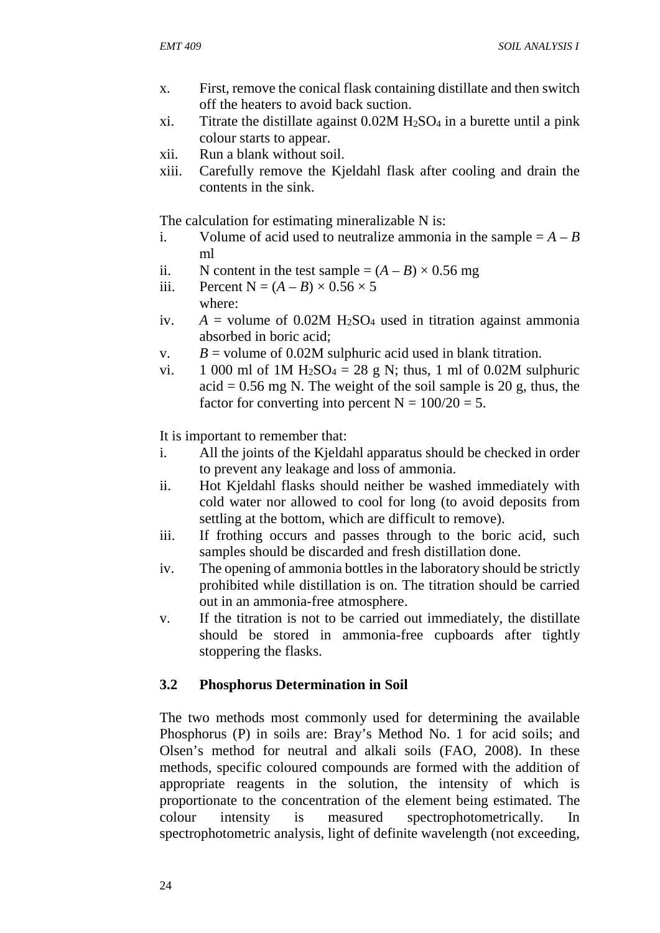- x. First, remove the conical flask containing distillate and then switch off the heaters to avoid back suction.
- xi. Titrate the distillate against  $0.02M H<sub>2</sub>SO<sub>4</sub>$  in a burette until a pink colour starts to appear.
- xii. Run a blank without soil.
- xiii. Carefully remove the Kjeldahl flask after cooling and drain the contents in the sink.

The calculation for estimating mineralizable N is:

- i. Volume of acid used to neutralize ammonia in the sample  $= A B$ ml
- ii. N content in the test sample =  $(A B) \times 0.56$  mg
- iii. Percent  $N = (A B) \times 0.56 \times 5$ where:
- iv.  $A =$  volume of 0.02M H<sub>2</sub>SO<sub>4</sub> used in titration against ammonia absorbed in boric acid;
- v.  $B =$  volume of 0.02M sulphuric acid used in blank titration.
- vi. 1 000 ml of 1M H<sub>2</sub>SO<sub>4</sub> = 28 g N; thus, 1 ml of 0.02M sulphuric  $\text{acid} = 0.56 \text{ mg N}$ . The weight of the soil sample is 20 g, thus, the factor for converting into percent  $N = 100/20 = 5$ .

It is important to remember that:

- i. All the joints of the Kjeldahl apparatus should be checked in order to prevent any leakage and loss of ammonia.
- ii. Hot Kjeldahl flasks should neither be washed immediately with cold water nor allowed to cool for long (to avoid deposits from settling at the bottom, which are difficult to remove).
- iii. If frothing occurs and passes through to the boric acid, such samples should be discarded and fresh distillation done.
- iv. The opening of ammonia bottles in the laboratory should be strictly prohibited while distillation is on. The titration should be carried out in an ammonia-free atmosphere.
- v. If the titration is not to be carried out immediately, the distillate should be stored in ammonia-free cupboards after tightly stoppering the flasks.

## **3.2 Phosphorus Determination in Soil**

The two methods most commonly used for determining the available Phosphorus (P) in soils are: Bray's Method No. 1 for acid soils; and Olsen's method for neutral and alkali soils (FAO, 2008). In these methods, specific coloured compounds are formed with the addition of appropriate reagents in the solution, the intensity of which is proportionate to the concentration of the element being estimated. The colour intensity is measured spectrophotometrically. In spectrophotometric analysis, light of definite wavelength (not exceeding,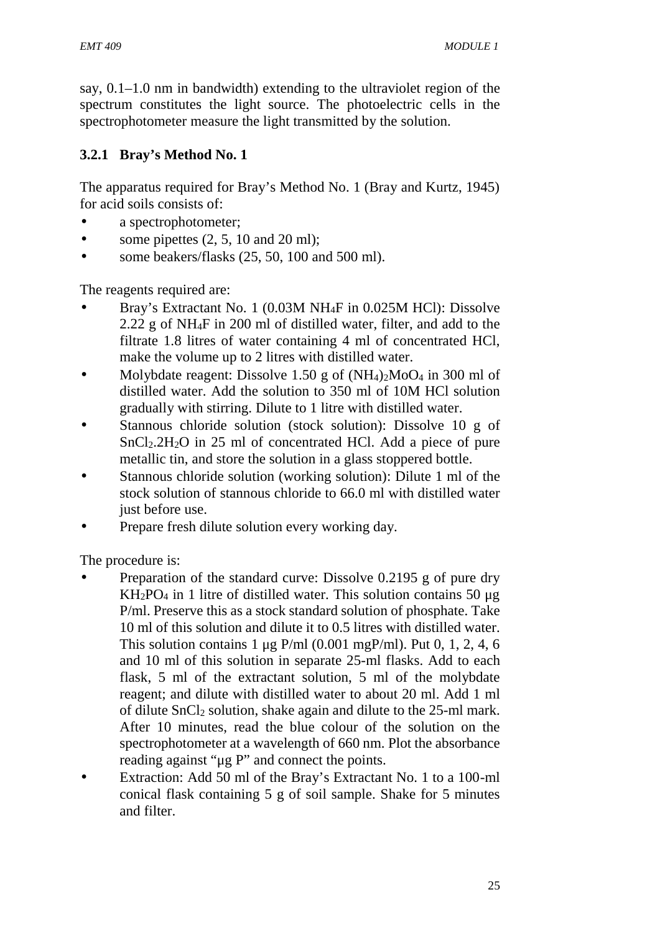say, 0.1–1.0 nm in bandwidth) extending to the ultraviolet region of the spectrum constitutes the light source. The photoelectric cells in the spectrophotometer measure the light transmitted by the solution.

## **3.2.1 Bray's Method No. 1**

The apparatus required for Bray's Method No. 1 (Bray and Kurtz, 1945) for acid soils consists of:

- a spectrophotometer;
- some pipettes  $(2, 5, 10, \text{ and } 20, \text{ ml})$ ;
- some beakers/flasks (25, 50, 100 and 500 ml).

The reagents required are:

- Bray's Extractant No. 1 (0.03M NH4F in 0.025M HCl): Dissolve 2.22 g of NH4F in 200 ml of distilled water, filter, and add to the filtrate 1.8 litres of water containing 4 ml of concentrated HCl, make the volume up to 2 litres with distilled water.
- Molybdate reagent: Dissolve 1.50 g of  $(NH_4)$ <sub>2</sub>MoO<sub>4</sub> in 300 ml of distilled water. Add the solution to 350 ml of 10M HCl solution gradually with stirring. Dilute to 1 litre with distilled water.
- Stannous chloride solution (stock solution): Dissolve 10 g of  $SnCl<sub>2</sub>·2H<sub>2</sub>O$  in 25 ml of concentrated HCl. Add a piece of pure metallic tin, and store the solution in a glass stoppered bottle.
- Stannous chloride solution (working solution): Dilute 1 ml of the stock solution of stannous chloride to 66.0 ml with distilled water just before use.
- Prepare fresh dilute solution every working day.

The procedure is:

- Preparation of the standard curve: Dissolve 0.2195 g of pure dry  $KH<sub>2</sub>PO<sub>4</sub>$  in 1 litre of distilled water. This solution contains 50 µg P/ml. Preserve this as a stock standard solution of phosphate. Take 10 ml of this solution and dilute it to 0.5 litres with distilled water. This solution contains 1 μg  $P/ml$  (0.001 mg $P/ml$ ). Put 0, 1, 2, 4, 6 and 10 ml of this solution in separate 25-ml flasks. Add to each flask, 5 ml of the extractant solution, 5 ml of the molybdate reagent; and dilute with distilled water to about 20 ml. Add 1 ml of dilute SnCl<sub>2</sub> solution, shake again and dilute to the 25-ml mark. After 10 minutes, read the blue colour of the solution on the spectrophotometer at a wavelength of 660 nm. Plot the absorbance reading against "μg P" and connect the points.
- Extraction: Add 50 ml of the Bray's Extractant No. 1 to a 100-ml conical flask containing 5 g of soil sample. Shake for 5 minutes and filter.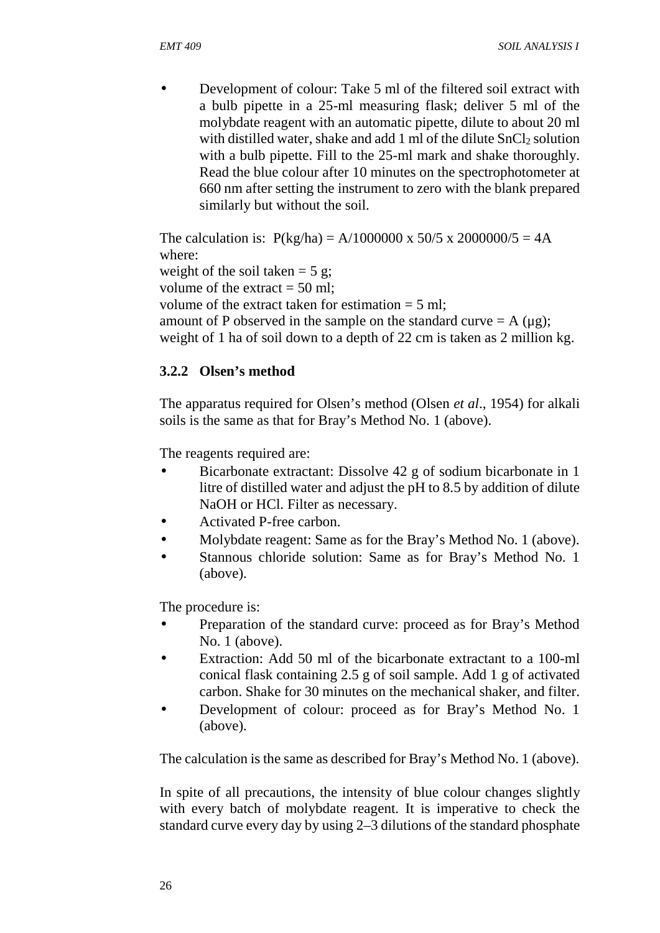Development of colour: Take 5 ml of the filtered soil extract with a bulb pipette in a 25-ml measuring flask; deliver 5 ml of the molybdate reagent with an automatic pipette, dilute to about 20 ml with distilled water, shake and add 1 ml of the dilute  $SnCl<sub>2</sub>$  solution with a bulb pipette. Fill to the 25-ml mark and shake thoroughly. Read the blue colour after 10 minutes on the spectrophotometer at 660 nm after setting the instrument to zero with the blank prepared similarly but without the soil.

The calculation is:  $P(kg/ha) = A/1000000 \times 50/5 \times 2000000/5 = 4A$ where: weight of the soil taken  $= 5$  g; volume of the extract  $= 50$  ml: volume of the extract taken for estimation  $= 5$  ml; amount of P observed in the sample on the standard curve  $= A (\mu g)$ ; weight of 1 ha of soil down to a depth of 22 cm is taken as 2 million kg.

#### **3.2.2 Olsen's method**

The apparatus required for Olsen's method (Olsen *et al*., 1954) for alkali soils is the same as that for Bray's Method No. 1 (above).

The reagents required are:

- Bicarbonate extractant: Dissolve 42 g of sodium bicarbonate in 1 litre of distilled water and adjust the pH to 8.5 by addition of dilute NaOH or HCl. Filter as necessary.
- Activated P-free carbon.
- Molybdate reagent: Same as for the Bray's Method No. 1 (above).
- Stannous chloride solution: Same as for Bray's Method No. 1 (above).

The procedure is:

- Preparation of the standard curve: proceed as for Bray's Method No. 1 (above).
- Extraction: Add 50 ml of the bicarbonate extractant to a 100-ml conical flask containing 2.5 g of soil sample. Add 1 g of activated carbon. Shake for 30 minutes on the mechanical shaker, and filter.
- Development of colour: proceed as for Bray's Method No. 1 (above).

The calculation is the same as described for Bray's Method No. 1 (above).

In spite of all precautions, the intensity of blue colour changes slightly with every batch of molybdate reagent. It is imperative to check the standard curve every day by using 2–3 dilutions of the standard phosphate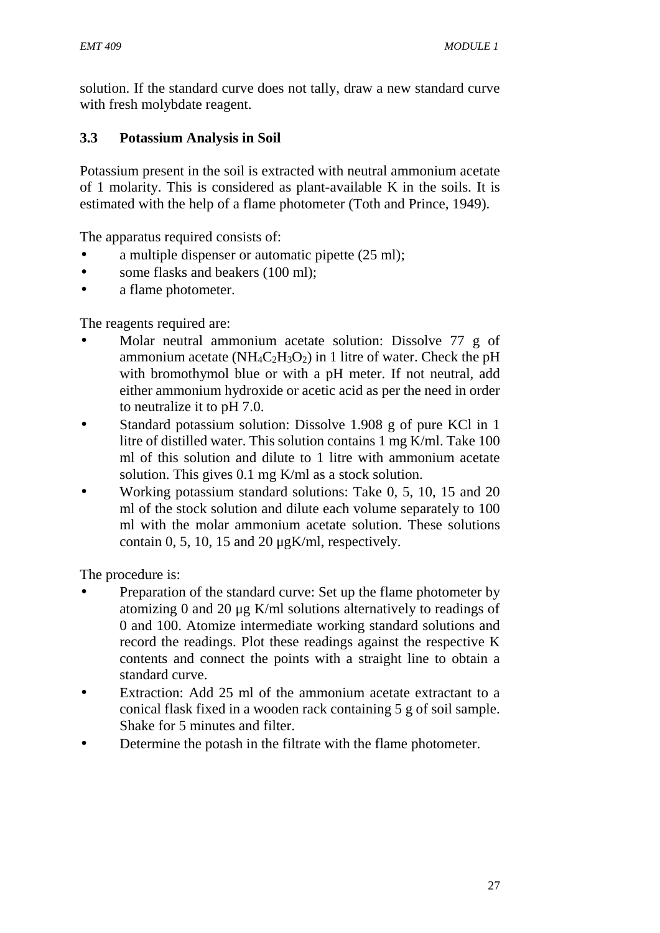solution. If the standard curve does not tally, draw a new standard curve with fresh molybdate reagent.

## **3.3 Potassium Analysis in Soil**

Potassium present in the soil is extracted with neutral ammonium acetate of 1 molarity. This is considered as plant-available K in the soils. It is estimated with the help of a flame photometer (Toth and Prince, 1949).

The apparatus required consists of:

- a multiple dispenser or automatic pipette (25 ml);
- some flasks and beakers (100 ml);
- a flame photometer.

The reagents required are:

- Molar neutral ammonium acetate solution: Dissolve 77 g of ammonium acetate ( $NH_4C_2H_3O_2$ ) in 1 litre of water. Check the pH with bromothymol blue or with a pH meter. If not neutral, add either ammonium hydroxide or acetic acid as per the need in order to neutralize it to pH 7.0.
- Standard potassium solution: Dissolve 1.908 g of pure KCl in 1 litre of distilled water. This solution contains 1 mg K/ml. Take 100 ml of this solution and dilute to 1 litre with ammonium acetate solution. This gives 0.1 mg K/ml as a stock solution.
- Working potassium standard solutions: Take 0, 5, 10, 15 and 20 ml of the stock solution and dilute each volume separately to 100 ml with the molar ammonium acetate solution. These solutions contain 0, 5, 10, 15 and 20  $\mu$ gK/ml, respectively.

The procedure is:

- Preparation of the standard curve: Set up the flame photometer by atomizing 0 and 20 μg K/ml solutions alternatively to readings of 0 and 100. Atomize intermediate working standard solutions and record the readings. Plot these readings against the respective K contents and connect the points with a straight line to obtain a standard curve.
- Extraction: Add 25 ml of the ammonium acetate extractant to a conical flask fixed in a wooden rack containing 5 g of soil sample. Shake for 5 minutes and filter.
- Determine the potash in the filtrate with the flame photometer.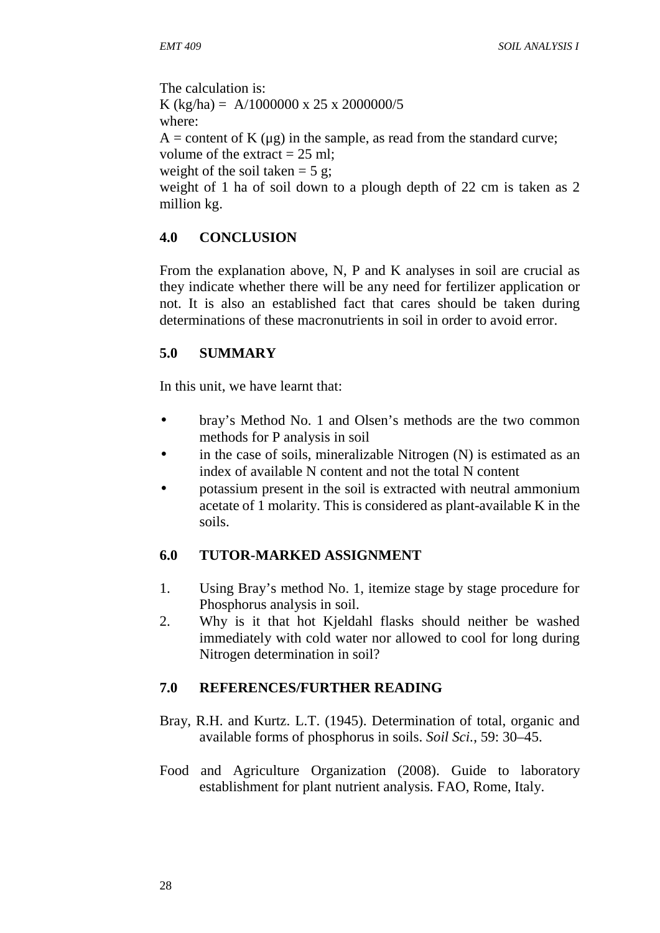The calculation is: K (kg/ha) = A/1000000 x 25 x 2000000/5 where:  $A =$  content of K (μg) in the sample, as read from the standard curve; volume of the extract  $= 25$  ml; weight of the soil taken  $= 5$  g;

weight of 1 ha of soil down to a plough depth of 22 cm is taken as 2 million kg.

#### **4.0 CONCLUSION**

From the explanation above, N, P and K analyses in soil are crucial as they indicate whether there will be any need for fertilizer application or not. It is also an established fact that cares should be taken during determinations of these macronutrients in soil in order to avoid error.

#### **5.0 SUMMARY**

In this unit, we have learnt that:

- bray's Method No. 1 and Olsen's methods are the two common methods for P analysis in soil
- in the case of soils, mineralizable Nitrogen (N) is estimated as an index of available N content and not the total N content
- potassium present in the soil is extracted with neutral ammonium acetate of 1 molarity. This is considered as plant-available K in the soils.

#### **6.0 TUTOR-MARKED ASSIGNMENT**

- 1. Using Bray's method No. 1, itemize stage by stage procedure for Phosphorus analysis in soil.
- 2. Why is it that hot Kjeldahl flasks should neither be washed immediately with cold water nor allowed to cool for long during Nitrogen determination in soil?

#### **7.0 REFERENCES/FURTHER READING**

- Bray, R.H. and Kurtz. L.T. (1945). Determination of total, organic and available forms of phosphorus in soils. *Soil Sci.*, 59: 30–45.
- Food and Agriculture Organization (2008). Guide to laboratory establishment for plant nutrient analysis. FAO, Rome, Italy.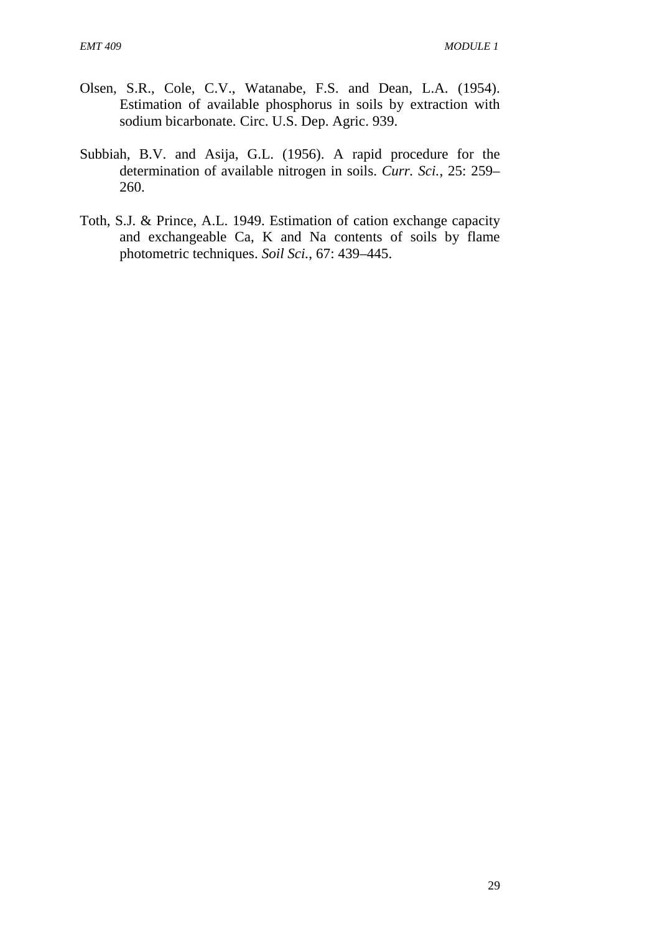- Olsen, S.R., Cole, C.V., Watanabe, F.S. and Dean, L.A. (1954). Estimation of available phosphorus in soils by extraction with sodium bicarbonate*.* Circ. U.S. Dep. Agric. 939.
- Subbiah, B.V. and Asija, G.L. (1956). A rapid procedure for the determination of available nitrogen in soils. *Curr. Sci.*, 25: 259– 260.
- Toth, S.J. & Prince, A.L. 1949. Estimation of cation exchange capacity and exchangeable Ca, K and Na contents of soils by flame photometric techniques. *Soil Sci.*, 67: 439–445.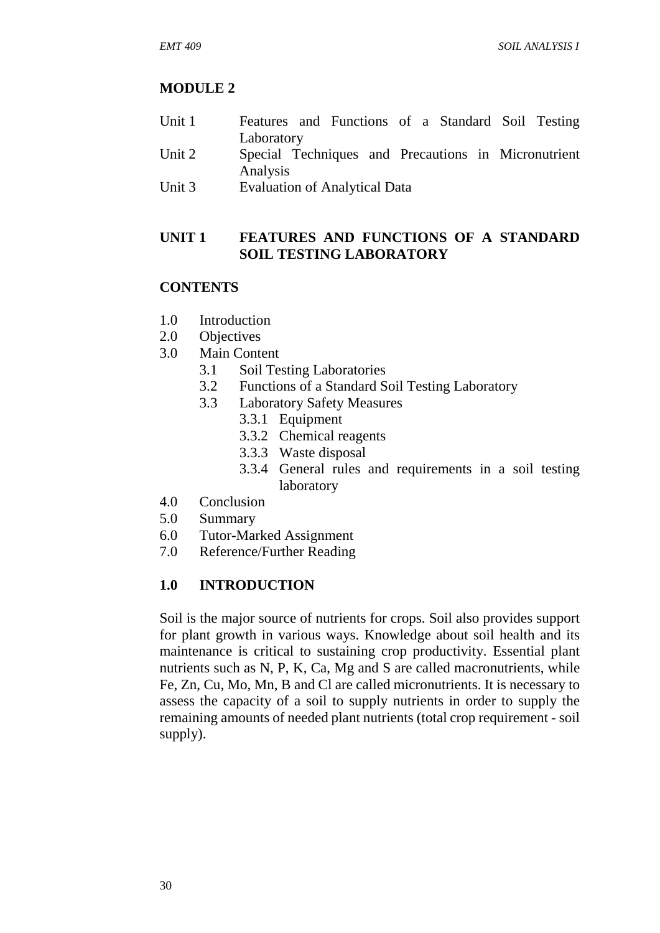## **MODULE 2**

- Unit 1 Features and Functions of a Standard Soil Testing Laboratory
- Unit 2 Special Techniques and Precautions in Micronutrient Analysis
- Unit 3 Evaluation of Analytical Data

## **UNIT 1 FEATURES AND FUNCTIONS OF A STANDARD SOIL TESTING LABORATORY**

#### **CONTENTS**

- 1.0 Introduction
- 2.0 Objectives
- 3.0 Main Content
	- 3.1 Soil Testing Laboratories
	- 3.2 Functions of a Standard Soil Testing Laboratory
	- 3.3 Laboratory Safety Measures
		- 3.3.1 Equipment
		- 3.3.2 Chemical reagents
		- 3.3.3 Waste disposal
		- 3.3.4 General rules and requirements in a soil testing laboratory
- 4.0 Conclusion
- 5.0 Summary
- 6.0 Tutor-Marked Assignment
- 7.0 Reference/Further Reading

## **1.0 INTRODUCTION**

Soil is the major source of nutrients for crops. Soil also provides support for plant growth in various ways. Knowledge about soil health and its maintenance is critical to sustaining crop productivity. Essential plant nutrients such as N, P, K, Ca, Mg and S are called macronutrients, while Fe, Zn, Cu, Mo, Mn, B and Cl are called micronutrients. It is necessary to assess the capacity of a soil to supply nutrients in order to supply the remaining amounts of needed plant nutrients (total crop requirement - soil supply).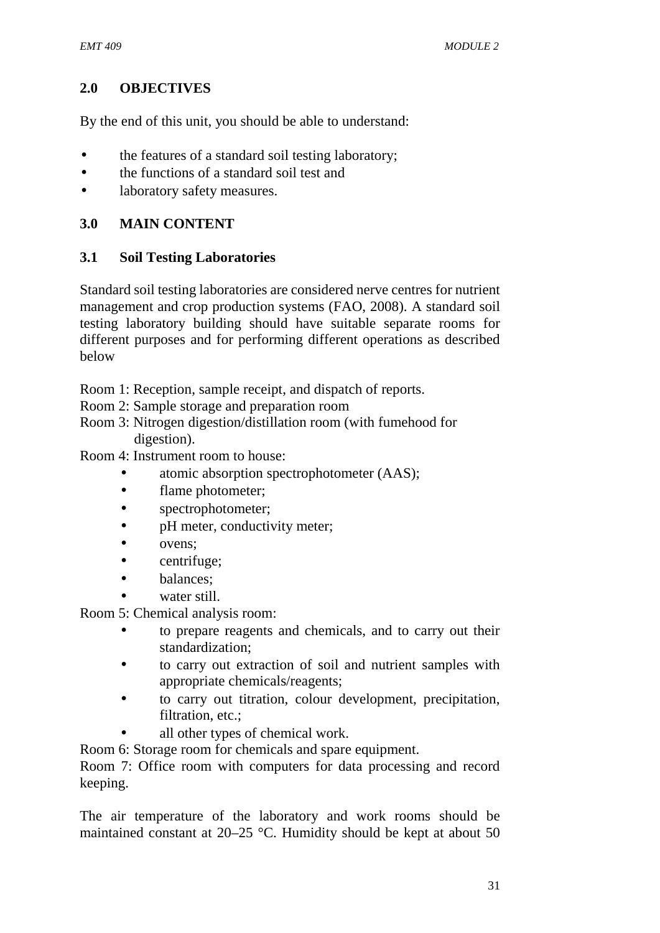## **2.0 OBJECTIVES**

By the end of this unit, you should be able to understand:

- the features of a standard soil testing laboratory;
- the functions of a standard soil test and
- laboratory safety measures.

## **3.0 MAIN CONTENT**

## **3.1 Soil Testing Laboratories**

Standard soil testing laboratories are considered nerve centres for nutrient management and crop production systems (FAO, 2008). A standard soil testing laboratory building should have suitable separate rooms for different purposes and for performing different operations as described below

Room 1: Reception, sample receipt, and dispatch of reports.

- Room 2: Sample storage and preparation room
- Room 3: Nitrogen digestion/distillation room (with fumehood for digestion).
- Room 4: Instrument room to house:
	- atomic absorption spectrophotometer (AAS);
	- flame photometer;
	- spectrophotometer;
	- pH meter, conductivity meter;
	- ovens:
	- centrifuge;
	- balances;
	- water still.

Room 5: Chemical analysis room:

- to prepare reagents and chemicals, and to carry out their standardization;
- to carry out extraction of soil and nutrient samples with appropriate chemicals/reagents;
- to carry out titration, colour development, precipitation, filtration, etc.:
- all other types of chemical work.

Room 6: Storage room for chemicals and spare equipment.

Room 7: Office room with computers for data processing and record keeping.

The air temperature of the laboratory and work rooms should be maintained constant at 20–25 °C. Humidity should be kept at about 50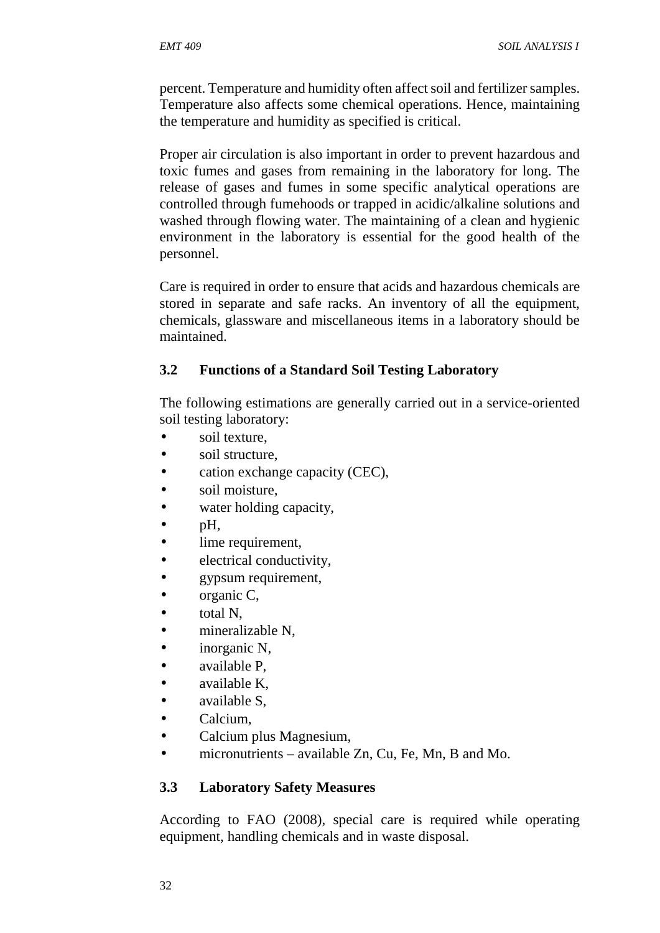percent. Temperature and humidity often affect soil and fertilizer samples. Temperature also affects some chemical operations. Hence, maintaining the temperature and humidity as specified is critical.

Proper air circulation is also important in order to prevent hazardous and toxic fumes and gases from remaining in the laboratory for long. The release of gases and fumes in some specific analytical operations are controlled through fumehoods or trapped in acidic/alkaline solutions and washed through flowing water. The maintaining of a clean and hygienic environment in the laboratory is essential for the good health of the personnel.

Care is required in order to ensure that acids and hazardous chemicals are stored in separate and safe racks. An inventory of all the equipment, chemicals, glassware and miscellaneous items in a laboratory should be maintained.

## **3.2 Functions of a Standard Soil Testing Laboratory**

The following estimations are generally carried out in a service-oriented soil testing laboratory:

- soil texture,
- soil structure.
- cation exchange capacity (CEC),
- soil moisture,
- water holding capacity,
- pH,
- lime requirement,
- electrical conductivity,
- gypsum requirement,
- organic C,
- total N,
- mineralizable N,
- inorganic N,
- available P,
- available K,
- available S.
- Calcium.
- Calcium plus Magnesium,
- micronutrients available Zn, Cu, Fe, Mn, B and Mo.

## **3.3 Laboratory Safety Measures**

According to FAO (2008), special care is required while operating equipment, handling chemicals and in waste disposal.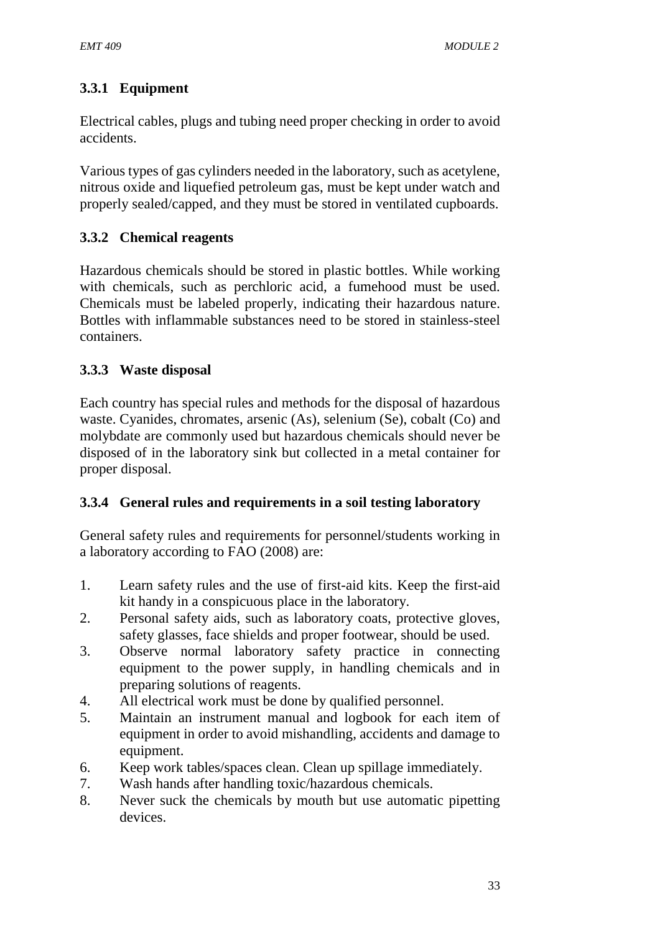# **3.3.1 Equipment**

Electrical cables, plugs and tubing need proper checking in order to avoid accidents.

Various types of gas cylinders needed in the laboratory, such as acetylene, nitrous oxide and liquefied petroleum gas, must be kept under watch and properly sealed/capped, and they must be stored in ventilated cupboards.

## **3.3.2 Chemical reagents**

Hazardous chemicals should be stored in plastic bottles. While working with chemicals, such as perchloric acid, a fumehood must be used. Chemicals must be labeled properly, indicating their hazardous nature. Bottles with inflammable substances need to be stored in stainless-steel containers.

## **3.3.3 Waste disposal**

Each country has special rules and methods for the disposal of hazardous waste. Cyanides, chromates, arsenic (As), selenium (Se), cobalt (Co) and molybdate are commonly used but hazardous chemicals should never be disposed of in the laboratory sink but collected in a metal container for proper disposal.

## **3.3.4 General rules and requirements in a soil testing laboratory**

General safety rules and requirements for personnel/students working in a laboratory according to FAO (2008) are:

- 1. Learn safety rules and the use of first-aid kits. Keep the first-aid kit handy in a conspicuous place in the laboratory.
- 2. Personal safety aids, such as laboratory coats, protective gloves, safety glasses, face shields and proper footwear, should be used.
- 3. Observe normal laboratory safety practice in connecting equipment to the power supply, in handling chemicals and in preparing solutions of reagents.
- 4. All electrical work must be done by qualified personnel.
- 5. Maintain an instrument manual and logbook for each item of equipment in order to avoid mishandling, accidents and damage to equipment.
- 6. Keep work tables/spaces clean. Clean up spillage immediately.
- 7. Wash hands after handling toxic/hazardous chemicals.
- 8. Never suck the chemicals by mouth but use automatic pipetting devices.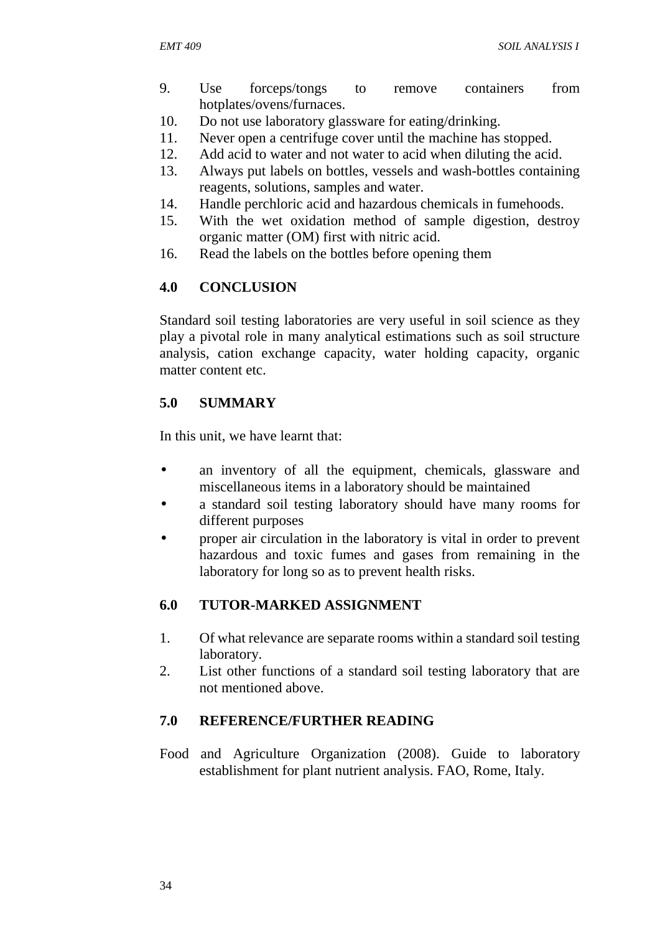- 9. Use forceps/tongs to remove containers from hotplates/ovens/furnaces.
- 10. Do not use laboratory glassware for eating/drinking.
- 11. Never open a centrifuge cover until the machine has stopped.
- 12. Add acid to water and not water to acid when diluting the acid.
- 13. Always put labels on bottles, vessels and wash-bottles containing reagents, solutions, samples and water.
- 14. Handle perchloric acid and hazardous chemicals in fumehoods.
- 15. With the wet oxidation method of sample digestion, destroy organic matter (OM) first with nitric acid.
- 16. Read the labels on the bottles before opening them

## **4.0 CONCLUSION**

Standard soil testing laboratories are very useful in soil science as they play a pivotal role in many analytical estimations such as soil structure analysis, cation exchange capacity, water holding capacity, organic matter content etc.

## **5.0 SUMMARY**

In this unit, we have learnt that:

- an inventory of all the equipment, chemicals, glassware and miscellaneous items in a laboratory should be maintained
- a standard soil testing laboratory should have many rooms for different purposes
- proper air circulation in the laboratory is vital in order to prevent hazardous and toxic fumes and gases from remaining in the laboratory for long so as to prevent health risks.

## **6.0 TUTOR-MARKED ASSIGNMENT**

- 1. Of what relevance are separate rooms within a standard soil testing laboratory.
- 2. List other functions of a standard soil testing laboratory that are not mentioned above.

## **7.0 REFERENCE/FURTHER READING**

Food and Agriculture Organization (2008). Guide to laboratory establishment for plant nutrient analysis. FAO, Rome, Italy.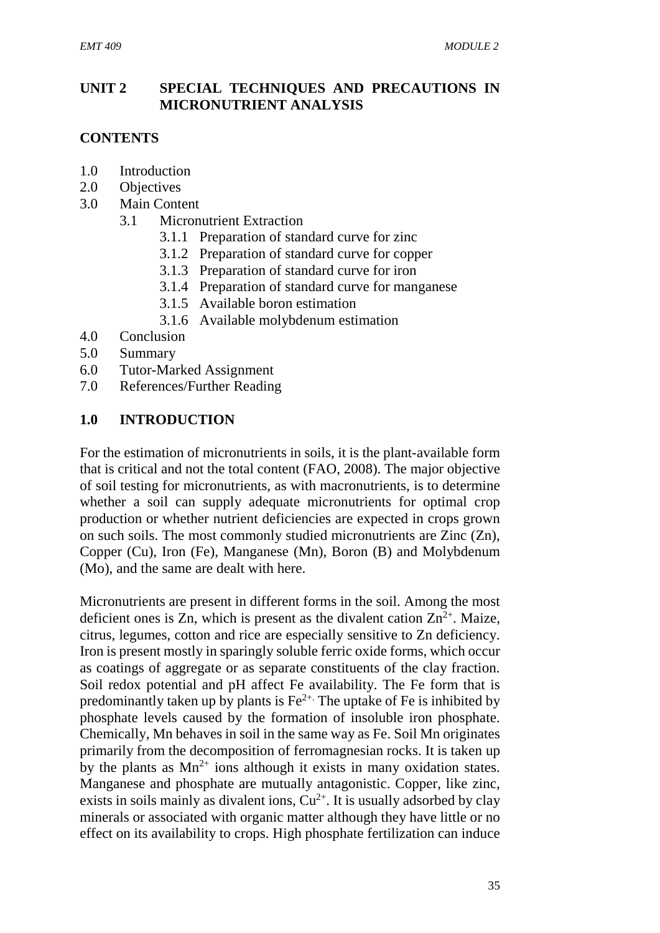## **UNIT 2 SPECIAL TECHNIQUES AND PRECAUTIONS IN MICRONUTRIENT ANALYSIS**

#### **CONTENTS**

- 1.0 Introduction
- 2.0 Objectives
- 3.0 Main Content
	- 3.1 Micronutrient Extraction
		- 3.1.1 Preparation of standard curve for zinc
		- 3.1.2 Preparation of standard curve for copper
		- 3.1.3 Preparation of standard curve for iron
		- 3.1.4 Preparation of standard curve for manganese
		- 3.1.5 Available boron estimation
		- 3.1.6 Available molybdenum estimation
- 4.0 Conclusion
- 5.0 Summary
- 6.0 Tutor-Marked Assignment
- 7.0 References/Further Reading

#### **1.0 INTRODUCTION**

For the estimation of micronutrients in soils, it is the plant-available form that is critical and not the total content (FAO, 2008). The major objective of soil testing for micronutrients, as with macronutrients, is to determine whether a soil can supply adequate micronutrients for optimal crop production or whether nutrient deficiencies are expected in crops grown on such soils. The most commonly studied micronutrients are Zinc (Zn), Copper (Cu), Iron (Fe), Manganese (Mn), Boron (B) and Molybdenum (Mo), and the same are dealt with here.

Micronutrients are present in different forms in the soil. Among the most deficient ones is Zn, which is present as the divalent cation  $\mathbb{Z}n^{2+}$ . Maize, citrus, legumes, cotton and rice are especially sensitive to Zn deficiency. Iron is present mostly in sparingly soluble ferric oxide forms, which occur as coatings of aggregate or as separate constituents of the clay fraction. Soil redox potential and pH affect Fe availability. The Fe form that is predominantly taken up by plants is  $Fe^{2+}$ . The uptake of Fe is inhibited by phosphate levels caused by the formation of insoluble iron phosphate. Chemically, Mn behaves in soil in the same way as Fe. Soil Mn originates primarily from the decomposition of ferromagnesian rocks. It is taken up by the plants as  $Mn^{2+}$  ions although it exists in many oxidation states. Manganese and phosphate are mutually antagonistic. Copper, like zinc, exists in soils mainly as divalent ions,  $Cu^{2+}$ . It is usually adsorbed by clay minerals or associated with organic matter although they have little or no effect on its availability to crops. High phosphate fertilization can induce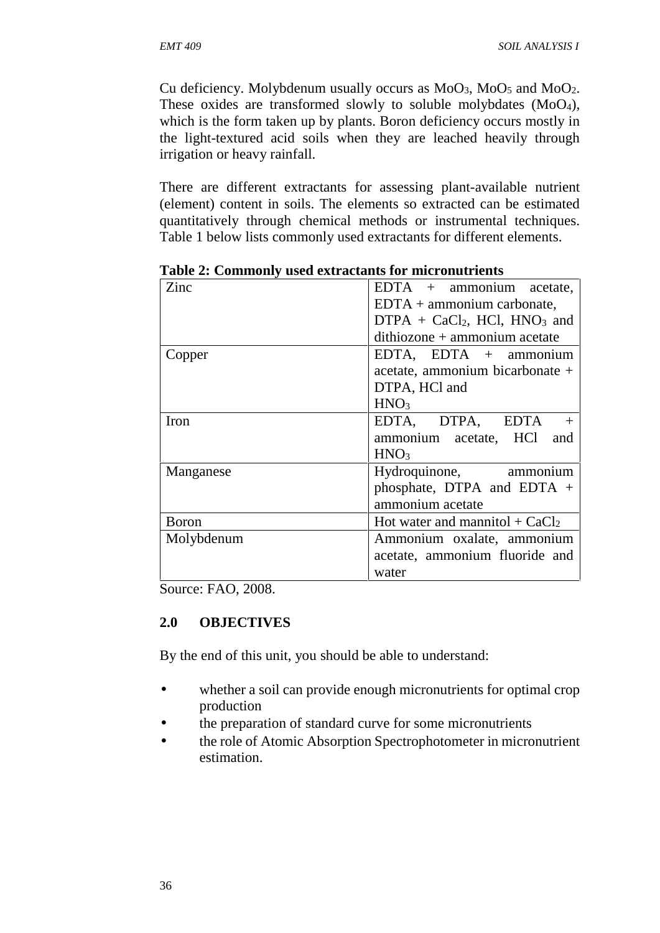Cu deficiency. Molybdenum usually occurs as  $MoO<sub>3</sub>$ , Mo $O<sub>5</sub>$  and Mo $O<sub>2</sub>$ . These oxides are transformed slowly to soluble molybdates (MoO<sub>4</sub>), which is the form taken up by plants. Boron deficiency occurs mostly in the light-textured acid soils when they are leached heavily through irrigation or heavy rainfall.

There are different extractants for assessing plant-available nutrient (element) content in soils. The elements so extracted can be estimated quantitatively through chemical methods or instrumental techniques. Table 1 below lists commonly used extractants for different elements.

| Zinc          | $EDTA + ammonium acetate,$                 |  |  |
|---------------|--------------------------------------------|--|--|
|               | $EDTA + ammonium carbonate,$               |  |  |
|               | $DTPA + CaCl2$ , HCl, HNO <sub>3</sub> and |  |  |
|               | $dithiozone + ammonium acetate$            |  |  |
| Copper        | EDTA, EDTA $+$ ammonium                    |  |  |
|               | acetate, ammonium bicarbonate +            |  |  |
|               | DTPA, HCl and                              |  |  |
|               | HNO <sub>3</sub>                           |  |  |
| Iron          | EDTA, DTPA, EDTA<br>$^{+}$                 |  |  |
|               | ammonium acetate, HCl<br>and               |  |  |
|               | HNO <sub>3</sub>                           |  |  |
| Manganese     | Hydroquinone, ammonium                     |  |  |
|               | phosphate, DTPA and EDTA $+$               |  |  |
|               | ammonium acetate                           |  |  |
| <b>B</b> oron | Hot water and mannitol + $CaCl2$           |  |  |
| Molybdenum    | Ammonium oxalate, ammonium                 |  |  |
|               | acetate, ammonium fluoride and             |  |  |
|               | water                                      |  |  |

**Table 2: Commonly used extractants for micronutrients**

Source: FAO, 2008.

#### **2.0 OBJECTIVES**

By the end of this unit, you should be able to understand:

- whether a soil can provide enough micronutrients for optimal crop production
- the preparation of standard curve for some micronutrients
- the role of Atomic Absorption Spectrophotometer in micronutrient estimation.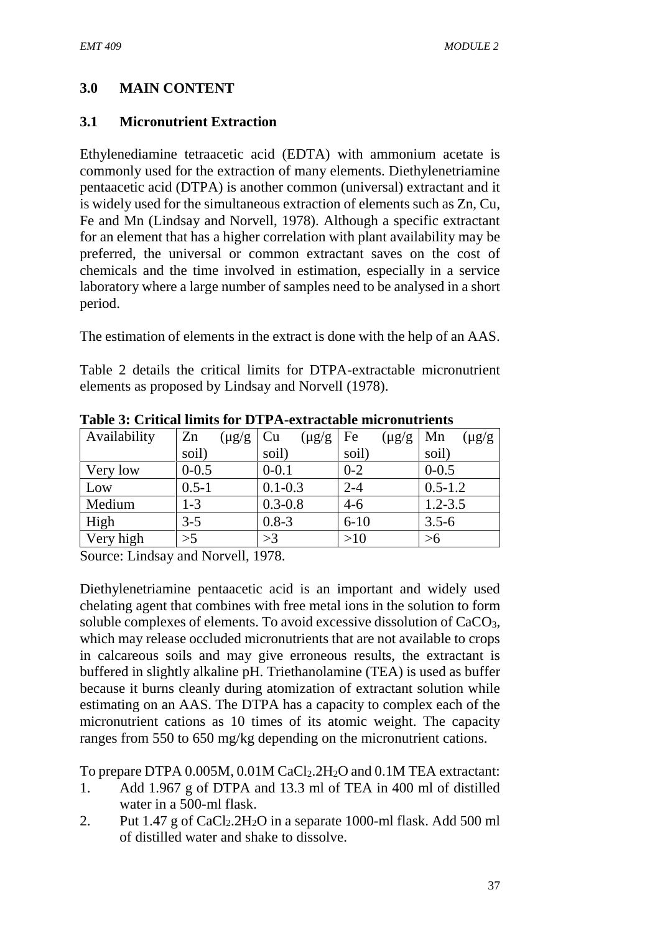## **3.0 MAIN CONTENT**

#### **3.1 Micronutrient Extraction**

Ethylenediamine tetraacetic acid (EDTA) with ammonium acetate is commonly used for the extraction of many elements. Diethylenetriamine pentaacetic acid (DTPA) is another common (universal) extractant and it is widely used for the simultaneous extraction of elements such as Zn, Cu, Fe and Mn (Lindsay and Norvell, 1978). Although a specific extractant for an element that has a higher correlation with plant availability may be preferred, the universal or common extractant saves on the cost of chemicals and the time involved in estimation, especially in a service laboratory where a large number of samples need to be analysed in a short period.

The estimation of elements in the extract is done with the help of an AAS.

Table 2 details the critical limits for DTPA-extractable micronutrient elements as proposed by Lindsay and Norvell (1978).

| Availability | Zn        | $(\mu g/g)$ | Cu          | $(\mu g/g)$ | Fe       | $(\mu g/g)$ | Mn          | $(\mu g/g)$ |
|--------------|-----------|-------------|-------------|-------------|----------|-------------|-------------|-------------|
|              | soil)     |             | soil)       |             | soil)    |             | soil)       |             |
| Very low     | $0 - 0.5$ |             | $0 - 0.1$   |             | $0 - 2$  |             | $0 - 0.5$   |             |
| Low          | $0.5 - 1$ |             | $0.1 - 0.3$ |             | $2 - 4$  |             | $0.5 - 1.2$ |             |
| Medium       | $1 - 3$   |             | $0.3 - 0.8$ |             | $4 - 6$  |             | $1.2 - 3.5$ |             |
| High         | $3 - 5$   |             | $0.8 - 3$   |             | $6 - 10$ |             | $3.5 - 6$   |             |
| Very high    | >5        |             | >3          |             | >10      |             | >6          |             |

**Table 3: Critical limits for DTPA-extractable micronutrients**

Source: Lindsay and Norvell, 1978.

Diethylenetriamine pentaacetic acid is an important and widely used chelating agent that combines with free metal ions in the solution to form soluble complexes of elements. To avoid excessive dissolution of CaCO3, which may release occluded micronutrients that are not available to crops in calcareous soils and may give erroneous results, the extractant is buffered in slightly alkaline pH. Triethanolamine (TEA) is used as buffer because it burns cleanly during atomization of extractant solution while estimating on an AAS. The DTPA has a capacity to complex each of the micronutrient cations as 10 times of its atomic weight. The capacity ranges from 550 to 650 mg/kg depending on the micronutrient cations.

To prepare DTPA 0.005M, 0.01M CaCl<sub>2</sub>.2H<sub>2</sub>O and 0.1M TEA extractant:

- 1. Add 1.967 g of DTPA and 13.3 ml of TEA in 400 ml of distilled water in a 500-ml flask.
- 2. Put  $1.47$  g of  $CaCl<sub>2</sub>·2H<sub>2</sub>O$  in a separate 1000-ml flask. Add 500 ml of distilled water and shake to dissolve.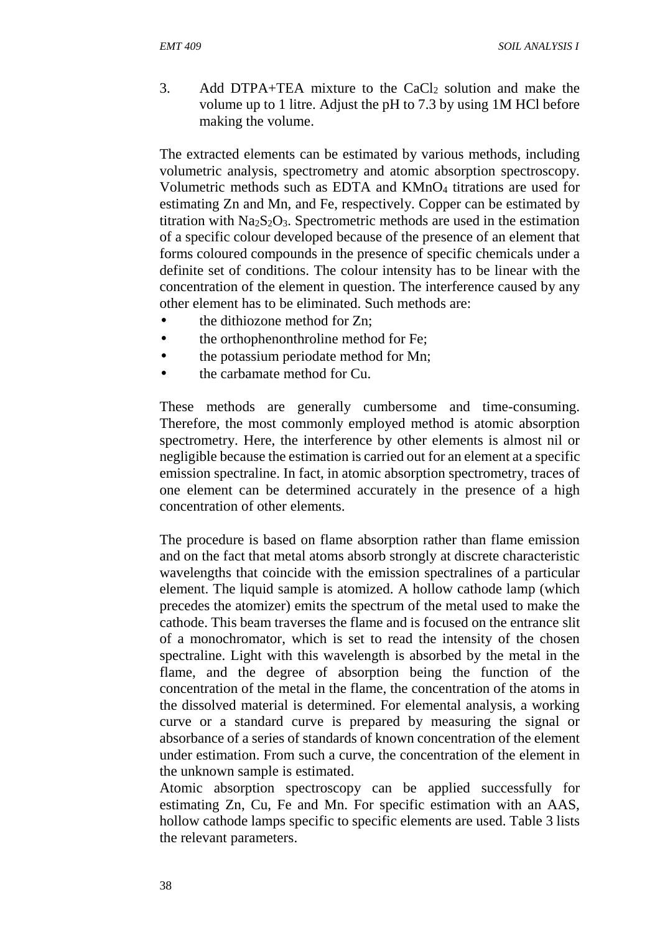3. Add DTPA+TEA mixture to the CaCl<sub>2</sub> solution and make the volume up to 1 litre. Adjust the pH to 7.3 by using 1M HCl before making the volume.

The extracted elements can be estimated by various methods, including volumetric analysis, spectrometry and atomic absorption spectroscopy. Volumetric methods such as EDTA and KMnO<sup>4</sup> titrations are used for estimating Zn and Mn, and Fe, respectively. Copper can be estimated by titration with  $Na<sub>2</sub>S<sub>2</sub>O<sub>3</sub>$ . Spectrometric methods are used in the estimation of a specific colour developed because of the presence of an element that forms coloured compounds in the presence of specific chemicals under a definite set of conditions. The colour intensity has to be linear with the concentration of the element in question. The interference caused by any other element has to be eliminated. Such methods are:

- the dithiozone method for Zn;
- the orthophenonthroline method for Fe;
- the potassium periodate method for Mn;
- the carbamate method for Cu.

These methods are generally cumbersome and time-consuming. Therefore, the most commonly employed method is atomic absorption spectrometry. Here, the interference by other elements is almost nil or negligible because the estimation is carried out for an element at a specific emission spectraline. In fact, in atomic absorption spectrometry, traces of one element can be determined accurately in the presence of a high concentration of other elements.

The procedure is based on flame absorption rather than flame emission and on the fact that metal atoms absorb strongly at discrete characteristic wavelengths that coincide with the emission spectralines of a particular element. The liquid sample is atomized. A hollow cathode lamp (which precedes the atomizer) emits the spectrum of the metal used to make the cathode. This beam traverses the flame and is focused on the entrance slit of a monochromator, which is set to read the intensity of the chosen spectraline. Light with this wavelength is absorbed by the metal in the flame, and the degree of absorption being the function of the concentration of the metal in the flame, the concentration of the atoms in the dissolved material is determined. For elemental analysis, a working curve or a standard curve is prepared by measuring the signal or absorbance of a series of standards of known concentration of the element under estimation. From such a curve, the concentration of the element in the unknown sample is estimated.

Atomic absorption spectroscopy can be applied successfully for estimating Zn, Cu, Fe and Mn. For specific estimation with an AAS, hollow cathode lamps specific to specific elements are used. Table 3 lists the relevant parameters.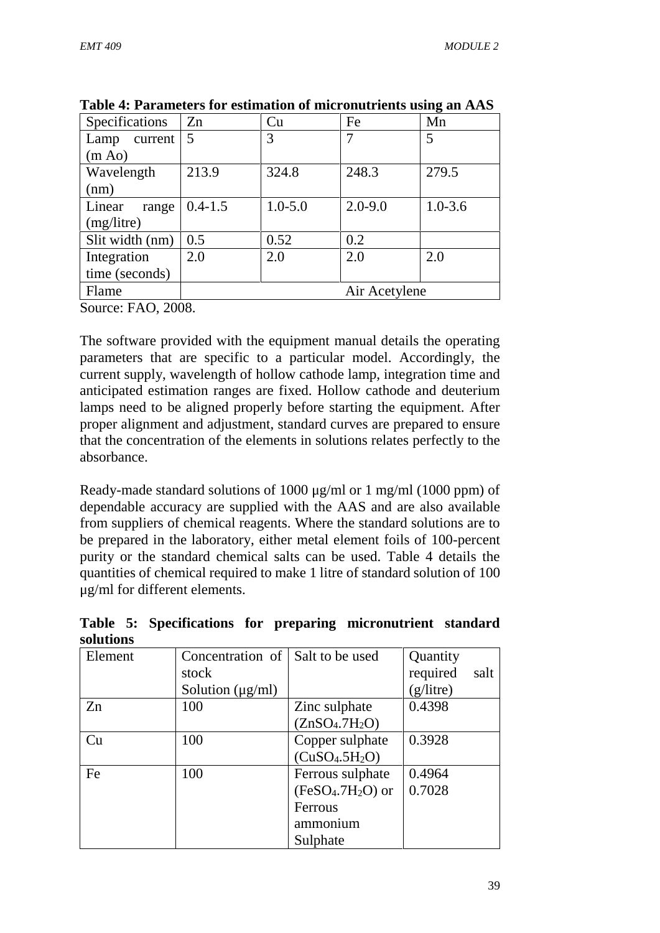| Specifications  | Zn          | Cu          | Fe            | ັ<br>Mn     |
|-----------------|-------------|-------------|---------------|-------------|
| current<br>Lamp | 5           | 3           |               | 5           |
| $(m \, A_0)$    |             |             |               |             |
| Wavelength      | 213.9       | 324.8       | 248.3         | 279.5       |
| (nm)            |             |             |               |             |
| Linear<br>range | $0.4 - 1.5$ | $1.0 - 5.0$ | $2.0 - 9.0$   | $1.0 - 3.6$ |
| (mg/litre)      |             |             |               |             |
| Slit width (nm) | 0.5         | 0.52        | 0.2           |             |
| Integration     | 2.0         | 2.0         | 2.0           | 2.0         |
| time (seconds)  |             |             |               |             |
| Flame           |             |             | Air Acetylene |             |

**Table 4: Parameters for estimation of micronutrients using an AAS**

Source: FAO, 2008.

The software provided with the equipment manual details the operating parameters that are specific to a particular model. Accordingly, the current supply, wavelength of hollow cathode lamp, integration time and anticipated estimation ranges are fixed. Hollow cathode and deuterium lamps need to be aligned properly before starting the equipment. After proper alignment and adjustment, standard curves are prepared to ensure that the concentration of the elements in solutions relates perfectly to the absorbance.

Ready-made standard solutions of 1000 μg/ml or 1 mg/ml (1000 ppm) of dependable accuracy are supplied with the AAS and are also available from suppliers of chemical reagents. Where the standard solutions are to be prepared in the laboratory, either metal element foils of 100-percent purity or the standard chemical salts can be used. Table 4 details the quantities of chemical required to make 1 litre of standard solution of 100 μg/ml for different elements.

| Element | Concentration of Salt to be used |                                        | Quantity         |
|---------|----------------------------------|----------------------------------------|------------------|
|         | stock                            |                                        | required<br>salt |
|         | Solution $(\mu g/ml)$            |                                        | (g/litre)        |
| Zn      | 100                              | Zinc sulphate                          | 0.4398           |
|         |                                  | (ZnSO <sub>4</sub> .7H <sub>2</sub> O) |                  |
| Cu      | 100                              | Copper sulphate                        | 0.3928           |
|         |                                  | (CuSO <sub>4</sub> .5H <sub>2</sub> O) |                  |
| Fe      | 100                              | Ferrous sulphate                       | 0.4964           |
|         |                                  | $(FeSO4.7H2O)$ or                      | 0.7028           |
|         |                                  | Ferrous                                |                  |
|         |                                  | ammonium                               |                  |
|         |                                  | Sulphate                               |                  |

**Table 5: Specifications for preparing micronutrient standard solutions**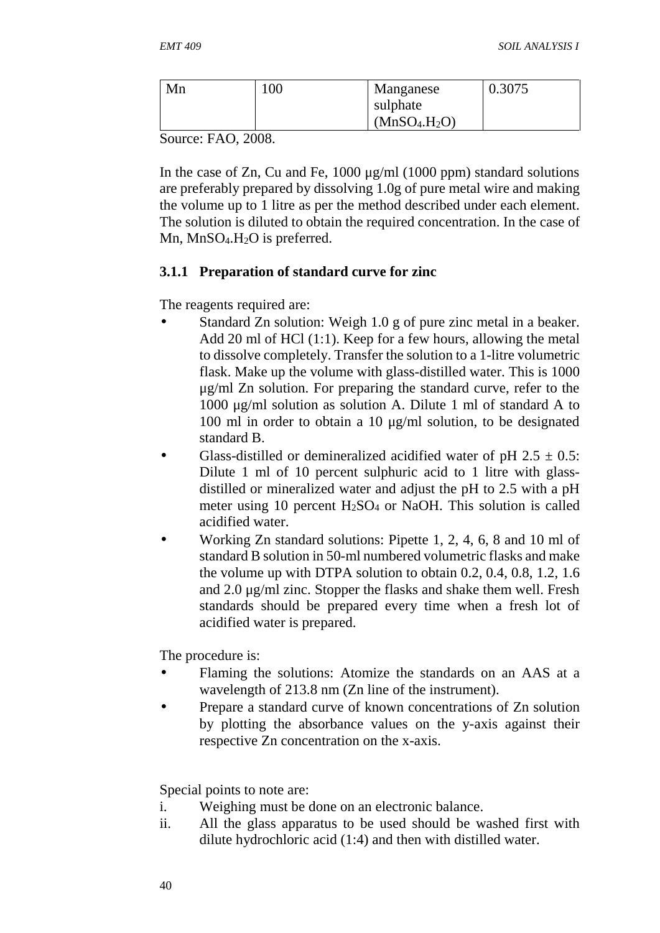| Mn | 100 | Manganese                             | 0.3075 |
|----|-----|---------------------------------------|--------|
|    |     | sulphate                              |        |
|    |     | (MnSO <sub>4</sub> .H <sub>2</sub> O) |        |

Source: FAO, 2008.

In the case of Zn, Cu and Fe,  $1000 \mu g/ml$  (1000 ppm) standard solutions are preferably prepared by dissolving 1.0g of pure metal wire and making the volume up to 1 litre as per the method described under each element. The solution is diluted to obtain the required concentration. In the case of Mn, MnSO<sub>4</sub>.H<sub>2</sub>O is preferred.

## **3.1.1 Preparation of standard curve for zinc**

The reagents required are:

- Standard Zn solution: Weigh 1.0 g of pure zinc metal in a beaker. Add 20 ml of HCl (1:1). Keep for a few hours, allowing the metal to dissolve completely. Transfer the solution to a 1-litre volumetric flask. Make up the volume with glass-distilled water. This is 1000 μg/ml Zn solution. For preparing the standard curve, refer to the 1000 μg/ml solution as solution A. Dilute 1 ml of standard A to 100 ml in order to obtain a 10 μg/ml solution, to be designated standard B.
- Glass-distilled or demineralized acidified water of pH  $2.5 \pm 0.5$ : Dilute 1 ml of 10 percent sulphuric acid to 1 litre with glass distilled or mineralized water and adjust the pH to 2.5 with a pH meter using 10 percent  $H_2SO_4$  or NaOH. This solution is called acidified water.
- Working Zn standard solutions: Pipette 1, 2, 4, 6, 8 and 10 ml of standard B solution in 50-ml numbered volumetric flasks and make the volume up with DTPA solution to obtain 0.2, 0.4, 0.8, 1.2, 1.6 and 2.0 μg/ml zinc. Stopper the flasks and shake them well. Fresh standards should be prepared every time when a fresh lot of acidified water is prepared.

The procedure is:

- Flaming the solutions: Atomize the standards on an AAS at a wavelength of 213.8 nm (Zn line of the instrument).
- Prepare a standard curve of known concentrations of Zn solution by plotting the absorbance values on the y-axis against their respective Zn concentration on the x-axis.

Special points to note are:

- i. Weighing must be done on an electronic balance.
- ii. All the glass apparatus to be used should be washed first with dilute hydrochloric acid (1:4) and then with distilled water.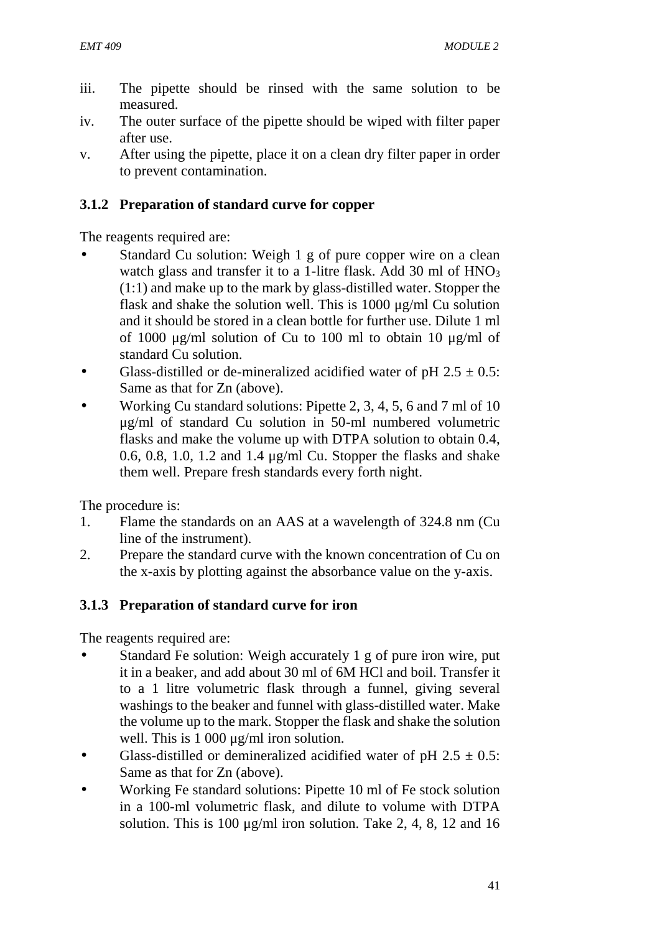- iii. The pipette should be rinsed with the same solution to be measured.
- iv. The outer surface of the pipette should be wiped with filter paper after use.
- v. After using the pipette, place it on a clean dry filter paper in order to prevent contamination.

## **3.1.2 Preparation of standard curve for copper**

The reagents required are:

- Standard Cu solution: Weigh 1 g of pure copper wire on a clean watch glass and transfer it to a 1-litre flask. Add 30 ml of HNO<sub>3</sub> (1:1) and make up to the mark by glass-distilled water. Stopper the flask and shake the solution well. This is 1000 μg/ml Cu solution and it should be stored in a clean bottle for further use. Dilute 1 ml of 1000 μg/ml solution of Cu to 100 ml to obtain 10 μg/ml of standard Cu solution.
- Glass-distilled or de-mineralized acidified water of pH  $2.5 \pm 0.5$ : Same as that for Zn (above).
- Working Cu standard solutions: Pipette 2, 3, 4, 5, 6 and 7 ml of 10 μg/ml of standard Cu solution in 50-ml numbered volumetric flasks and make the volume up with DTPA solution to obtain 0.4, 0.6, 0.8, 1.0, 1.2 and 1.4 μg/ml Cu. Stopper the flasks and shake them well. Prepare fresh standards every forth night.

The procedure is:

- 1. Flame the standards on an AAS at a wavelength of 324.8 nm (Cu line of the instrument).
- 2. Prepare the standard curve with the known concentration of Cu on the x-axis by plotting against the absorbance value on the y-axis.

## **3.1.3 Preparation of standard curve for iron**

The reagents required are:

- Standard Fe solution: Weigh accurately 1 g of pure iron wire, put it in a beaker, and add about 30 ml of 6M HCl and boil. Transfer it to a 1 litre volumetric flask through a funnel, giving several washings to the beaker and funnel with glass-distilled water. Make the volume up to the mark. Stopper the flask and shake the solution well. This is 1 000 μg/ml iron solution.
- Glass-distilled or demineralized acidified water of pH  $2.5 \pm 0.5$ : Same as that for Zn (above).
- Working Fe standard solutions: Pipette 10 ml of Fe stock solution in a 100-ml volumetric flask, and dilute to volume with DTPA solution. This is 100 μg/ml iron solution. Take 2, 4, 8, 12 and 16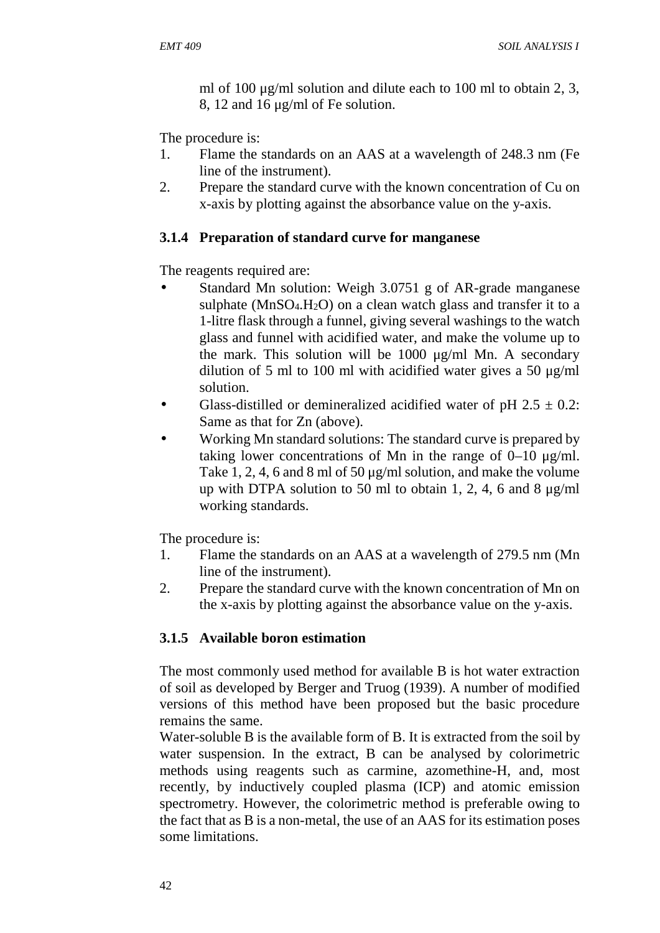ml of 100  $\mu$ g/ml solution and dilute each to 100 ml to obtain 2, 3, 8, 12 and 16 μg/ml of Fe solution.

The procedure is:

- 1. Flame the standards on an AAS at a wavelength of 248.3 nm (Fe line of the instrument).
- 2. Prepare the standard curve with the known concentration of Cu on x-axis by plotting against the absorbance value on the y-axis.

## **3.1.4 Preparation of standard curve for manganese**

The reagents required are:

- Standard Mn solution: Weigh 3.0751 g of AR-grade manganese sulphate  $(MnSO<sub>4</sub>,H<sub>2</sub>O)$  on a clean watch glass and transfer it to a 1-litre flask through a funnel, giving several washings to the watch glass and funnel with acidified water, and make the volume up to the mark. This solution will be 1000 μg/ml Mn. A secondary dilution of 5 ml to 100 ml with acidified water gives a 50 μg/ml solution.
- Glass-distilled or demineralized acidified water of pH  $2.5 \pm 0.2$ : Same as that for Zn (above).
- Working Mn standard solutions: The standard curve is prepared by taking lower concentrations of Mn in the range of 0–10 μg/ml. Take 1, 2, 4, 6 and 8 ml of 50 μg/ml solution, and make the volume up with DTPA solution to 50 ml to obtain 1, 2, 4, 6 and 8  $\mu$ g/ml working standards.

The procedure is:

- 1. Flame the standards on an AAS at a wavelength of 279.5 nm (Mn line of the instrument).
- 2. Prepare the standard curve with the known concentration of Mn on the x-axis by plotting against the absorbance value on the y-axis.

#### **3.1.5 Available boron estimation**

The most commonly used method for available B is hot water extraction of soil as developed by Berger and Truog (1939). A number of modified versions of this method have been proposed but the basic procedure remains the same.

Water-soluble B is the available form of B. It is extracted from the soil by water suspension. In the extract, B can be analysed by colorimetric methods using reagents such as carmine, azomethine-H, and, most recently, by inductively coupled plasma (ICP) and atomic emission spectrometry. However, the colorimetric method is preferable owing to the fact that as B is a non-metal, the use of an AAS for its estimation poses some limitations.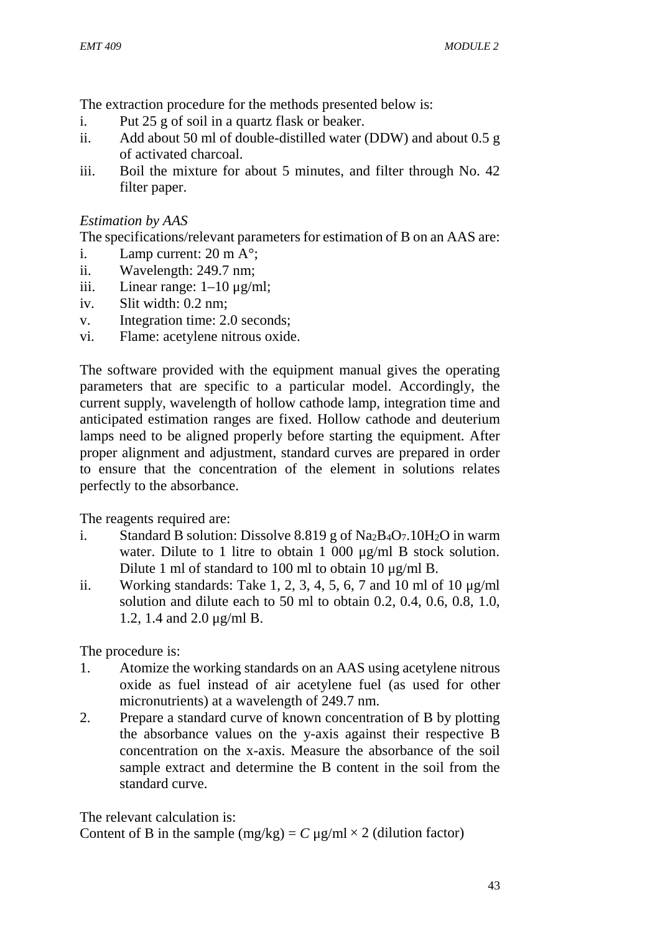The extraction procedure for the methods presented below is:

- i. Put 25 g of soil in a quartz flask or beaker.
- ii. Add about 50 ml of double-distilled water (DDW) and about 0.5 g of activated charcoal.
- iii. Boil the mixture for about 5 minutes, and filter through No. 42 filter paper.

#### *Estimation by AAS*

The specifications/relevant parameters for estimation of B on an AAS are:

- i. Lamp current: 20 m A°;
- ii. Wavelength: 249.7 nm;
- iii. Linear range: 1–10 μg/ml;
- iv. Slit width: 0.2 nm;
- v. Integration time: 2.0 seconds;
- vi. Flame: acetylene nitrous oxide.

The software provided with the equipment manual gives the operating parameters that are specific to a particular model. Accordingly, the current supply, wavelength of hollow cathode lamp, integration time and anticipated estimation ranges are fixed. Hollow cathode and deuterium lamps need to be aligned properly before starting the equipment. After proper alignment and adjustment, standard curves are prepared in order to ensure that the concentration of the element in solutions relates perfectly to the absorbance.

The reagents required are:

- i. Standard B solution: Dissolve  $8.819$  g of Na<sub>2</sub>B<sub>4</sub>O<sub>7</sub>.10H<sub>2</sub>O in warm water. Dilute to 1 litre to obtain 1 000 μg/ml B stock solution. Dilute 1 ml of standard to 100 ml to obtain 10 μg/ml B.
- ii. Working standards: Take 1, 2, 3, 4, 5, 6, 7 and 10 ml of 10 μg/ml solution and dilute each to 50 ml to obtain 0.2, 0.4, 0.6, 0.8, 1.0, 1.2, 1.4 and 2.0 μg/ml B.

The procedure is:

- 1. Atomize the working standards on an AAS using acetylene nitrous oxide as fuel instead of air acetylene fuel (as used for other micronutrients) at a wavelength of 249.7 nm.
- 2. Prepare a standard curve of known concentration of B by plotting the absorbance values on the y-axis against their respective B concentration on the x-axis. Measure the absorbance of the soil sample extract and determine the B content in the soil from the standard curve.

The relevant calculation is:

Content of B in the sample  $(mg/kg) = C \mu g/ml \times 2$  (dilution factor)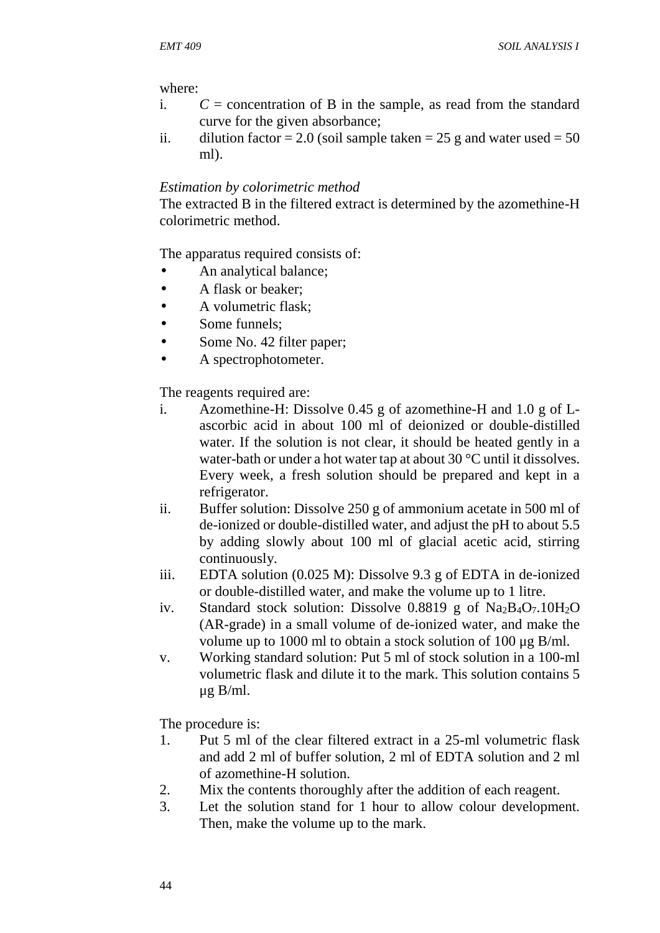#### where:

- i.  $C =$  concentration of B in the sample, as read from the standard curve for the given absorbance;
- ii. dilution factor = 2.0 (soil sample taken = 25 g and water used = 50 ml).

#### *Estimation by colorimetric method*

The extracted B in the filtered extract is determined by the azomethine-H colorimetric method.

The apparatus required consists of:

- An analytical balance;
- A flask or beaker:
- A volumetric flask;
- Some funnels;
- Some No. 42 filter paper;
- A spectrophotometer.

The reagents required are:

- i. Azomethine-H: Dissolve 0.45 g of azomethine-H and 1.0 g of L ascorbic acid in about 100 ml of deionized or double-distilled water. If the solution is not clear, it should be heated gently in a water-bath or under a hot water tap at about 30 °C until it dissolves. Every week, a fresh solution should be prepared and kept in a refrigerator.
- ii. Buffer solution: Dissolve 250 g of ammonium acetate in 500 ml of de-ionized or double-distilled water, and adjust the pH to about 5.5 by adding slowly about 100 ml of glacial acetic acid, stirring continuously.
- iii. EDTA solution (0.025 M): Dissolve 9.3 g of EDTA in de-ionized or double-distilled water, and make the volume up to 1 litre.
- iv. Standard stock solution: Dissolve  $0.8819$  g of Na<sub>2</sub>B<sub>4</sub>O<sub>7</sub>.10H<sub>2</sub>O (AR-grade) in a small volume of de-ionized water, and make the volume up to 1000 ml to obtain a stock solution of 100 μg B/ml.
- v. Working standard solution: Put 5 ml of stock solution in a 100-ml volumetric flask and dilute it to the mark. This solution contains 5 μg B/ml.

The procedure is:

- 1. Put 5 ml of the clear filtered extract in a 25-ml volumetric flask and add 2 ml of buffer solution, 2 ml of EDTA solution and 2 ml of azomethine-H solution.
- 2. Mix the contents thoroughly after the addition of each reagent.
- 3. Let the solution stand for 1 hour to allow colour development. Then, make the volume up to the mark.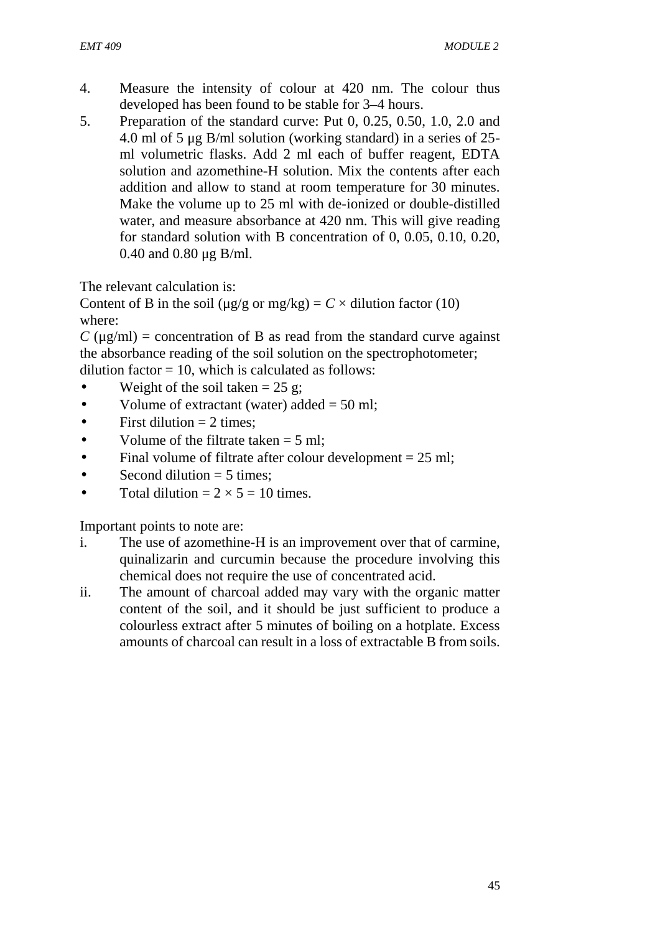- 4. Measure the intensity of colour at 420 nm. The colour thus developed has been found to be stable for 3–4 hours.
- 5. Preparation of the standard curve: Put 0, 0.25, 0.50, 1.0, 2.0 and 4.0 ml of 5 μg B/ml solution (working standard) in a series of 25 ml volumetric flasks. Add 2 ml each of buffer reagent, EDTA solution and azomethine-H solution. Mix the contents after each addition and allow to stand at room temperature for 30 minutes. Make the volume up to 25 ml with de-ionized or double-distilled water, and measure absorbance at 420 nm. This will give reading for standard solution with B concentration of 0, 0.05, 0.10, 0.20, 0.40 and 0.80 μg B/ml.

The relevant calculation is:

Content of B in the soil (μg/g or mg/kg) =  $C \times$  dilution factor (10) where:

 $C$  (μg/ml) = concentration of B as read from the standard curve against the absorbance reading of the soil solution on the spectrophotometer; dilution factor  $= 10$ , which is calculated as follows:

- Weight of the soil taken =  $25$  g;
- Volume of extractant (water) added  $= 50$  ml;
- $\bullet$  First dilution = 2 times:
- Volume of the filtrate taken  $= 5$  ml:
- $\bullet$  Final volume of filtrate after colour development = 25 ml;
- Second dilution  $= 5$  times:
- Total dilution =  $2 \times 5 = 10$  times.

Important points to note are:

- i. The use of azomethine-H is an improvement over that of carmine, quinalizarin and curcumin because the procedure involving this chemical does not require the use of concentrated acid.
- ii. The amount of charcoal added may vary with the organic matter content of the soil, and it should be just sufficient to produce a colourless extract after 5 minutes of boiling on a hotplate. Excess amounts of charcoal can result in a loss of extractable B from soils.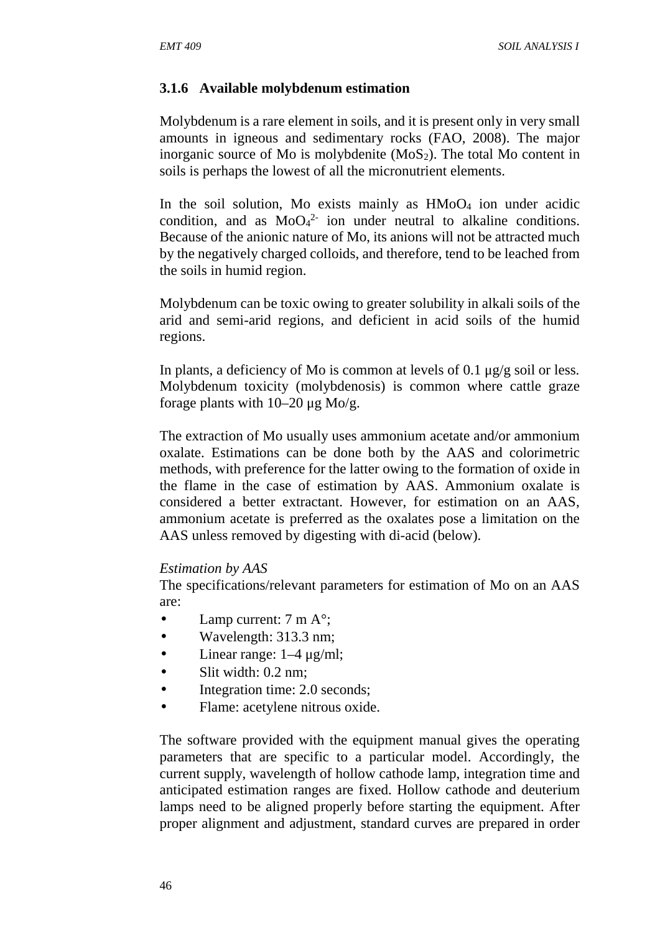## **3.1.6 Available molybdenum estimation**

Molybdenum is a rare element in soils, and it is present only in very small amounts in igneous and sedimentary rocks (FAO, 2008). The major inorganic source of Mo is molybdenite  $(MoS<sub>2</sub>)$ . The total Mo content in soils is perhaps the lowest of all the micronutrient elements.

In the soil solution, Mo exists mainly as  $HM<sub>0</sub>O<sub>4</sub>$  ion under acidic condition, and as  $MoO<sub>4</sub><sup>2</sup>$  ion under neutral to alkaline conditions. Because of the anionic nature of Mo, its anions will not be attracted much by the negatively charged colloids, and therefore, tend to be leached from the soils in humid region.

Molybdenum can be toxic owing to greater solubility in alkali soils of the arid and semi-arid regions, and deficient in acid soils of the humid regions.

In plants, a deficiency of Mo is common at levels of 0.1  $\mu$ g/g soil or less. Molybdenum toxicity (molybdenosis) is common where cattle graze forage plants with  $10-20 \mu g$  Mo/g.

The extraction of Mo usually uses ammonium acetate and/or ammonium oxalate. Estimations can be done both by the AAS and colorimetric methods, with preference for the latter owing to the formation of oxide in the flame in the case of estimation by AAS. Ammonium oxalate is considered a better extractant. However, for estimation on an AAS, ammonium acetate is preferred as the oxalates pose a limitation on the AAS unless removed by digesting with di-acid (below).

#### *Estimation by AAS*

The specifications/relevant parameters for estimation of Mo on an AAS are:

- Lamp current:  $7 \text{ m A}^{\circ}$ ;
- Wavelength: 313.3 nm;
- Linear range:  $1-4 \mu g/ml$ ;
- Slit width: 0.2 nm;
- Integration time: 2.0 seconds;
- Flame: acetylene nitrous oxide.

The software provided with the equipment manual gives the operating parameters that are specific to a particular model. Accordingly, the current supply, wavelength of hollow cathode lamp, integration time and anticipated estimation ranges are fixed. Hollow cathode and deuterium lamps need to be aligned properly before starting the equipment. After proper alignment and adjustment, standard curves are prepared in order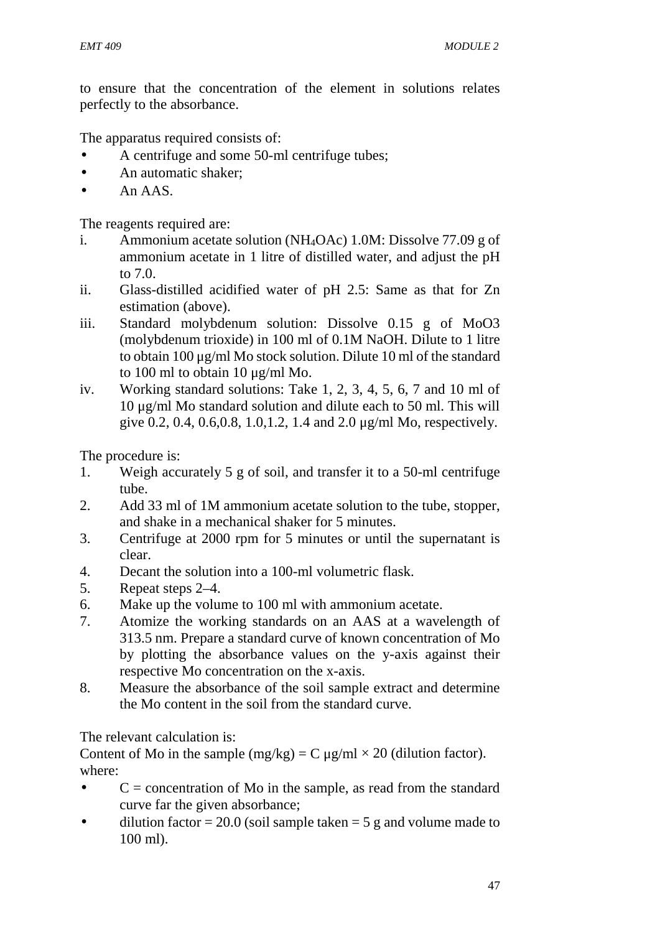to ensure that the concentration of the element in solutions relates perfectly to the absorbance.

The apparatus required consists of:

- A centrifuge and some 50-ml centrifuge tubes;
- An automatic shaker:
- An AAS.

The reagents required are:

- i. Ammonium acetate solution (NH4OAc) 1.0M: Dissolve 77.09 g of ammonium acetate in 1 litre of distilled water, and adjust the pH to 7.0.
- ii. Glass-distilled acidified water of pH 2.5: Same as that for Zn estimation (above).
- iii. Standard molybdenum solution: Dissolve 0.15 g of MoO3 (molybdenum trioxide) in 100 ml of 0.1M NaOH. Dilute to 1 litre to obtain 100 μg/ml Mo stock solution. Dilute 10 ml of the standard to 100 ml to obtain 10 μg/ml Mo.
- iv. Working standard solutions: Take 1, 2, 3, 4, 5, 6, 7 and 10 ml of 10 μg/ml Mo standard solution and dilute each to 50 ml. This will give 0.2, 0.4, 0.6,0.8, 1.0,1.2, 1.4 and 2.0 μg/ml Mo, respectively.

The procedure is:

- 1. Weigh accurately 5 g of soil, and transfer it to a 50-ml centrifuge tube.
- 2. Add 33 ml of 1M ammonium acetate solution to the tube, stopper, and shake in a mechanical shaker for 5 minutes.
- 3. Centrifuge at 2000 rpm for 5 minutes or until the supernatant is clear.
- 4. Decant the solution into a 100-ml volumetric flask.
- 5. Repeat steps 2–4.
- 6. Make up the volume to 100 ml with ammonium acetate.
- 7. Atomize the working standards on an AAS at a wavelength of 313.5 nm. Prepare a standard curve of known concentration of Mo by plotting the absorbance values on the y-axis against their respective Mo concentration on the x-axis.
- 8. Measure the absorbance of the soil sample extract and determine the Mo content in the soil from the standard curve.

The relevant calculation is:

Content of Mo in the sample  $(mg/kg) = C \mu g/ml \times 20$  (dilution factor). where:

- C = concentration of Mo in the sample, as read from the standard curve far the given absorbance;
- dilution factor = 20.0 (soil sample taken =  $5 \text{ g}$  and volume made to 100 ml).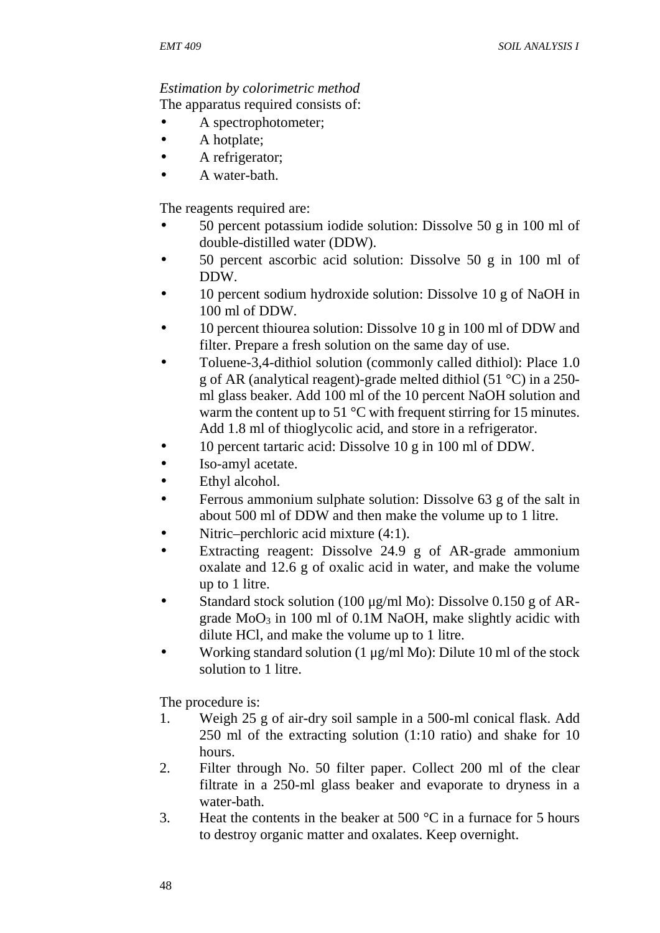#### *Estimation by colorimetric method*

The apparatus required consists of:

- A spectrophotometer;
- A hotplate;
- A refrigerator;
- A water-bath.

The reagents required are:

- 50 percent potassium iodide solution: Dissolve 50 g in 100 ml of double-distilled water (DDW).
- 50 percent ascorbic acid solution: Dissolve 50 g in 100 ml of DDW.
- 10 percent sodium hydroxide solution: Dissolve 10 g of NaOH in 100 ml of DDW.
- 10 percent thiourea solution: Dissolve 10 g in 100 ml of DDW and filter. Prepare a fresh solution on the same day of use.
- Toluene-3,4-dithiol solution (commonly called dithiol): Place 1.0 g of AR (analytical reagent)-grade melted dithiol (51 °C) in a 250 ml glass beaker. Add 100 ml of the 10 percent NaOH solution and warm the content up to 51  $\degree$ C with frequent stirring for 15 minutes. Add 1.8 ml of thioglycolic acid, and store in a refrigerator.
- 10 percent tartaric acid: Dissolve 10 g in 100 ml of DDW.
- Iso-amyl acetate.
- Ethyl alcohol.
- Ferrous ammonium sulphate solution: Dissolve 63 g of the salt in about 500 ml of DDW and then make the volume up to 1 litre.
- Nitric–perchloric acid mixture (4:1).
- Extracting reagent: Dissolve 24.9 g of AR-grade ammonium oxalate and 12.6 g of oxalic acid in water, and make the volume up to 1 litre.
- Standard stock solution (100 μg/ml Mo): Dissolve 0.150 g of AR grade  $MoO<sub>3</sub>$  in 100 ml of 0.1M NaOH, make slightly acidic with dilute HCl, and make the volume up to 1 litre.
- Working standard solution (1 μg/ml Mo): Dilute 10 ml of the stock solution to 1 litre.

The procedure is:

- 1. Weigh 25 g of air-dry soil sample in a 500-ml conical flask. Add 250 ml of the extracting solution (1:10 ratio) and shake for 10 hours.
- 2. Filter through No. 50 filter paper. Collect 200 ml of the clear filtrate in a 250-ml glass beaker and evaporate to dryness in a water-bath.
- 3. Heat the contents in the beaker at 500  $\degree$ C in a furnace for 5 hours to destroy organic matter and oxalates. Keep overnight.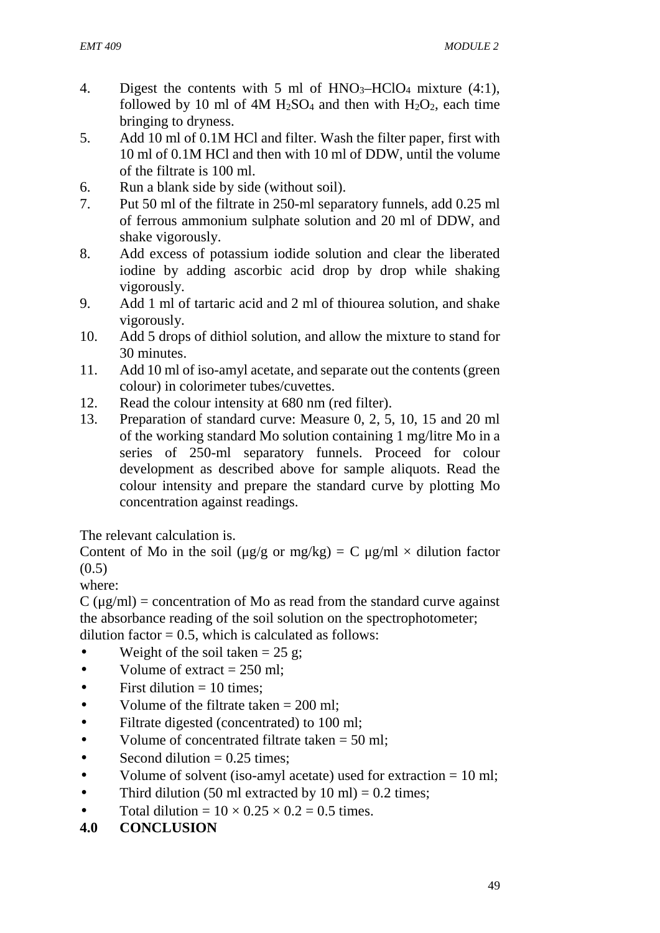- 4. Digest the contents with 5 ml of  $HNO<sub>3</sub>-HClO<sub>4</sub>$  mixture (4:1), followed by 10 ml of 4M  $H_2SO_4$  and then with  $H_2O_2$ , each time bringing to dryness.
- 5. Add 10 ml of 0.1M HCl and filter. Wash the filter paper, first with 10 ml of 0.1M HCl and then with 10 ml of DDW, until the volume of the filtrate is 100 ml.
- 6. Run a blank side by side (without soil).
- 7. Put 50 ml of the filtrate in 250-ml separatory funnels, add 0.25 ml of ferrous ammonium sulphate solution and 20 ml of DDW, and shake vigorously.
- 8. Add excess of potassium iodide solution and clear the liberated iodine by adding ascorbic acid drop by drop while shaking vigorously.
- 9. Add 1 ml of tartaric acid and 2 ml of thiourea solution, and shake vigorously.
- 10. Add 5 drops of dithiol solution, and allow the mixture to stand for 30 minutes.
- 11. Add 10 ml of iso-amyl acetate, and separate out the contents (green colour) in colorimeter tubes/cuvettes.
- 12. Read the colour intensity at 680 nm (red filter).
- 13. Preparation of standard curve: Measure 0, 2, 5, 10, 15 and 20 ml of the working standard Mo solution containing 1 mg/litre Mo in a series of 250-ml separatory funnels. Proceed for colour development as described above for sample aliquots. Read the colour intensity and prepare the standard curve by plotting Mo concentration against readings.

The relevant calculation is.

Content of Mo in the soil (μg/g or mg/kg) = C μg/ml  $\times$  dilution factor  $(0.5)$ 

where:

 $C (µq/ml) = concentration of Mo as read from the standard curve against$ the absorbance reading of the soil solution on the spectrophotometer; dilution factor  $= 0.5$ , which is calculated as follows:

- Weight of the soil taken =  $25$  g;
- Volume of extract  $= 250$  ml;
- $\bullet$  First dilution = 10 times;
- Volume of the filtrate taken  $= 200$  ml;
- Filtrate digested (concentrated) to 100 ml;
- Volume of concentrated filtrate taken  $= 50$  ml:
- $\bullet$  Second dilution = 0.25 times:
- Volume of solvent (iso-amyl acetate) used for extraction = 10 ml;
- Third dilution (50 ml extracted by 10 ml) =  $0.2$  times;
- Total dilution =  $10 \times 0.25 \times 0.2 = 0.5$  times.
- **4.0 CONCLUSION**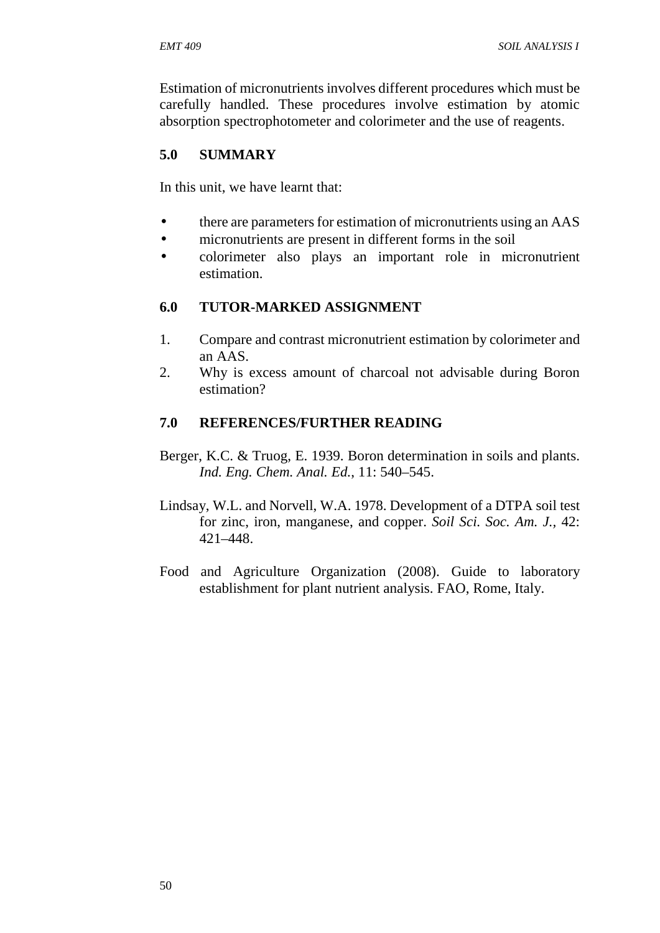Estimation of micronutrients involves different procedures which must be carefully handled. These procedures involve estimation by atomic absorption spectrophotometer and colorimeter and the use of reagents.

## **5.0 SUMMARY**

In this unit, we have learnt that:

- there are parameters for estimation of micronutrients using an AAS
- micronutrients are present in different forms in the soil
- colorimeter also plays an important role in micronutrient estimation.

## **6.0 TUTOR-MARKED ASSIGNMENT**

- 1. Compare and contrast micronutrient estimation by colorimeter and an AAS.
- 2. Why is excess amount of charcoal not advisable during Boron estimation?

#### **7.0 REFERENCES/FURTHER READING**

- Berger, K.C. & Truog, E. 1939. Boron determination in soils and plants. *Ind. Eng. Chem. Anal. Ed.*, 11: 540–545.
- Lindsay, W.L. and Norvell, W.A. 1978. Development of a DTPA soil test for zinc, iron, manganese, and copper. *Soil Sci. Soc. Am. J.,* 42: 421–448.
- Food and Agriculture Organization (2008). Guide to laboratory establishment for plant nutrient analysis. FAO, Rome, Italy.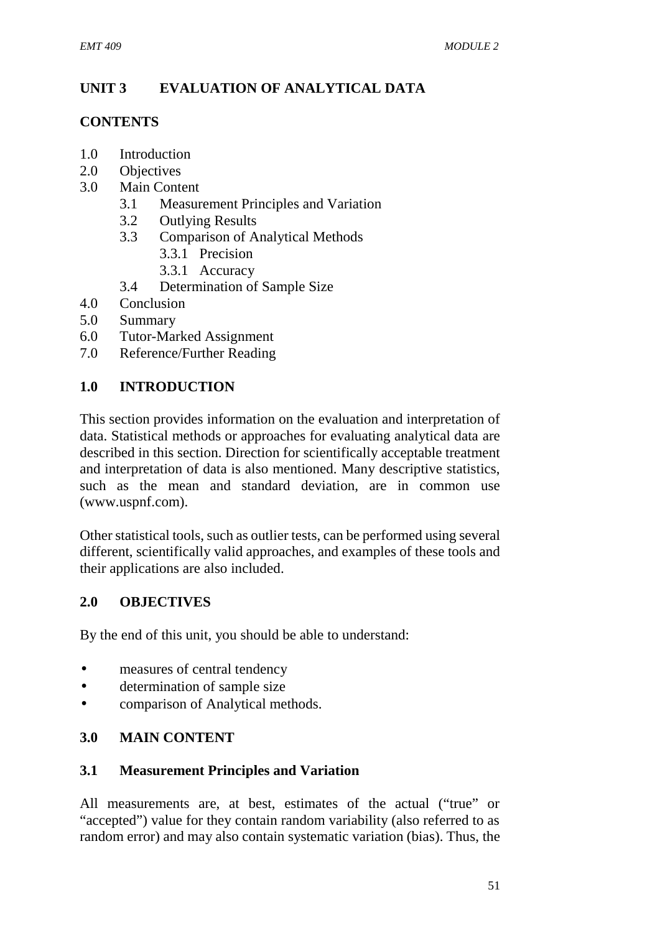# **UNIT 3 EVALUATION OF ANALYTICAL DATA**

## **CONTENTS**

- 1.0 Introduction
- 2.0 Objectives
- 3.0 Main Content
	- 3.1 Measurement Principles and Variation
	- 3.2 Outlying Results
	- 3.3 Comparison of Analytical Methods
		- 3.3.1 Precision
		- 3.3.1 Accuracy
	- 3.4 Determination of Sample Size
- 4.0 Conclusion
- 5.0 Summary
- 6.0 Tutor-Marked Assignment
- 7.0 Reference/Further Reading

## **1.0 INTRODUCTION**

This section provides information on the evaluation and interpretation of data. Statistical methods or approaches for evaluating analytical data are described in this section. Direction for scientifically acceptable treatment and interpretation of data is also mentioned. Many descriptive statistics, such as the mean and standard deviation, are in common use (www.uspnf.com).

Other statistical tools, such as outlier tests, can be performed using several different, scientifically valid approaches, and examples of these tools and their applications are also included.

#### **2.0 OBJECTIVES**

By the end of this unit, you should be able to understand:

- measures of central tendency
- determination of sample size
- comparison of Analytical methods.

#### **3.0 MAIN CONTENT**

#### **3.1 Measurement Principles and Variation**

All measurements are, at best, estimates of the actual ("true" or "accepted") value for they contain random variability (also referred to as random error) and may also contain systematic variation (bias). Thus, the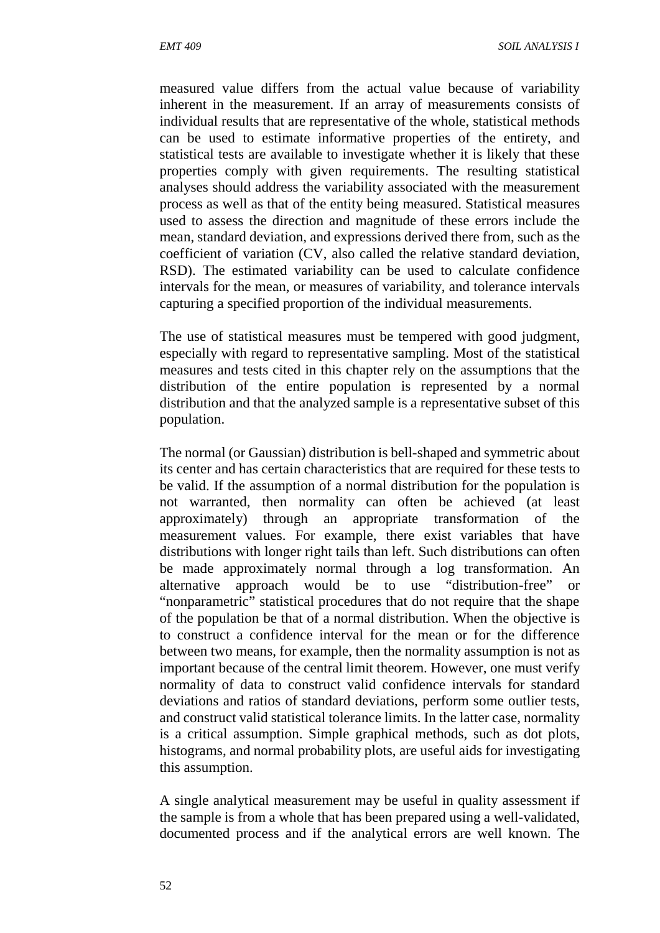measured value differs from the actual value because of variability inherent in the measurement. If an array of measurements consists of individual results that are representative of the whole, statistical methods can be used to estimate informative properties of the entirety, and statistical tests are available to investigate whether it is likely that these properties comply with given requirements. The resulting statistical analyses should address the variability associated with the measurement process as well as that of the entity being measured. Statistical measures used to assess the direction and magnitude of these errors include the mean, standard deviation, and expressions derived there from, such as the coefficient of variation (CV, also called the relative standard deviation, RSD). The estimated variability can be used to calculate confidence intervals for the mean, or measures of variability, and tolerance intervals capturing a specified proportion of the individual measurements.

The use of statistical measures must be tempered with good judgment, especially with regard to representative sampling. Most of the statistical measures and tests cited in this chapter rely on the assumptions that the distribution of the entire population is represented by a normal distribution and that the analyzed sample is a representative subset of this population.

The normal (or Gaussian) distribution is bell-shaped and symmetric about its center and has certain characteristics that are required for these tests to be valid. If the assumption of a normal distribution for the population is not warranted, then normality can often be achieved (at least approximately) through an appropriate transformation of the measurement values. For example, there exist variables that have distributions with longer right tails than left. Such distributions can often be made approximately normal through a log transformation. An alternative approach would be to use "distribution-free" or "nonparametric" statistical procedures that do not require that the shape of the population be that of a normal distribution. When the objective is to construct a confidence interval for the mean or for the difference between two means, for example, then the normality assumption is not as important because of the central limit theorem. However, one must verify normality of data to construct valid confidence intervals for standard deviations and ratios of standard deviations, perform some outlier tests, and construct valid statistical tolerance limits. In the latter case, normality is a critical assumption. Simple graphical methods, such as dot plots, histograms, and normal probability plots, are useful aids for investigating this assumption.

A single analytical measurement may be useful in quality assessment if the sample is from a whole that has been prepared using a well-validated, documented process and if the analytical errors are well known. The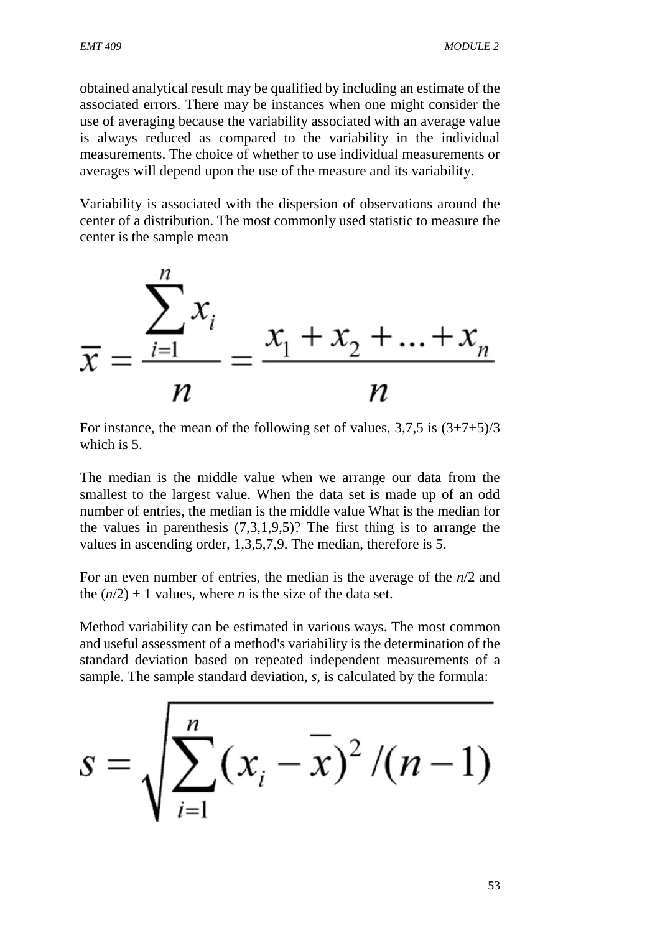obtained analytical result may be qualified by including an estimate of the associated errors. There may be instances when one might consider the use of averaging because the variability associated with an average value is always reduced as compared to the variability in the individual measurements. The choice of whether to use individual measurements or averages will depend upon the use of the measure and its variability.

Variability is associated with the dispersion of observations around the center of a distribution. The most commonly used statistic to measure the center is the sample mean



For instance, the mean of the following set of values,  $3,7,5$  is  $(3+7+5)/3$ which is 5.

The median is the middle value when we arrange our data from the smallest to the largest value. When the data set is made up of an odd number of entries, the median is the middle value What is the median for the values in parenthesis  $(7,3,1,9,5)$ ? The first thing is to arrange the values in ascending order, 1,3,5,7,9. The median, therefore is 5.

For an even number of entries, the median is the average of the *n*/2 and the  $(n/2) + 1$  values, where *n* is the size of the data set.

Method variability can be estimated in various ways. The most common and useful assessment of a method's variability is the determination of the standard deviation based on repeated independent measurements of a sample. The sample standard deviation, *s,* is calculated by the formula:

$$
s = \sqrt{\sum_{i=1}^{n} (x_i - \overline{x})^2 / (n-1)}
$$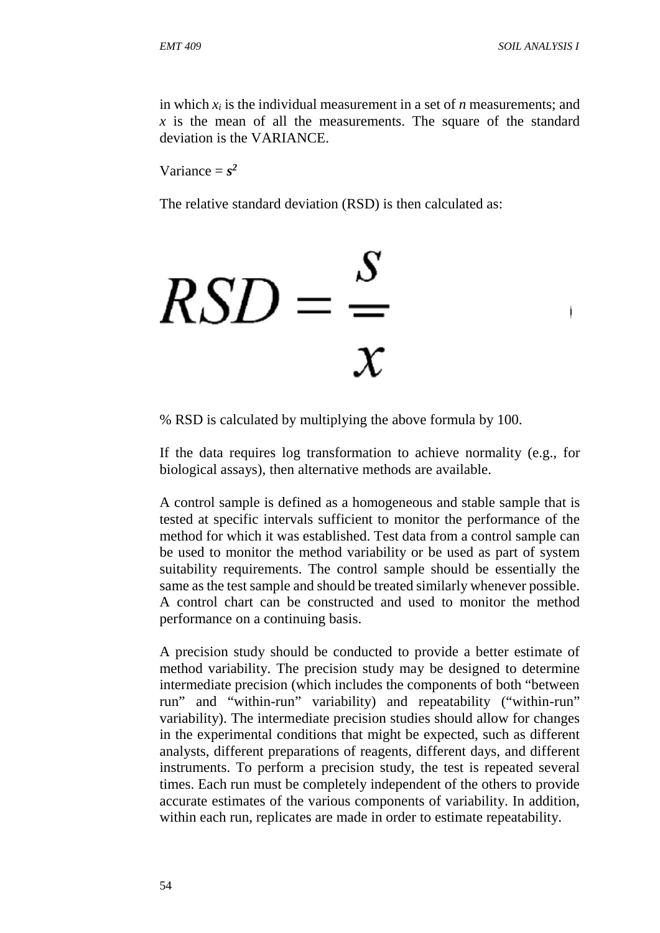in which *x<sup>i</sup>* is the individual measurement in a set of *n* measurements; and  $x$  is the mean of all the measurements. The square of the standard deviation is the VARIANCE.

Variance  $= s^2$ 

The relative standard deviation (RSD) is then calculated as:

$$
RSD = \frac{s}{x}
$$

% RSD is calculated by multiplying the above formula by 100.

If the data requires log transformation to achieve normality (e.g., for biological assays), then alternative methods are available.

A control sample is defined as a homogeneous and stable sample that is tested at specific intervals sufficient to monitor the performance of the method for which it was established. Test data from a control sample can be used to monitor the method variability or be used as part of system suitability requirements. The control sample should be essentially the same as the test sample and should be treated similarly whenever possible. A control chart can be constructed and used to monitor the method performance on a continuing basis.

A precision study should be conducted to provide a better estimate of method variability. The precision study may be designed to determine intermediate precision (which includes the components of both "between run" and "within-run" variability) and repeatability ("within-run" variability). The intermediate precision studies should allow for changes in the experimental conditions that might be expected, such as different analysts, different preparations of reagents, different days, and different instruments. To perform a precision study, the test is repeated several times. Each run must be completely independent of the others to provide accurate estimates of the various components of variability. In addition, within each run, replicates are made in order to estimate repeatability.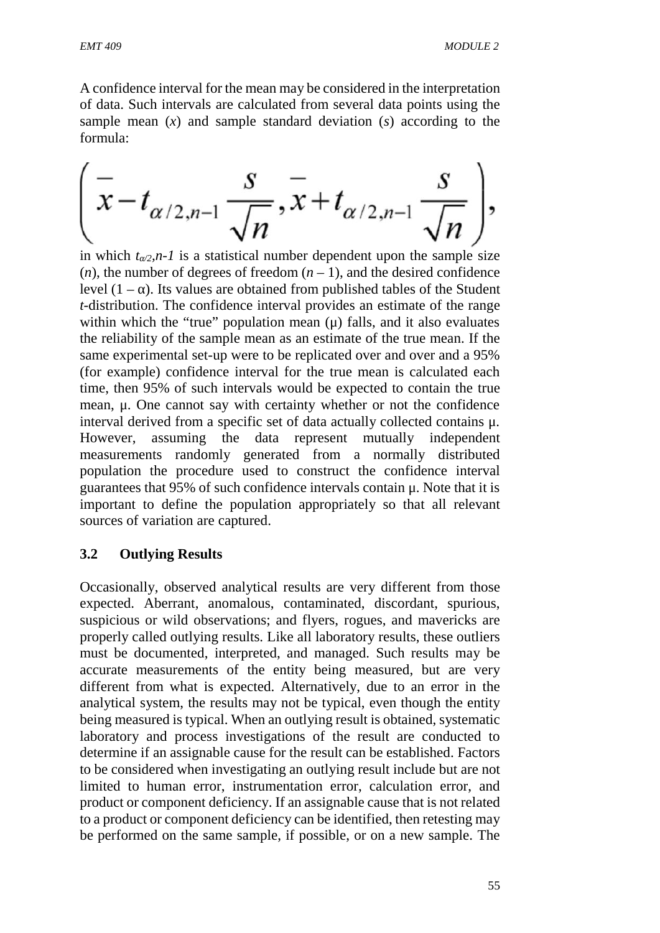A confidence interval for the mean may be considered in the interpretation of data. Such intervals are calculated from several data points using the sample mean (*x*) and sample standard deviation (*s*) according to the formula:

$$
\left(\overline{x}-t_{\alpha/2,n-1}\frac{s}{\sqrt{n}},\overline{x}+t_{\alpha/2,n-1}\frac{s}{\sqrt{n}}\right),\right)
$$

in which  $t_{2}$ ,*n-1* is a statistical number dependent upon the sample size  $(n)$ , the number of degrees of freedom  $(n - 1)$ , and the desired confidence level  $(1 - )$ . Its values are obtained from published tables of the Student *t*-distribution. The confidence interval provides an estimate of the range within which the "true" population mean  $(\mu)$  falls, and it also evaluates the reliability of the sample mean as an estimate of the true mean. If the same experimental set-up were to be replicated over and over and a 95% (for example) confidence interval for the true mean is calculated each time, then 95% of such intervals would be expected to contain the true mean, μ. One cannot say with certainty whether or not the confidence interval derived from a specific set of data actually collected contains μ. However, assuming the data represent mutually independent measurements randomly generated from a normally distributed population the procedure used to construct the confidence interval guarantees that 95% of such confidence intervals contain μ. Note that it is important to define the population appropriately so that all relevant sources of variation are captured.

#### **3.2 Outlying Results**

Occasionally, observed analytical results are very different from those expected. Aberrant, anomalous, contaminated, discordant, spurious, suspicious or wild observations; and flyers, rogues, and mavericks are properly called outlying results. Like all laboratory results, these outliers must be documented, interpreted, and managed. Such results may be accurate measurements of the entity being measured, but are very different from what is expected. Alternatively, due to an error in the analytical system, the results may not be typical, even though the entity being measured is typical. When an outlying result is obtained, systematic laboratory and process investigations of the result are conducted to determine if an assignable cause for the result can be established. Factors to be considered when investigating an outlying result include but are not limited to human error, instrumentation error, calculation error, and product or component deficiency. If an assignable cause that is not related to a product or component deficiency can be identified, then retesting may be performed on the same sample, if possible, or on a new sample. The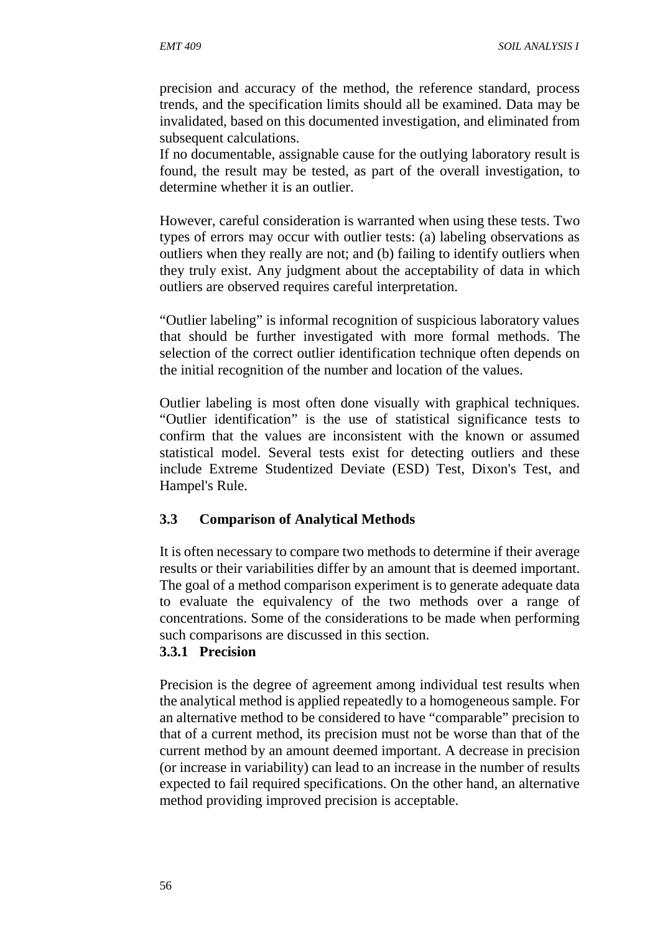precision and accuracy of the method, the reference standard, process trends, and the specification limits should all be examined. Data may be invalidated, based on this documented investigation, and eliminated from subsequent calculations.

If no documentable, assignable cause for the outlying laboratory result is found, the result may be tested, as part of the overall investigation, to determine whether it is an outlier.

However, careful consideration is warranted when using these tests. Two types of errors may occur with outlier tests: (a) labeling observations as outliers when they really are not; and (b) failing to identify outliers when they truly exist. Any judgment about the acceptability of data in which outliers are observed requires careful interpretation.

"Outlier labeling" is informal recognition of suspicious laboratory values that should be further investigated with more formal methods. The selection of the correct outlier identification technique often depends on the initial recognition of the number and location of the values.

Outlier labeling is most often done visually with graphical techniques. "Outlier identification" is the use of statistical significance tests to confirm that the values are inconsistent with the known or assumed statistical model. Several tests exist for detecting outliers and these include Extreme Studentized Deviate (ESD) Test, Dixon's Test, and Hampel's Rule.

#### **3.3 Comparison of Analytical Methods**

It is often necessary to compare two methods to determine if their average results or their variabilities differ by an amount that is deemed important. The goal of a method comparison experiment is to generate adequate data to evaluate the equivalency of the two methods over a range of concentrations. Some of the considerations to be made when performing such comparisons are discussed in this section.

#### **3.3.1 Precision**

Precision is the degree of agreement among individual test results when the analytical method is applied repeatedly to a homogeneous sample. For an alternative method to be considered to have "comparable" precision to that of a current method, its precision must not be worse than that of the current method by an amount deemed important. A decrease in precision (or increase in variability) can lead to an increase in the number of results expected to fail required specifications. On the other hand, an alternative method providing improved precision is acceptable.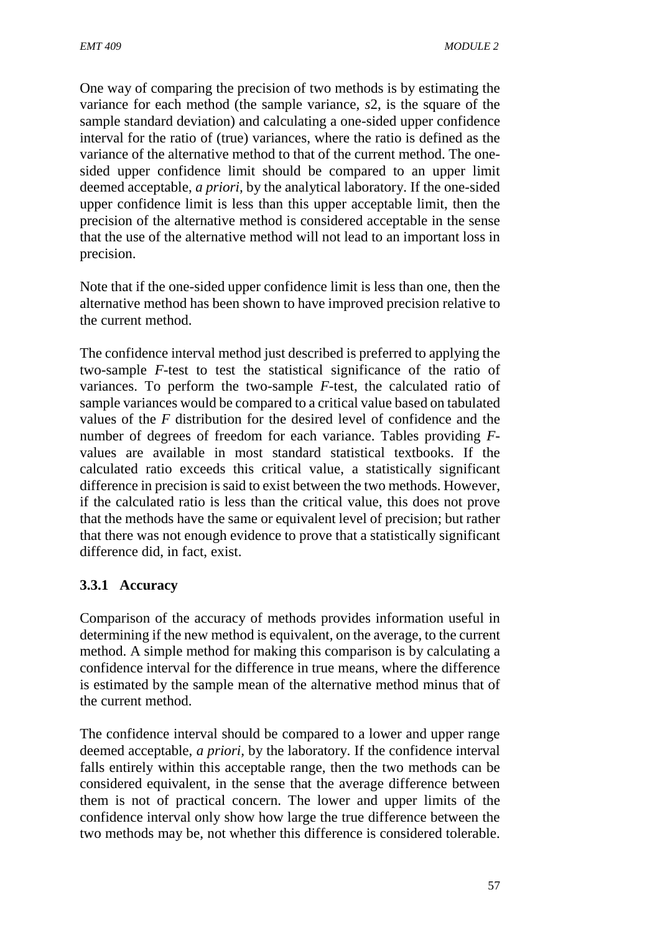One way of comparing the precision of two methods is by estimating the variance for each method (the sample variance, *s*2, is the square of the sample standard deviation) and calculating a one-sided upper confidence interval for the ratio of (true) variances, where the ratio is defined as the variance of the alternative method to that of the current method. The one sided upper confidence limit should be compared to an upper limit deemed acceptable, *a priori,* by the analytical laboratory. If the one-sided upper confidence limit is less than this upper acceptable limit, then the precision of the alternative method is considered acceptable in the sense that the use of the alternative method will not lead to an important loss in precision.

Note that if the one-sided upper confidence limit is less than one, then the alternative method has been shown to have improved precision relative to the current method.

The confidence interval method just described is preferred to applying the two-sample *F*-test to test the statistical significance of the ratio of variances. To perform the two-sample *F*-test, the calculated ratio of sample variances would be compared to a critical value based on tabulated values of the *F* distribution for the desired level of confidence and the number of degrees of freedom for each variance. Tables providing *F* values are available in most standard statistical textbooks. If the calculated ratio exceeds this critical value, a statistically significant difference in precision is said to exist between the two methods. However, if the calculated ratio is less than the critical value, this does not prove that the methods have the same or equivalent level of precision; but rather that there was not enough evidence to prove that a statistically significant difference did, in fact, exist.

## **3.3.1 Accuracy**

Comparison of the accuracy of methods provides information useful in determining if the new method is equivalent, on the average, to the current method. A simple method for making this comparison is by calculating a confidence interval for the difference in true means, where the difference is estimated by the sample mean of the alternative method minus that of the current method.

The confidence interval should be compared to a lower and upper range deemed acceptable, *a priori,* by the laboratory. If the confidence interval falls entirely within this acceptable range, then the two methods can be considered equivalent, in the sense that the average difference between them is not of practical concern. The lower and upper limits of the confidence interval only show how large the true difference between the two methods may be, not whether this difference is considered tolerable.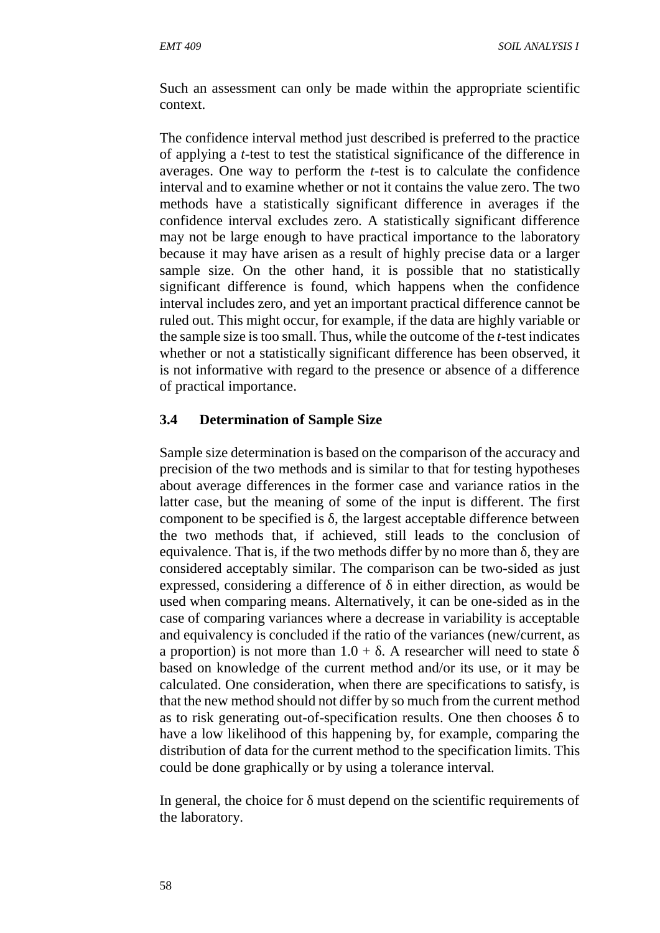Such an assessment can only be made within the appropriate scientific context.

The confidence interval method just described is preferred to the practice of applying a *t*-test to test the statistical significance of the difference in averages. One way to perform the *t*-test is to calculate the confidence interval and to examine whether or not it contains the value zero. The two methods have a statistically significant difference in averages if the confidence interval excludes zero. A statistically significant difference may not be large enough to have practical importance to the laboratory because it may have arisen as a result of highly precise data or a larger sample size. On the other hand, it is possible that no statistically significant difference is found, which happens when the confidence interval includes zero, and yet an important practical difference cannot be ruled out. This might occur, for example, if the data are highly variable or the sample size is too small. Thus, while the outcome of the *t*-test indicates whether or not a statistically significant difference has been observed, it is not informative with regard to the presence or absence of a difference of practical importance.

## **3.4 Determination of Sample Size**

Sample size determination is based on the comparison of the accuracy and precision of the two methods and is similar to that for testing hypotheses about average differences in the former case and variance ratios in the latter case, but the meaning of some of the input is different. The first component to be specified is, the largest acceptable difference between the two methods that, if achieved, still leads to the conclusion of equivalence. That is, if the two methods differ by no more than steps are considered acceptably similar. The comparison can be two-sided as just expressed, considering a difference of in either direction, as would be used when comparing means. Alternatively, it can be one-sided as in the case of comparing variances where a decrease in variability is acceptable and equivalency is concluded if the ratio of the variances (new/current, as a proportion) is not more than  $1.0 +$ . A researcher will need to state based on knowledge of the current method and/or its use, or it may be calculated. One consideration, when there are specifications to satisfy, is that the new method should not differ by so much from the current method as to risk generating out-of-specification results. One then chooses have a low likelihood of this happening by, for example, comparing the distribution of data for the current method to the specification limits. This could be done graphically or by using a tolerance interval*.*

In general, the choice for must depend on the scientific requirements of the laboratory.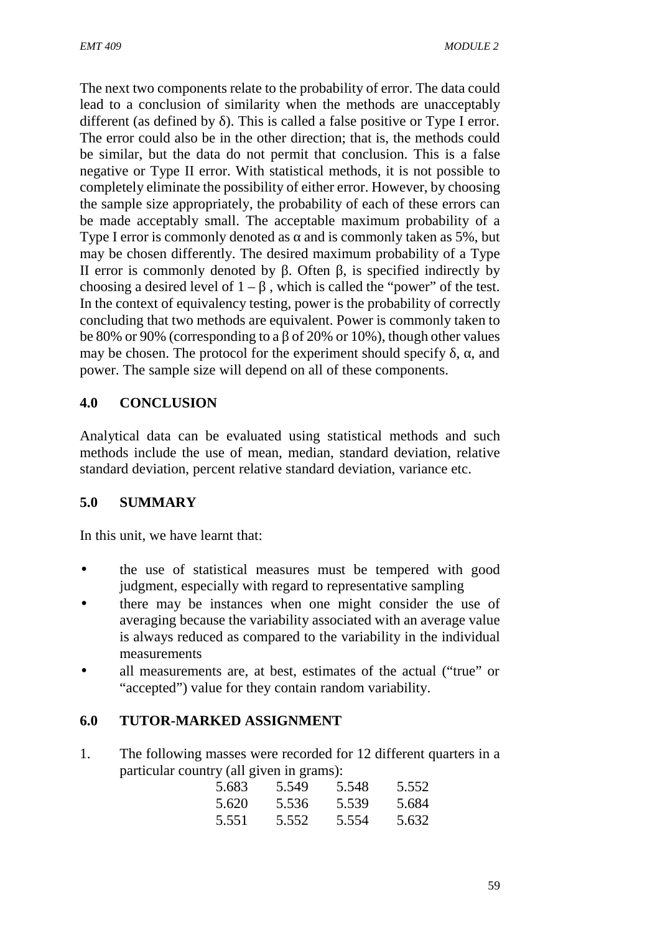The next two components relate to the probability of error. The data could lead to a conclusion of similarity when the methods are unacceptably different (as defined by ). This is called a false positive or Type I error. The error could also be in the other direction; that is, the methods could be similar, but the data do not permit that conclusion. This is a false negative or Type II error. With statistical methods, it is not possible to completely eliminate the possibility of either error. However, by choosing the sample size appropriately, the probability of each of these errors can be made acceptably small. The acceptable maximum probability of a Type I error is commonly denoted as and is commonly taken as 5%, but may be chosen differently. The desired maximum probability of a Type II error is commonly denoted by  $\theta$ . Often, is specified indirectly by choosing a desired level of  $1 - \dots$ , which is called the "power" of the test. In the context of equivalency testing, power is the probability of correctly concluding that two methods are equivalent. Power is commonly taken to be 80% or 90% (corresponding to a of 20% or 10%), though other values may be chosen. The protocol for the experiment should specify  $\lambda$ , and power. The sample size will depend on all of these components.

## **4.0 CONCLUSION**

Analytical data can be evaluated using statistical methods and such methods include the use of mean, median, standard deviation, relative standard deviation, percent relative standard deviation, variance etc.

## **5.0 SUMMARY**

In this unit, we have learnt that:

- the use of statistical measures must be tempered with good judgment, especially with regard to representative sampling
- there may be instances when one might consider the use of averaging because the variability associated with an average value is always reduced as compared to the variability in the individual measurements
- all measurements are, at best, estimates of the actual ("true" or "accepted") value for they contain random variability.

## **6.0 TUTOR-MARKED ASSIGNMENT**

1. The following masses were recorded for 12 different quarters in a particular country (all given in grams):

| 5.683 | 5.549 | 5.548 | 5.552 |  |
|-------|-------|-------|-------|--|
| 5.620 | 5.536 | 5.539 | 5.684 |  |
| 5.551 | 5.552 | 5.554 | 5.632 |  |